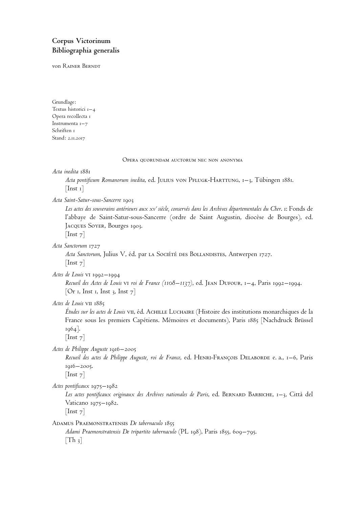# **Corpus Victorinum Bibliographia generalis**

von Rainer Berndt

Grundlage: Textus historici 1–4 Opera recollecta 1 Instrumenta 1–7 Schriften 1 Stand: 2.11.2017

Opera quorundam auctorum nec non anonyma

*Acta inedita* 1881

Acta pontificum Romanorum inedita, ed. JULIUS VON PFLUGK-HARTTUNG, 1–3, Tübingen 1881.  $[$ Inst 1 $]$ 

*Acta Saint-Satur-sous-Sancerre* 1903

Les actes des souverains antérieurs aux xv<sup>e</sup> siècle, conservés dans les Archives départementales du Cher. 1: F0nds de l'abbaye de Saint-Satur-sous-Sancerre (ordre de Saint Augustin, diocèse de Bourges), ed. Jacques Soyer, Bourges 1903.

 $[$ Inst  $7]$ 

*Acta Sanctorum* 1727

Acta Sanctorum, Julius V, éd. par LA Sociéré DES BOLLANDISTES, Antwerpen 1727.  $[$ Inst  $7]$ 

*Actes de Louis* vi 1992–1994

*Recueil des Actes de Louis* vi *roi de France (1108–1137)*, ed. Jean Dufour, 1–4, Paris 1992–1994. [Or 1, Inst 1, Inst 3, Inst  $7$ ]

Actes de Louis VII 1885

*E´tudes sur les actes de Louis* vii, e´d. Achille Luchaire (Histoire des institutions monarchiques de la France sous les premiers Capétiens. Mémoires et documents), Paris 1885 [Nachdruck Brüssel 1964].

[Inst<sub>7</sub>]

*Actes de Philippe Auguste* 1916–2005

Recueil des actes de Philippe Auguste, roi de France, ed. HENRI-FRANÇOIS DELABORDE e. a., 1–6, Paris 1916–2005.

[Inst<sub>7</sub>]

*Actes pontificaux* 1975–1982

*Les actes pontificaux originaux des Archives nationales de Paris*, ed. Bernard Barbiche, 1–3, Citta` del Vaticano 1975–1982.

 $[$ Inst  $7]$ 

Adamus Praemonstratensis *De tabernaculo* 1855

*Adami Praemonstratensis De tripartito tabernaculo* (PL 198), Paris 1855, 609–795.  $[Th_3]$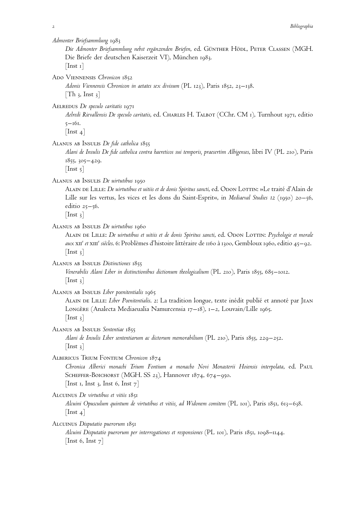*Admonter Briefsammlung* 1983

*Die Admonter Briefsammlung nebst ergänzenden Briefen*, ed. Günther Hödl, Peter Classen (MGH. Die Briefe der deutschen Kaiserzeit VI), München 1983.  $[$ Inst 1 $]$ 

Ado Viennensis *Chronicon* 1852

*Adonis Viennensis Chronicon in aetates sex divisum* (PL 123), Paris 1852, 23–138.  $[Th_3, Inst_3]$ 

Aelredus *De speculo caritatis* 1971

*Aelredi Rievallensis De speculo caritatis*, ed. Charles H. Talbot (CChr. CM 1), Turnhout 1971, editio 5–161.

 $[$ Inst 4 $]$ 

Alanus ab Insulis *De fide catholica* 1855

*Alani de Insulis De fide catholica contra haereticos sui temporis, praesertim Albigenses*, libri IV (PL 210), Paris 1855, 305–429.

 $[$ Inst 5 $]$ 

Alanus ab Insulis *De uirtutibus* 1950

ALAIN DE LILLE: *De uirtutibus et uitiis et de donis Spiritus sancti*, ed. ODON LOTTIN: »Le traité d'Alain de Lille sur les vertus, les vices et les dons du Saint-Esprit«, in *Mediaeval Studies 12* (1950) 20–56, editio 25–56.

 $[$ Inst 3 $]$ 

Alanus ab Insulis *De uirtutibus* 1960

Alain de Lille: *De uirtutibus et uitiis et de donis Spiritus sancti*, ed. Odon Lottin: *Psychologie et morale* aux XII<sup>e</sup> et XIII<sup>e</sup> siècles. 6: Problèmes d'histoire littéraire de 1160 à 1300, Gembloux 1960, editio 45–92.  $[$ Inst 3 $]$ 

Alanus ab Insulis *Distinctiones* 1855

*Venerabilis Alani Liber in distinctionibus dictionum theologicalium* (PL 210), Paris 1855, 685–1012.  $\vert$  Inst 3 $\vert$ 

Alanus ab Insulis *Liber poenitentialis* 1965

ALAIN DE LILLE: *Liber Poenitentialis.* 2: La tradition longue, texte inédit publié et annoté par JEAN Longère (Analecta Mediaeualia Namurcensia 17–18), 1–2, Louvain/Lille 1965.  $[$ Inst 3 $]$ 

Alanus ab Insulis *Sententiae* 1855

*Alani de Insulis Liber sententiarum ac dictorum memorabilium* (PL 210), Paris 1855, 229–252.  $[$ Inst 3 $]$ 

Albericus Trium Fontium *Chronicon* 1874

*Chronica Alberici monachi Trium Fontium a monacho Novi Monasterii Hoiensis interpolata*, ed. Paul SCHEFFER-BOICHORST (MGH. SS 23), Hannover 1874, 674–950.

[Inst 1, Inst 3, Inst 6, Inst  $7$ ]

Alcuinus *De virtutibus et vitiis* 1851

*Alcuini Opusculum quintum de virtutibus et vitiis, ad Widonem comitem* (PL 101), Paris 1851, 613–638.  $[$ Inst 4 $]$ 

Alcuinus *Disputatio puerorum* 1851

*Alcuini Disputatio puerorum per interrogationes et responsiones* (PL 101), Paris 1851, 1098–1144. [Inst 6, Inst  $7$ ]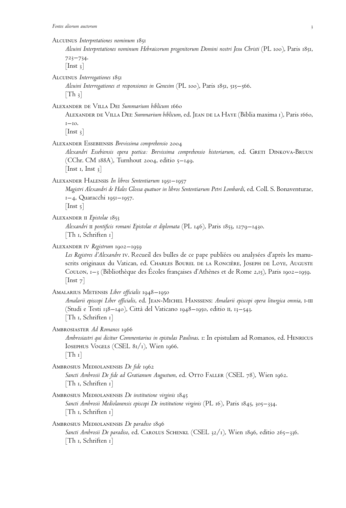|                                                | ALCUINUS Interpretationes nominum 1851<br>Alcuini Interpretationes nominum Hebraicorum progenitorum Domini nostri Jesu Christi (PL 100), Paris 1851,                                                                                                                                                                                      |
|------------------------------------------------|-------------------------------------------------------------------------------------------------------------------------------------------------------------------------------------------------------------------------------------------------------------------------------------------------------------------------------------------|
| $723 - 734.$<br>$\lceil \text{Inst } 3 \rceil$ |                                                                                                                                                                                                                                                                                                                                           |
| $[Th_3]$                                       | ALCUINUS Interrogationes 1851<br>Alcuini Interrogationes et responsiones in Genesim (PL 100), Paris 1851, 515–566.                                                                                                                                                                                                                        |
| $1 - 10.$<br>$\lfloor \text{Inst } 3 \rfloor$  | ALEXANDER DE VILLA DEI Summarium biblicum 1660<br>ALEXANDER DE VILLA DEI: Summarium biblicum, ed. JEAN DE LA HAYE (Biblia maxima 1), Paris 1660,                                                                                                                                                                                          |
|                                                | ALEXANDER ESSEBIENSIS <i>Brevissima comprebensio</i> 2004<br>Alexandri Essebiensis opera poetica: Brevissima comprehensio historiarum, ed. GRETI DINKOVA-BRUUN<br>(CChr. CM 188A), Turnhout 2004, editio 5-149.<br>[Inst 1, Inst $3$ ]                                                                                                    |
| $[$ Inst 5 $]$                                 | ALEXANDER HALENSIS In libros Sententiarum 1951–1957<br>Magistri Alexandri de Hales Glossa quatuor in libros Sententiarum Petri Lombardi, ed. Coll. S. Bonaventurae,<br>1-4, Quaracchi 1951-1957.                                                                                                                                          |
|                                                | ALEXANDER II <i>Epistolae</i> 1853<br>Alexandri $\pi$ pontificis romani Epistolae et diplomata (PL 146), Paris 1853, 1279–1430.<br>$[Th_1, Schriften_1]$                                                                                                                                                                                  |
| $\lfloor \text{Inst } 7 \rfloor$               | ALEXANDER IV <i>Registrum</i> 1902–1959<br>Les Registres d'Alexandre IV. Recueil des bulles de ce pape publiées ou analysées d'après les manu-<br>scrits originaux du Vatican, ed. CHARLES BOUREL DE LA RONCIÈRE, JOSEPH DE LOYE, AUGUSTE<br>CouLON, 1–3 (Bibliothèque des Écoles françaises d'Athènes et de Rome 2,15), Paris 1902–1959. |
|                                                | AMALARIUS METENSIS <i>Liber officialis</i> 1948–1950<br>Amalarii episcopi Liber officialis, ed. JEAN-MICHEL HANSSENS: Amalarii episcopi opera liturgica omnia, I-III<br>(Studi e Testi 138-140), Città del Vaticano 1948-1950, editio II, 13-543.<br>[Th 1, Schriften 1]                                                                  |

Ambrosiaster *Ad Romanos* 1966

*Ambrosiastri qui dicitur Commentarius in epistulas Paulinas*. 1: In epistulam ad Romanos, ed. Henricus Iosephus Vogels (CSEL 81/1), Wien 1966.  $[Th_1]$ 

Ambrosius Mediolanensis *De fide* 1962

Sancti Ambrosii De fide ad Gratianum Augustum, ed. OTTO FALLER (CSEL 78), Wien 1962. [Th 1, Schriften 1]

- AMBROSIUS MEDIOLANENSIS *De institutione virginis* 1845 *Sancti Ambrosii Mediolanensis episcopi De institutione virginis* (PL 16), Paris 1845, 305–334. [Th 1, Schriften 1]
- Ambrosius Mediolanensis *De paradiso* 1896 Sancti Ambrosii De paradiso, ed. CAROLUS SCHENKL (CSEL 32/1), Wien 1896, editio 265-336. [Th 1, Schriften 1]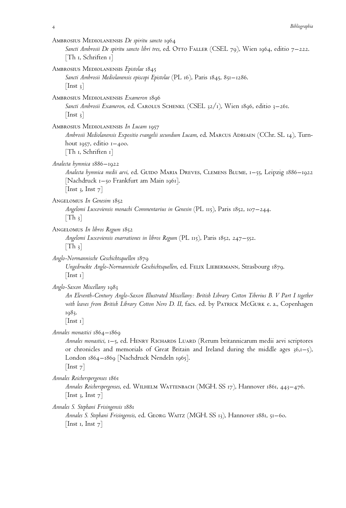| Bibliographia<br>4                                                                                                                                                                                                                                                                                     |
|--------------------------------------------------------------------------------------------------------------------------------------------------------------------------------------------------------------------------------------------------------------------------------------------------------|
| AMBROSIUS MEDIOLANENSIS De spiritu sancto 1964<br>Sancti Ambrosii De spiritu sancto libri tres, ed. Otto FALLER (CSEL 79), Wien 1964, editio 7–222.<br>$\lceil \text{Th} \rceil$ , Schriften 1 $\rceil$                                                                                                |
| AMBROSIUS MEDIOLANENSIS Epistolae 1845<br>Sancti Ambrosii Mediolanensis episcopi Epistolae (PL 16), Paris 1845, 851–1286.<br>$\vert \ln st \vert$ 3                                                                                                                                                    |
| AMBROSIUS MEDIOLANENSIS Exameron 1896<br>Sancti Ambrosii Exameron, ed. CAROLUS SCHENKL (CSEL 32/1), Wien 1896, editio 3–261.<br>$\vert \ln st \vert$ 3                                                                                                                                                 |
| AMBROSIUS MEDIOLANENSIS In Lucam 1957<br>Ambrosii Mediolanensis Expositio evangelii secundum Lucam, ed. MARCUS ADRIAEN (CChr. SL 14), Turn-<br>hout 1957, editio $1-400$ .<br>$[Th_1, Schriften_1]$                                                                                                    |
| Analecta hymnica 1886–1922<br>Analecta hymnica medii aevi, ed. GUIDO MARIA DREVES, CLEMENS BLUME, 1–55, Leipzig 1886–1922<br>[Nachdruck 1–50 Frankfurt am Main 1961].<br>[Inst 3, Inst $7$ ]                                                                                                           |
| ANGELOMUS In Genesim 1852<br>Angelomi Luxoviensis monachi Commentarius in Genesin (PL 115), Paris 1852, 107–244.<br>$\lceil \text{Th } \rceil$                                                                                                                                                         |
| ANGELOMUS In libros Regum 1852<br>Angelomi Luxoviensis enarrationes in libros Regum (PL 115), Paris 1852, 247–552.<br>$\lfloor \text{Th } 3 \rfloor$                                                                                                                                                   |
| Anglo-Normannische Geschichtsquellen 1879<br>Ungedruckte Anglo-Normannische Geschichtsquellen, ed. FELIX LIEBERMANN, Strasbourg 1879.<br>$\lfloor \text{Inst} \; \mathbf{1} \rfloor$                                                                                                                   |
| Anglo-Saxon Miscellany 1983<br>An Eleventh-Century Anglo-Saxon Illustrated Miscellany: British Library Cotton Tiberius B. V Part I together<br>with leaves from British Library Cotton Nero D. II, facs. ed. by PATRICK MCGURK e. a., Copenhagen<br>1983.<br>$\lfloor \text{Inst} \; \text{I} \rfloor$ |
| Annales monastici 1864–1869<br>Annales monastici, 1–5, ed. HENRY RICHARDS LUARD (Rerum britannicarum medii aevi scriptores<br>or chronicles and memorials of Great Britain and Ireland during the middle ages $36,1-5$ ),<br>London 1864–1869 [Nachdruck Nendeln 1965].<br>$ \text{Inst } 7 $          |
| Annales Reicherspergenses 1861<br>Annales Reicherspergenses, ed. WILHELM WATTENBACH (MGH. SS 17), Hannover 1861, 443–476.<br>$\vert$ Inst 3, Inst 7 $\vert$                                                                                                                                            |
| Annales S. Stephani Frisingensis 1881<br>Annales S. Stephani Frisingensis, ed. GEORG WAITZ (MGH. SS 13), Hannover 1881, 51–60.                                                                                                                                                                         |

 $[\text{Inst}\;$ 1,  $\text{Inst}\;7]$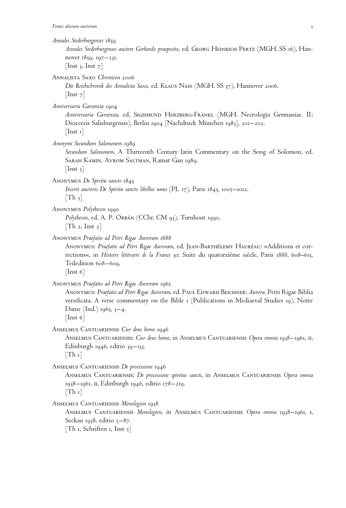*Annales Stederburgenses* 1859

*Annales Stederburgenses auctore Gerhardo praeposito*, ed. Georg Heinrich Pertz (MGH. SS 16), Hannover 1859, 197–231. [Inst 3, Inst  $7$ ]

Annalista Saxo *Chronicon* 2006

*Die Reichschronik des Annalista Saxo*, ed. Klaus Nass (MGH. SS 37), Hannover 2006.  $[$ Inst  $7]$ 

*Anniversaria Garsensia* 1904

*Anniversaria Garsensia*, ed. Sigismund Herzberg-Fränkl (MGH. Necrologia Germaniae. II: Dioecesis Salisburgensis), Berlin 1904 [Nachdruck München 1983], 201–202.  $[$ Inst 1 $]$ 

*Anonymi Secundum Salomonem* 1989

*Secundum Salomonem*. A Thirteenth Century latin Commentary on the Song of Solomon, ed. Sarah Kamin, Avrom Saltman, Ramat Gan 1989.

 $[$ Inst  $_3]$ 

Anonymus *De Spiritu sancto* 1845

*Incerti auctoris De Spiritu sancto libellus unus* (PL 17), Paris 1845, 1005–1012.  $|Th_3|$ 

Anonymus *Polythecon* 1990

Polythecon, ed. A. P. Orbán (CChr. CM 93), Turnhout 1990.  $[Th 2, Inst 2]$ 

Anonymus *Praefatio ad Petri Rigae Auroram* 1888

ANONYMUS: Praefatio ad Petri Rigae Auroram, ed. JEAN-BARTHÉLEMY HAURÉAU: »Additions et corrections«, in *Histoire littéraire de la France* 30: Suite du quatorzième siècle, Paris 1888, 608–615, Teiledition 608–609.

[Inst 6]

Anonymus *Praefatio ad Petri Rigae Auroram* 1965

Anonymus: *Praefatio ad Petri Rigae Auroram*, ed. Paul Edward Beichner: *Aurora*. Petri Rigae Biblia versificata. A verse commentary on the Bible 1 (Publications in Mediaeval Studies 19), Notre Dame (Ind.)  $1965, 3-4$ .

[Inst 6]

Anselmus Cantuariensis *Cur deus homo* 1946

Anselmus Cantuariensis: *Cur deus homo*, in Anselmus Cantuariensis *Opera omnia* 1938–1961, ii, Edinburgh 1946, editio 39–133.

 $[Th_1]$ 

Anselmus Cantuariensis *De processione* 1946

Anselmus Cantuariensis: *De processione spiritus sancti*, in Anselmus Cantuariensis *Opera omnia* 1938–1961, ii, Edinburgh 1946, editio 178–219.

 $[Th_1]$ 

Anselmus Cantuariensis *Monologion* 1938

Anselmus Cantuariensis *Monologion*, in Anselmus Cantuariensis *Opera omnia* 1938–1961, i, Seckau 1938, editio 5–87.

[Th 1, Schriften 1, Inst  $5$ ]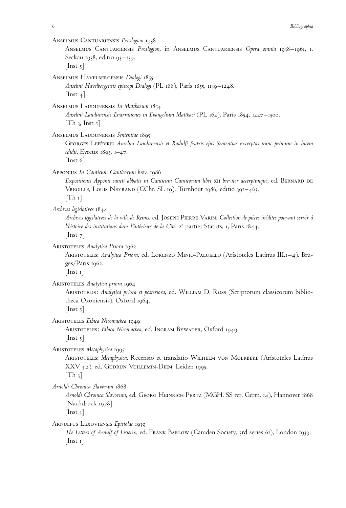Anselmus Cantuariensis *Proslogion* 1938 Anselmus Cantuariensis *Proslogion*, in Anselmus Cantuariensis *Opera omnia* 1938–1961, i, Seckau 1938, editio 93–139.  $[$ Inst  $\frac{1}{2}$ Anselmus Havelbergensis *Dialogi* 1855 *Anselmi Havelbergensis episcopi Dialogi* (PL 188), Paris 1855, 1139–1248.  $[$ Inst 4 $]$ Anselmus Laudunensis *In Matthaeum* 1854 *Anselmi Laudunensis Enarrationes in Evangelium Matthaei* (PL 162), Paris 1854, 1227–1500.  $[Th_3, Inst_5]$ Anselmus Laudunensis *Sententiae* 1895 Georges Lefe`vre: *Anselmi Laudunensis et Radulfi fratris ejus Sententias excerptas nunc primum in lucem edidit*, Evreux 1895, 1–47. [Inst 6] Apponius *In Canticum Canticorum brev.* 1986 *Expositionis Apponii sancti abbatis in Canticum Canticorum libri* xii *breviter decerptimque*, ed. Bernard de Vregille, Louis Neyrand (CChr. SL 19), Turnhout 1986, editio 391–463.  $|Th_1|$ *Archives legislatives* 1844 *Archives le´gislatives de la ville de Reims*, ed. Joseph Pierre Varin: *Collection de pie`ces ine´dites pouvant servir a` l'histoire des institutions dans l'intérieur de la Cité.* 2<sup>e</sup> partie: Statuts, 1, Paris 1844.  $[$ Inst  $7]$ Aristoteles *Analytica Priora* 1962 Aristoteles: *Analytica Priora*, ed. Lorenzo Minio-Paluello (Aristoteles Latinus III.1–4), Bruges/Paris 1962. [Inst 1] Aristoteles *Analytica priora* 1964 Aristotelis: *Analytica priora et posteriora*, ed. William D. Ross (Scriptorum classicorum bibliotheca Oxoniensis), Oxford 1964.  $[$ Inst 5 $]$ Aristoteles *Ethica Nicomachea* 1949 Aristoteles: *Ethica Nicomachea*, ed. Ingram Bywater, Oxford 1949.  $[$ Inst  $5]$ Aristoteles *Metaphysica* 1995 Aristoteles: *Metaphysica*. Recensio et translatio Wilhelm von Moerbeke (Aristoteles Latinus XXV 3.2), ed. GUDRUN VUILLEMIN-DIEM, Leiden 1995.  $[Th_3]$ *Arnoldi Chronica Slavorum* 1868 *Arnoldi Chronica Slavorum*, ed. Georg Heinrich Pertz (MGH. SS rer. Germ. 14), Hannover 1868 [Nachdruck 1978].  $[$ Inst  $_3]$ Arnulfus Lexoviensis *Epistolae* 1939 *The Letters of Arnulf of Lisieux*, ed. Frank Barlow (Camden Society, 3rd series 61), London 1939.  $[$ Inst 1 $]$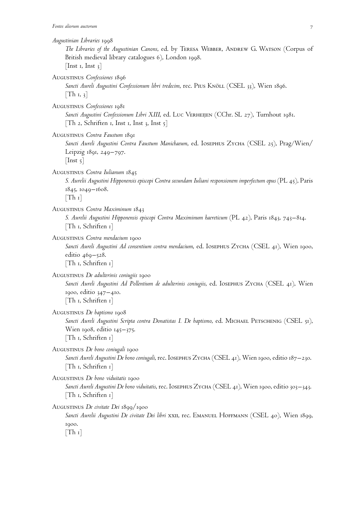*Augustinian Libraries* 1998 *The Libraries of the Augustinian Canons*, ed. by Teresa Webber, Andrew G. Watson (Corpus of British medieval library catalogues 6), London 1998. [Inst 1, Inst  $3$ ] Augustinus *Confessiones* 1896 *Sancti Aureli Augustini Confessionum libri tredecim*, rec. Pius Knöll (CSEL 33), Wien 1896.  $[Th<sub>1</sub>, 3]$ Augustinus *Confessiones* 1981 *Sancti Augustini Confessionum Libri XIII*, ed. Luc Verheijen (CChr. SL 27), Turnhout 1981. [Th 2, Schriften 1, Inst 1, Inst 3, Inst  $5$ ] Augustinus *Contra Faustum* 1891 *Sancti Aureli Augustini Contra Faustum Manichaeum*, ed. Iosephus Zycha (CSEL 25), Prag/Wien/ Leipzig 1891, 249–797.  $[$ Inst 5 $]$ Augustinus *Contra Iulianum* 1845 *S. Aurelii Augustini Hipponensis episcopi Contra secundam Iuliani responsionem imperfectum opus* (PL 45), Paris 1845, 1049–1608.  $[Th_1]$ Augustinus *Contra Maximinum* 1843 *S. Aurelii Augustini Hipponensis episcopi Contra Maximinum haereticum* (PL 42), Paris 1843, 743–814. [Th 1, Schriften 1] Augustinus *Contra mendacium* 1900 *Sancti Aureli Augustini Ad consentium contra mendacium*, ed. Iosephus Zycha (CSEL 41), Wien 1900, editio 469–528. [Th 1, Schriften 1] Augustinus *De adulterinis coniugiis* 1900 *Sancti Aureli Augustini Ad Pollentium de adulterinis coniugiis*, ed. Iosephus Zycha (CSEL 41), Wien 1900, editio 347–410. [Th 1, Schriften 1] Augustinus *De baptismo* 1908 Sancti Aureli Augustini Scripta contra Donatistas I. De baptismo, ed. MICHAEL PETSCHENIG (CSEL 51), Wien 1908, editio 145–375. [Th 1, Schriften 1] Augustinus *De bono coniugali* 1900 *Sancti Aureli Augustini De bono coniugali*, rec. Iosephus Zycha (CSEL 41), Wien 1900, editio 187–230. [Th 1, Schriften 1]

Augustinus *De bono viduitatis* 1900 *Sancti Aureli Augustini De bono viduitatis*, rec. Iosephus Zycha (CSEL 41), Wien 1900, editio 303–343. [Th 1, Schriften 1]

Augustinus *De civitate Dei* 1899/1900

*Sancti Aurelii Augustini De civitate Dei libri* xxii, rec. Emanuel Hoffmann (CSEL 40), Wien 1899, 1900.

 $[Th_1]$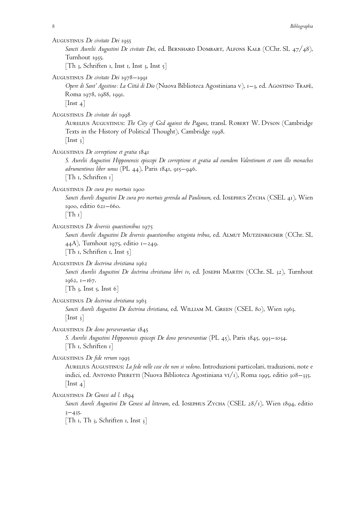| AUGUSTINUS De civitate Dei 1955<br>Sancti Aurelii Augustini De civitate Dei, ed. BERNHARD DOMBART, ALFONS KALB (CChr. SL 47/48),<br>Turnhout 1955.<br>$\lceil \text{Th }$ 3, Schriften 1, Inst 1, Inst 3, Inst 5]                                                    |
|----------------------------------------------------------------------------------------------------------------------------------------------------------------------------------------------------------------------------------------------------------------------|
| AUGUSTINUS De civitate Dei 1978-1991<br>Opere di Sant' Agostino: La Città di Dio (Nuova Biblioteca Agostiniana v), 1-3, ed. AGOSTINO TRAPÈ,<br>Roma 1978, 1988, 1991.<br>$\lfloor \text{Inst } 4 \rfloor$                                                            |
| AUGUSTINUS De civitate dei 1998<br>AURELIUS AUGUSTINUS: The City of God against the Pagans, transl. ROBERT W. DYSON (Cambridge<br>Texts in the History of Political Thought), Cambridge 1998.<br>$[$ Inst 3 $]$                                                      |
| AUGUSTINUS De correptione et gratia 1841<br>S. Aurelii Augustini Hipponensis episcopi De correptione et gratia ad eumdem Valentinum et cum illo monachos<br>adrumentinos liber unus (PL $44$ ), Paris 1841, 915–946.<br>[Th 1, Schriften 1]                          |
| AUGUSTINUS De cura pro mortuis 1900<br>Sancti Aureli Augustini De cura pro mortuis gerenda ad Paulinum, ed. IOSEPHUS ZYCHA (CSEL 41), Wien<br>1900, editio 621-660.<br>$[Th_1]$                                                                                      |
| AUGUSTINUS De diversis quaestionibus 1975<br>Sancti Aurelii Augustini De diversis quaestionibus octoginta tribus, ed. ALMUT MUTZENBECHER (CChr. SL<br>44A), Turnhout 1975, editio 1–249.<br>$[Th \, I, Schriften \, I, Inst \, 5]$                                   |
| AUGUSTINUS De doctrina christiana 1962<br>Sancti Aurelii Augustini De doctrina christiana libri iv, ed. JOSEPH MARTIN (CChr. SL 32), Turnhout<br>1962, 1-167.<br>$[Th_3, Inst_5, Inst_6]$                                                                            |
| AUGUSTINUS De doctrina christiana 1963<br>Sancti Aureli Augustini De doctrina christiana, ed. WILLIAM M. GREEN (CSEL 80), Wien 1963.<br>$ $ lnst 3 $ $                                                                                                               |
| AUGUSTINUS De dono perseverantiae 1845<br>S. Aurelii Augustini Hipponensis episcopi De dono perseverantiae (PL 45), Paris 1845, 993–1034.<br>$\lceil \text{Th} \rceil$ , Schriften 1                                                                                 |
| AUGUSTINUS De fide rerum 1995<br>AURELIUS AUGUSTINUS: La fede nelle cose che non si vedono. Introduzioni particolari, traduzioni, note e<br>indici, ed. ANTONIO PIERETTI (Nuova Biblioteca Agostiniana v1/1), Roma 1995, editio 308–335.<br>$\vert \ln$ st 4 $\vert$ |
| AUGUSTINUS De Genesi ad l. 1894<br>Sancti Aureli Augustini De Genesi ad litteram, ed. IOSEPHUS ZYCHA (CSEL 28/1), Wien 1894, editio<br>$3 - 435.$<br>$\lceil \text{Th } r, \text{Th } 3, \text{ Schriften } r, \text{ Inst } 3 \rceil$                               |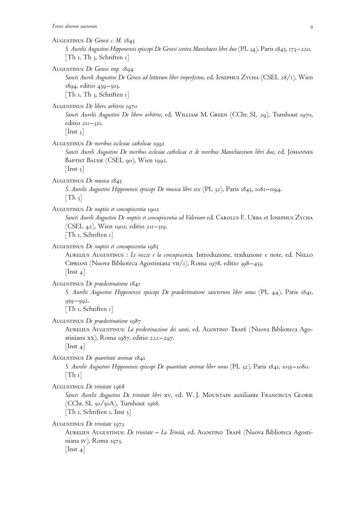| Fontes aliorum auctorum<br>9                                                                                                                                                                                                                                 |
|--------------------------------------------------------------------------------------------------------------------------------------------------------------------------------------------------------------------------------------------------------------|
| AUGUSTINUS De Genesi c. M. 1845<br>S. Aurelii Augustini Hipponensis episcopi De Genesi contra Manichaeos libri duo (PL 34), Paris 1845, 173–220.<br>[Th $\iota$ , Th $\iota$ , Schriften $\iota$ ]                                                           |
| AUGUSTINUS De Genesi imp. 1894<br>Sancti Aureli Augustini De Genesi ad littteram liber imperfectus, ed. IOSEPHUS ZYCHA (CSEL 28/1), Wien<br>1894, editio 459–503.<br>$[Th_1, Th_3, Schriften_1]$                                                             |
| AUGUSTINUS De libero arbitrio 1970<br>Sancti Aurelii Augustini De libero arbitrio, ed. WILLIAM M. GREEN (CChr. SL 29), Turnhout 1970,<br>editio $2II - 32I$ .<br>$\lceil \text{Inst } 3 \rceil$                                                              |
| AUGUSTINUS De moribus ecclesiae catholicae 1992<br>Sancti Aureli Augustini De moribus ecclesiae catholicae et de moribus Manichaeorum libri duo, ed. JOHANNES<br>BAPTIST BAUER (CSEL 90), Wien 1992.<br>$[$ Inst 5 $]$                                       |
| AUGUSTINUS De musica 1845<br>S. Aurelii Augustini Hipponensis episcopi De musica libri sex (PL 32), Paris 1845, 1081–1194.<br>$[Th_3]$                                                                                                                       |
| AUGUSTINUS De nuptiis et concupiscentia 1902<br>Sancti Aureli Augustini De nuptiis et concupiscentia ad Valerium ed. CAROLUS F. URBA et IOSEPHUS ZYCHA<br>(CSEL 42), Wien 1902, editio 211–319.<br>[Th 1, Schriften 1]                                       |
| AUGUSTINUS De nuptiis et concupiscentia 1985<br>AURELIUS AUGUSTINUS : Le nozze e la concupiscenza. Introduzione, traduzione e note, ed. NELLO<br>CIPRIANI (Nuova Biblioteca Agostiniana vII/1), Roma 1978, editio 398–453.<br>$\lceil \text{Inst } 4 \rceil$ |
| AUGUSTINUS De praedestinatione 1841<br>S. Aurelii Augustini Hipponensis episcopi De praedestinatione sanctorum liber unus (PL 44), Paris 1841,<br>$959 - 992.$<br>[Th 1, Schriften 1]                                                                        |
| AUGUSTINUS De praedestinatione 1987<br>AURELIUS AUGUSTINUS: La predestinazione dei santi, ed. AGOSTINO TRAPÈ (Nuova Biblioteca Ago-<br>stiniana xx), Roma 1987, editio 222–297.<br>$\lfloor \text{Inst } 4 \rfloor$                                          |
| AUGUSTINUS De quantitate animae 1841<br>S. Aurelii Augustini Hipponensis episcopi De quantitate animae liber unus (PL 32), Paris 1841, 1035–1080.<br>$\lceil \text{Th I} \rceil$                                                                             |
| AUGUSTINUS De trinitate 1968<br>Sancti Aurelii Augustini De trinitate libri xv, ed. W. J. MOUNTAIN auxiliante FRANCISCUS GLORIE<br>(CChr. SL 50/50A), Turnhout 1968.<br>$\lceil \text{Th} \rceil$ , Schriften 1, Inst 5                                      |
| AUGUSTINUS De trinitate 1973<br>AURELIUS AUGUSTINUS: <i>De trinitate – La Trinità</i> , ed. AGOSTINO TRAPE (Nuova Biblioteca Agosti-<br>niana IV), Roma 1973.<br>$\lfloor \text{Inst } 4 \rfloor$                                                            |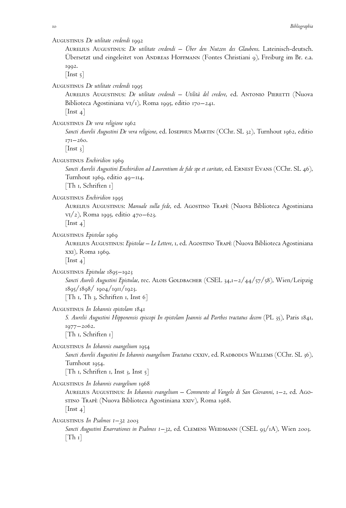Augustinus *De utilitate credendi* 1992

Aurelius Augustinus: *De utilitate credendi – Über den Nutzen des Glaubens*. Lateinisch-deutsch. Ubersetzt und eingeleitet von ANDREAS HOFFMANN (Fontes Christiani 9), Freiburg im Br. e.a. 1992.

 $[$ Inst 5 $]$ 

Augustinus *De utilitate credendi* 1995

Aurelius Augustinus: *De utilitate credendi – Utilita` del credere*, ed. Antonio Pieretti (Nuova Biblioteca Agostiniana vi/1), Roma 1995, editio 170–241.

 $[$ Inst 4 $]$ 

Augustinus *De vera religione* 1962

*Sancti Aurelii Augustini De vera religione*, ed. Iosephus Martin (CChr. SL 32), Turnhout 1962, editio 171–260.

 $[$ Inst 3 $]$ 

Augustinus *Enchiridion* 1969

*Sancti Aurelii Augustini Enchiridion ad Laurentium de fide spe et caritate*, ed. Ernest Evans (CChr. SL 46), Turnhout 1969, editio 49–114.

[Th 1, Schriften 1]

Augustinus *Enchiridion* 1995

Aurelius Augustinus: *Manuale sulla fede*, ed. Agostino Trape` (Nuova Biblioteca Agostiniana vi/2), Roma 1995, editio 470–623.  $[$ Inst 4 $]$ 

Augustinus *Epistolae* 1969

Aurelius Augustinus: *Epistolae – Le Lettere*, 1, ed. Agostino Trape` (Nuova Biblioteca Agostiniana xxi), Roma 1969.

 $[$ Inst 4 $]$ 

Augustinus *Epistulae* 1895–1923

*Sancti Aureli Augustini Epistulae*, rec. Alois Goldbacher (CSEL 34,1–2/44/57/58), Wien/Leipzig 1895/1898/ 1904/1911/1923. [Th 1, Th 3, Schriften 1, Inst 6]

Augustinus *In Iohannis epistolam* 1841

*S. Aurelii Augustini Hipponensis episcopi In epistolam Joannis ad Parthos tractatus decem* (PL 35), Paris 1841, 1977–2062.

[Th 1, Schriften 1]

Augustinus *In Iohannis euangelium* 1954

Sancti Aurelii Augustini In Iohannis euangelium Tractatus CXXIV, ed. RADBODUS WILLEMS (CChr. SL 36), Turnhout 1954.

[Th 1, Schriften 1, Inst 3, Inst 5]

Augustinus *In Iohannis evangelium* 1968

Aurelius Augustinus: *In Iohannis evangelium – Commento al Vangelo di San Giovanni*, 1–2, ed. Agostino Trapè (Nuova Biblioteca Agostiniana xxiv), Roma 1968.  $[$ Inst 4 $]$ 

Augustinus *In Psalmos 1–32* 2003

*Sancti Augustini Enarrationes in Psalmos 1–32*, ed. Clemens Weidmann (CSEL 93/1A), Wien 2003.  $[Th_1]$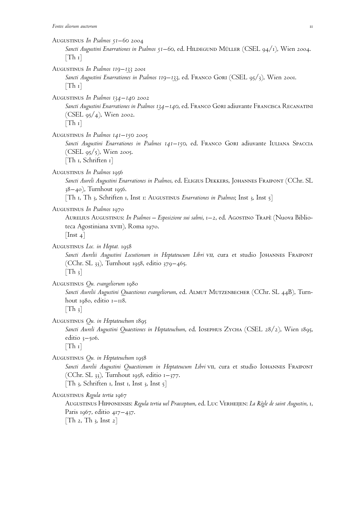| AUGUSTINUS In Psalmos 51–60 2004<br>Sancti Augustini Enarrationes in Psalmos 51–60, ed. HILDEGUND MÜLLER (CSEL 94/1), Wien 2004.<br>$\lceil \text{Th } r \rceil$                                                                                                         |
|--------------------------------------------------------------------------------------------------------------------------------------------------------------------------------------------------------------------------------------------------------------------------|
| AUGUSTINUS In Psalmos 119–133 2001<br>Sancti Augustini Enarrationes in Psalmos 119–133, ed. FRANCO GORI (CSEL 95/3), Wien 2001.<br>$\lceil \text{Th } r \rceil$                                                                                                          |
| AUGUSTINUS In Psalmos 134–140 2002<br>Sancti Augustini Enarrationes in Psalmos 134–140, ed. FRANCO GORI adiuvante FRANCISCA RECANATINI<br>(CSEL $95/4$ ), Wien 2002.<br>$\lceil \text{Th } r \rceil$                                                                     |
| AUGUSTINUS In Psalmos $141-150$ 2005<br>Sancti Augustini Enarrationes in Psalmos 141-150, ed. FRANCO GORI adiuvante IULIANA SPACCIA<br>(CSEL $95/5$ ), Wien 2005.<br>$[Th_1, Schriften_1]$                                                                               |
| AUGUSTINUS In Psalmos 1956<br>Sancti Aureli Augustini Enarrationes in Psalmos, ed. ELIGIUS DEKKERS, JOHANNES FRAIPONT (CChr. SL<br>$38-40$ ), Turnhout 1956.<br>$[Th \, r, Th \, s, Schriften \, r, Inst \, r: AUGUSTINUS Enarrations in Psalmos; Inst \, s, Inst \, s]$ |
| AUGUSTINUS In Psalmos 1970<br>AURELIUS AUGUSTINUS: In Psalmos - Esposizione sui salmi, 1-2, ed. AGOSTINO TRAPÈ (Nuova Biblio-<br>teca Agostiniana xvIII), Roma 1970.<br>$ \text{Inst } 4 $                                                                               |
| AUGUSTINUS Loc. in Heptat. 1958<br>Sancti Aurelii Augustini Locutionum in Heptateucum Libri VII, cura et studio JOHANNES FRAIPONT<br>(CChr. SL 33), Turnhout 1958, editio 379–465.<br>$[Th_3]$                                                                           |
| AUGUSTINUS Qu. evangeliorum 1980<br>Sancti Aurelii Augustini Quaestiones evangeliorum, ed. ALMUT MUTZENBECHER (CChr. SL 44B), Turn-<br>hout $1980$ , editio $1-118$ .<br>$\lfloor \text{Th}_3 \rfloor$                                                                   |
| AUGUSTINUS Qu. in Heptateuchum 1895<br>Sancti Aureli Augustini Quaestiones in Heptateuchum, ed. IOSEPHUS ZYCHA (CSEL 28/2), Wien 1895,<br>editio $3 - 506$ .<br>$\lceil \text{Th } r \rceil$                                                                             |
| AUGUSTINUS Qu. in Heptateuchum 1958<br>Sancti Aurelii Augustini Quaestionum in Heptateucum Libri vII, cura et studio IOHANNES FRAIPONT<br>(CChr. SL $33$ ), Turnhout 1958, editio 1–377.<br>[Th 3, Schriften 1, Inst 1, Inst 3, Inst 5]                                  |
| AUGUSTINUS Regula tertia 1967<br>AUGUSTINUS HIPPONENSIS: Regula tertia uel Praeceptum, ed. LUC VERHEIJEN: La Règle de saint Augustin, 1,<br>Paris 1967, editio 417-437.                                                                                                  |

 $[\text{Th 2, Th 3, Inst 2}]$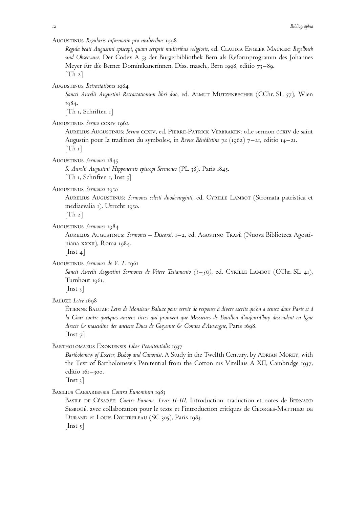Augustinus *Regularis informatio pro mulieribus* 1998

*Regula beati Augustini episcopi, quam scripsit mulieribus religiosis*, ed. Claudia Engler Maurer: *Regelbuch und Observanz*. Der Codex A 53 der Burgerbibliothek Bern als Reformprogramm des Johannes Meyer für die Berner Dominikanerinnen, Diss. masch., Bern 1998, editio 73–89.  $[Th 2]$ 

Augustinus *Retractationes* 1984

*Sancti Aurelii Augustini Retractationum libri duo*, ed. Almut Mutzenbecher (CChr. SL 57), Wien 1984.

[Th 1, Schriften 1]

Augustinus *Sermo* ccxiv 1962

Aurelius Augustinus: *Sermo* ccxiv, ed. Pierre-Patrick Verbraken: »Le sermon ccxiv de saint Augustin pour la tradition du symbole«, in *Revue Bénédictine* 72 (1962) 7–21, editio 14–21.  $[Th_1]$ 

Augustinus *Sermones* 1845

*S. Aurelii Augustini Hipponensis episcopi Sermones* (PL 38), Paris 1845. [Th 1, Schriften 1, Inst 5]

Augustinus *Sermones* 1950

Aurelius Augustinus: *Sermones selecti duodevinginti*, ed. Cyrille Lambot (Stromata patristica et mediaevalia 1), Utrecht 1950.

 $[Th 2]$ 

Augustinus *Sermones* 1984

Aurelius Augustinus: *Sermones – Discorsi*, 1–2, ed. Agostino Trape` (Nuova Biblioteca Agostiniana xxxII), Roma 1984.

 $[$ Inst 4 $]$ 

Augustinus *Sermones de V. T.* 1961

*Sancti Aurelii Augustini Sermones de Vetere Testamento (1–50)*, ed. Cyrille Lambot (CChr. SL 41), Turnhout 1961.

 $[$ Inst 3 $]$ 

BALUZE Letre 1698

ÉTIENNE BALUZE: *Letre de Monsieur Baluze pour servir de response à divers escrits qu'on a semez dans Paris et à la Cour contre quelques anciens titres qui prouvent que Messieurs de Bouillon d'aujourd'huy descendent en ligne directe & masculine des anciens Ducs de Guyenne & Comtes d'Auvergne*, Paris 1698.  $[$ Inst  $7]$ 

Bartholomaeus Exoniensis *Liber Poenitentialis* 1937

Bartholomew of Exeter, Bishop and Canonist. A Study in the Twelfth Century, by ADRIAN MOREY, with the Text of Bartholomew's Penitential from the Cotton ms Vitellius A XII, Cambridge 1937, editio 161-300.

 $[$ Inst 3 $]$ 

Basilius Caesariensis *Contra Eunomium* 1983

BASILE DE CÉSARÉE: *Contre Eunome. Livre II-III*. Introduction, traduction et notes de BERNARD SESBOÜÉ, avec collaboration pour le texte et l'introduction critiques de GEORGES-MATTHIEU DE DURAND et LOUIS DOUTRELEAU (SC 305), Paris 1983.

 $[$ Inst  $\frac{1}{2}$ ]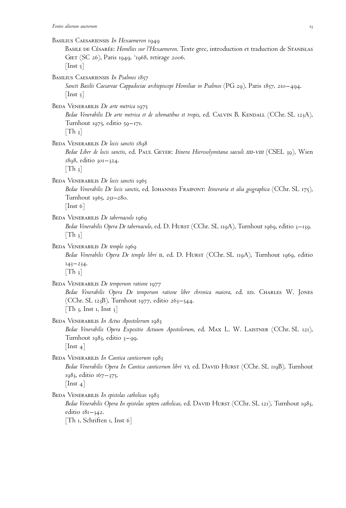Basilius Caesariensis *In Hexaemeron* 1949 Basile de Césarée: *Homélies sur l'Hexaemeron*. Texte grec, introduction et traduction de Stanislas GIET (SC 26), Paris 1949, 21968, retirage 2006.  $[$ Inst  $\frac{1}{2}$ Basilius Caesariensis *In Psalmos* 1857 *Sancti Basilii Caesareae Cappadociae archiepiscopi Homiliae in Psalmos* (PG 29), Paris 1857, 210–494.  $[$ Inst  $\frac{1}{2}$ ] BEDA VENERABILIS *De arte metrica* 1975 Bedae Venerabilis De arte metrica et de schematibus et tropis, ed. CALVIN B. KENDALL (CChr. SL 123A), Turnhout 1975, editio 59–171.  $[Th_3]$ Beda Venerabilis *De locis sanctis* 1898 *Bedae Liber de locis sanctis*, ed. Paul Geyer: *Itinera Hierosolymitana saeculi* iiii-viii (CSEL 39), Wien 1898, editio 301–324.  $[Th_3]$ Beda Venerabilis *De locis sanctis* 1965 *Bedae Venerabilis De locis sanctis*, ed. Iohannes Fraipont: *Itineraria et alia geographica* (CChr. SL 175), Turnhout 1965, 251–280.  $[$ Inst 6 $]$ Beda Venerabilis *De tabernaculo* 1969 *Bedae Venerabilis Opera De tabernaculo*, ed. D. Hurst (CChr. SL 119A), Turnhout 1969, editio 3–139.  $[Th_3]$ BEDA VENERABILIS *De templo* 1969 Bedae Venerabilis Opera De templo libri II, ed. D. HURST (CChr. SL 119A), Turnhout 1969, editio  $143 - 234.$  $[Th_3]$ BEDA VENERABILIS *De temporum ratione* 1977 *Bedae Venerabilis Opera De temporum ratione liber chronica maiora*, ed. ed. Charles W. Jones (CChr. SL 123B), Turnhout 1977, editio 263–544.  $[Th_3, Inst_1, Inst_3]$ Beda Venerabilis *In Actus Apostolorum* 1983 *Bedae Venerabilis Opera Expositio Actuum Apostolorum*, ed. Max L. W. Laistner (CChr. SL 121), Turnhout 1983, editio 3–99.  $[$ Inst 4 $]$ BEDA VENERABILIS *In Cantica canticorum* 1983 Bedae Venerabilis Opera In Cantica canticorum libri *v*I, ed. DAVID HURST (CChr. SL 119B), Turnhout 1983, editio 167–375.  $[$ Inst 4 $]$ BEDA VENERABILIS In epistolas catholicas 1983 *Bedae Venerabilis Opera In epistolas septem catholicas*, ed. David Hurst (CChr. SL 121), Turnhout 1983, editio 181–342. [Th 1, Schriften 1, Inst 6]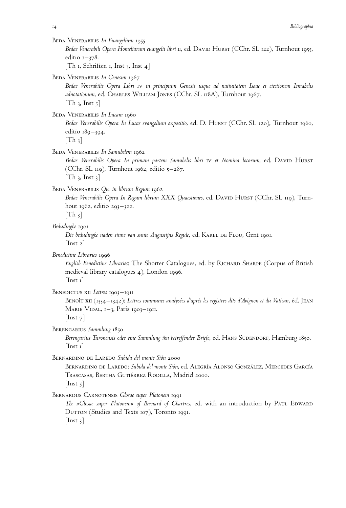Beda Venerabilis *In Euangelium* 1955

*Bedae Venerabili Opera Homeliarum euangelii libri* ii, ed. David Hurst (CChr. SL 122), Turnhout 1955, editio  $1 - 378$ .

[Th 1, Schriften 1, Inst 3, Inst 4]

BEDA VENERABILIS *In Genesim* 1967

*Bedae Venerabilis Opera Libri* iv *in principium Genesis usque ad natiuitatem Isaac et eiectionem Ismahelis adnotationum*, ed. Charles William Jones (CChr. SL 118A), Turnhout 1967.  $[Th_3, Inst_5]$ 

BEDA VENERABILIS In Lucam 1960

Bedae Venerabilis Opera In Lucae evangelium expositio, ed. D. HURST (CChr. SL 120), Turnhout 1960, editio 189–394.

 $[Th_3]$ 

Beda Venerabilis *In Samuhelem* 1962

*Bedae Venerabilis Opera In primam partem Samuhelis libri* iv *et Nomina locorum*, ed. David Hurst (CChr. SL 119), Turnhout 1962, editio  $5-287$ .  $[Th_3, Inst_3]$ 

#### Beda Venerabilis *Qu. in librum Regum* 1962

*Bedae Venerabilis Opera In Regum librum XXX Quaestiones*, ed. David Hurst (CChr. SL 119), Turnhout 1962, editio 293–322.

 $[Th_3]$ 

# *Bedudinghe* 1901

Die bedudinghe naden sinne van sunte Augustijns Regule, ed. KAREL DE FLOU, Gent 1901.  $[$ Inst 2 $]$ 

*Benedictine Libraries* 1996

*English Benedictine Libraries*: The Shorter Catalogues, ed. by Richard Sharpe (Corpus of British medieval library catalogues 4), London 1996.

 $[$ Inst 1 $]$ 

BENEDICTUS XII *Lettres* 1903–1911

Benoî $\tau$  xII (1334–1342): Lettres communes analysées d'après les registres dits d'Avignon et du Vatican, éd. Jean MARIE VIDAL,  $1-\lambda$ , Paris 1903–1911.

 $[$ Inst  $7]$ 

#### Berengarius *Sammlung* 1850

Berengarius Turonensis oder eine Sammlung ihn betreffender Briefe, ed. HANS SUDENDORF, Hamburg 1850.  $[$ Inst 1 $]$ 

BERNARDINO DE LAREDO *Subida del monte Sión* 2000

BERNARDINO DE LAREDO: Subida del monte Sión, ed. ALEGRÍA ALONSO GONZÁLEZ, MERCEDES GARCÍA TRASCASAS, BERTHA GUTIÉRREZ RODILLA, Madrid 2000.  $[$ Inst 5 $]$ 

Bernardus Carnotensis *Glosae super Platonem* 1991

*The »Glosae super Platonem« of Bernard of Chartres, ed. with an introduction by Paul Edward* DUTTON (Studies and Texts 107), Toronto 1991.  $[$ Inst 3 $]$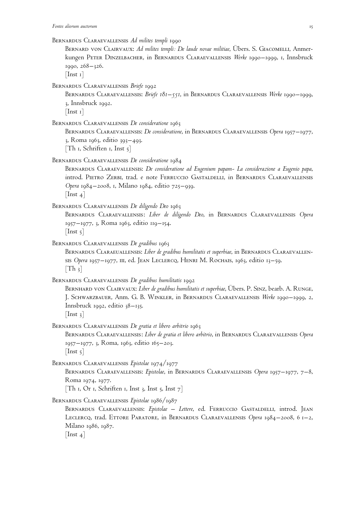BERNARD VON CLAIRVAUX: Ad milites templi: De laude novae militiae, Ubers. S. GIACOMELLI, Anmerkungen Peter Dinzelbacher, in Bernardus Claraevallensis *Werke* 1990–1999, 1, Innsbruck 1990, 268–326.

 $[$ Inst 1 $]$ 

Bernardus Claraevallensis *Briefe* 1992

Bernardus Claraevallensis: *Briefe 181–551*, in Bernardus Claraevallensis *Werke* 1990–1999, 3, Innsbruck 1992.

 $[$ Inst 1 $]$ 

Bernardus Claraevallensis *De consideratione* 1963

Bernardus Claraevallensis: *De consideratione*, in Bernardus Claraevallensis *Opera* 1957–1977, 3, Roma 1963, editio 393–493. [Th 1, Schriften 1, Inst  $5$ ]

Bernardus Claraevallensis *De consideratione* 1984

Bernardus Claraevallensis: *De consideratione ad Eugenium papam- La considerazione a Eugenio papa*, introd. Pietro Zerbi, trad. e note Ferruccio Gastaldelli, in Bernardus Claraevallensis *Opera* 1984–2008, 1, Milano 1984, editio 725–939.

 $[$ Inst 4 $]$ 

Bernardus Claraevallensis *De diligendo Deo* 1963

Bernardus Claraevallensis: *Liber de diligendo Deo*, in Bernardus Claraevallensis *Opera* 1957–1977, 3, Roma 1963, editio 119–154.

 $[$ Inst  $\frac{1}{2}$ 

Bernardus Claraevallensis *De gradibus* 1963

BERNARDUS CLARAEUALLENSIS: *Liber de gradibus humilitatis et superbiae*, in BERNARDUS CLARAEVALLENsis Opera 1957–1977, III, ed. JEAN LECLERCQ, HENRI M. ROCHAIS, 1963, editio 13–59.  $[Th_3]$ 

Bernardus Claraevallensis *De gradibus humilitatis* 1992

Bernhard von Clairvaux: *Liber de gradibus humilitatis et superbiae*, Übers. P. Sinz, bearb. A. Runge, J. Schwarzbauer, Anm. G. B. Winkler, in Bernardus Claraevallensis *Werke* 1990–1999, 2, Innsbruck 1992, editio 38–135.

 $[$ Inst 3 $]$ 

Bernardus Claraevallensis *De gratia et libero arbitrio* 1963

Bernardus Claraevallensis: *Liber de gratia et libero arbitrio*, in Bernardus Claraevallensis *Opera* 1957–1977, 3, Roma, 1963, editio 165–203.

 $[$ Inst 5 $]$ 

Bernardus Claraevallensis *Epistolae* 1974/1977

Bernardus Claraevallensis: *Epistolae*, in Bernardus Claraevallensis *Opera* 1957–1977, 7–8, Roma 1974, 1977.

[Th 1, Or 1, Schriften 1, Inst 3, Inst 5, Inst  $7$ ]

Bernardus Claraevallensis *Epistolae* 1986/1987

Bernardus Claraevallensis: *Epistolae – Lettere*, ed. Ferruccio Gastaldelli, introd. Jean Leclercq, trad. Ettore Paratore, in Bernardus Claraevallensis *Opera* 1984–2008, 6 1–2, Milano 1986, 1987.

 $[$ Inst 4 $]$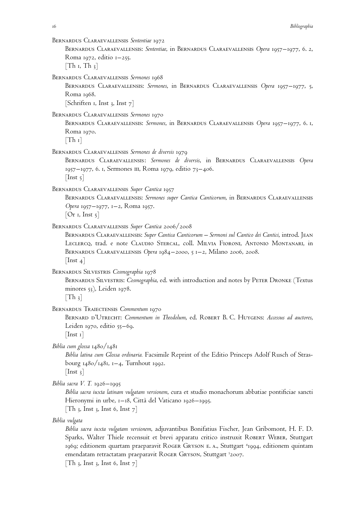Bernardus Claraevallensis *Sententiae* 1972

Bernardus Claraevallensis: *Sententiae*, in Bernardus Claraevallensis *Opera* 1957–1977, 6. 2, Roma 1972, editio  $1-255$ .  $[Th_1, Th_3]$ 

Bernardus Claraevallensis *Sermones* 1968

Bernardus Claraevallensis: *Sermones*, in Bernardus Claraevallensis *Opera* 1957–1977, 5, Roma 1968.

[Schriften 1, Inst 3, Inst  $7$ ]

Bernardus Claraevallensis *Sermones* 1970

Bernardus Claraevallensis: *Sermones*, in Bernardus Claraevallensis *Opera* 1957–1977, 6. 1, Roma 1970.

 $[Th_1]$ 

Bernardus Claraevallensis *Sermones de diversis* 1979

Bernardus Claraevallensis: *Sermones de diversis*, in Bernardus Claraevallensis *Opera* 1957–1977, 6. 1, Sermones III, Roma 1979, editio 73–406.  $[$ Inst  $\frac{1}{2}$ ]

Bernardus Claraevallensis *Super Cantica* 1957

Bernardus Claraevallensis: *Sermones super Cantica Canticorum*, in Bernardus Claraevallensis *Opera* 1957–1977, 1–2, Roma 1957.

 $[Or I, Inst 5]$ 

Bernardus Claraevallensis *Super Cantica* 2006/2008

Bernardus Claraevallensis: *Super Cantica Canticorum – Sermoni sul Cantico dei Cantici*, introd. Jean Leclercq, trad. e note Claudio Stercal, coll. Milvia Fioroni, Antonio Montanari, in Bernardus Claraevallensis *Opera* 1984–2000, 5 1–2, Milano 2006, 2008.  $[$ Inst 4 $]$ 

Bernardus Silvestris *Cosmographia* 1978

Bernardus Silvestris: *Cosmographia*, ed. with introduction and notes by Peter Dronke (Textus minores 53), Leiden 1978.

 $|Th_3|$ 

Bernardus Traiectensis *Commentum* 1970

Bernard d'Utrecht: *Commentum in Theodolum*, ed. Robert B. C. Huygens: *Accessus ad auctores*, Leiden 1970, editio 55–69.

 $[$ Inst 1 $]$ 

*Biblia cum glossa* 1480/1481

*Biblia latina cum Glossa ordinaria.* Facsimile Reprint of the Editio Princeps Adolf Rusch of Strasbourg 1480/1481, 1–4, Turnhout 1992.  $[$ Inst 3 $]$ 

*Biblia sacra V. T.* 1926–1995

*Biblia sacra iuxta latinam vulgatam versionem*, cura et studio monachorum abbatiae pontificiae sancti Hieronymi in urbe, 1–18, Città del Vaticano 1926–1995.

[Th 3, Inst 3, Inst 6, Inst  $7$ ]

*Biblia vulgata*

*Biblia sacra iuxta vulgatam versionem*, adjuvantibus Bonifatius Fischer, Jean Gribomont, H. F. D. Sparks, Walter Thiele recensuit et brevi apparatu critico instruxit ROBERT WEBER, Stuttgart 1969; editionem quartam praeparavit Roger Gryson e. A., Stuttgart <sup>4</sup>1994, editionem quintam emendatam retractatam praeparavit Roger Gryson, Stuttgart <sup>5</sup>2007.

[Th 3, Inst 3, Inst 6, Inst  $7$ ]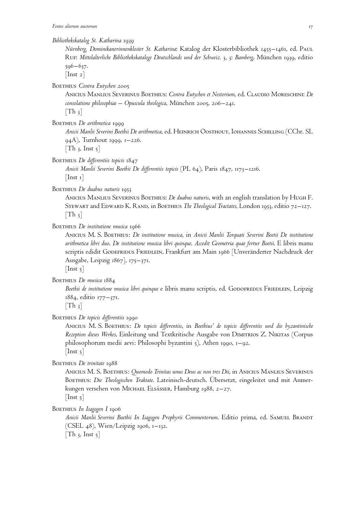*Bibliothekskatalog St. Katharina* 1939

*Nürnberg, Dominikanerinnenkloster St. Katharina*: Katalog der Klosterbibliothek 1455–1461, ed. Paul Ruf: *Mittelalterliche Bibliothekskataloge Deutschlands und der Schweiz*. 3, 3: *Bamberg*, München 1939, editio 596–637.

 $[$ Inst 2 $]$ 

BOETHIUS Contra Eutychen 2005

Anicius Manlius Severinus Boethius: *Contra Eutychen et Nestorium*, ed. Claudio Moreschini: *De consolatione philosophiae – Opuscula theologica*, München 2005, 206–241.

 $[Th_3]$ 

BOETHIUS *De arithmetica* 1999

*Anicii Manlii Severini Boethii De arithmetica*, ed. Heinrich Oosthout, Iohannes Schilling (CChr. SL 94A), Turnhout 1999, 1–226.  $[Th_3, Inst_5]$ 

BOETHIUS *De differentiis* topicis 1847

*Anicii Manlii Severini Boethii De differentiis topicis* (PL 64), Paris 1847, 1173–1216.  $[$ Inst 1 $]$ 

BOETHIUS *De duabus naturis* 1953

Anicius Manlius Severinus Boethius: *De duabus naturis*, with an english translation by Hugh F. Stewart and Edward K. Rand, in Boethius *The Theological Tractates*, London 1953, editio 72–127.  $[Th_3]$ 

BOETHIUS *De institutione musica* 1966

Anicius M. S. Boethius: *De institutione musica*, in *Anicii Manlii Torquati Severini Boetii De institutione arithmetica libri duo*. *De institutione musica libri quinque*. *Accedit Geometria quae fertur Boetii*. E libris manu scriptis edidit GODEFRIDUS FRIEDLEIN, Frankfurt am Main 1966 [Unveränderter Nachdruck der Ausgabe, Leipzig 1867], 175–371.

 $[$ Inst 5 $]$ 

BOETHIUS De musica 1884

Boethii de institutione musica libri quinque e libris manu scriptis, ed. GODOFREDUS FRIEDLEIN, Leipzig 1884, editio 177–371.

 $[Th_3]$ 

BOETHIUS *De topicis differentiis* 1990

Anicius M. S. Boethius: *De topicis differentiis*, in *Boethius' de topicis differentiis und die byzantinische Rezeption dieses Werkes*, Einleitung und Textkritische Ausgabe von Dimitrios Z. Nikitas (Corpus philosophorum medii aevi: Philosophi byzantini 5), Athen 1990, 1–92.  $[$ Inst 5 $]$ 

Boethius *De trinitate* 1988

Anicius M. S. Boethius: *Quomodo Trinitas unus Deus ac non tres Dii*, in Anicius Manlius Severinus Boethius: *Die Theologischen Traktate*. Lateinisch-deutsch. Übersetzt, eingeleitet und mit Anmerkungen versehen von Michael Elsässer, Hamburg 1988, 2–27.  $[$ Inst  $5]$ 

BOETHIUS In Isagogen I 1906

*Anicii Manlii Severini Boethii In Isagogen Prophyrii Commentorum*. Editio prima, ed. Samuel Brandt (CSEL 48), Wien/Leipzig 1906, 1–132.  $[Th_3, Inst_5]$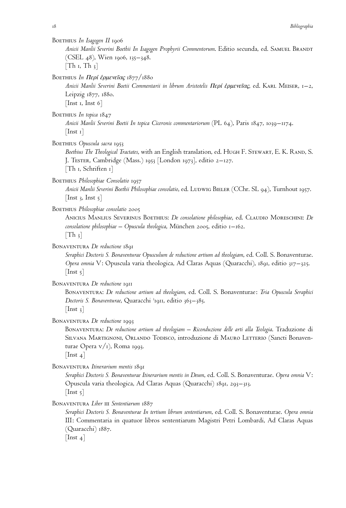BOETHIUS In Isagogen II 1906

*Anicii Manlii Severini Boethii In Isagogen Prophyrii Commentorum*. Editio secunda, ed. Samuel Brandt (CSEL 48), Wien 1906, 135–348.

 $[Th_1, Th_3]$ 

Boethius *In Περί έρμενεΐας* 1877/1880

*Anicii Manlii Severini Boetii Commentarii in librum Aristotelis*  $\Pi$ *epi <i>έρμενεΐας*, ed. KARL MEISER, 1–2, Leipzig 1877, 1880. [Inst 1, Inst  $6$ ]

BOETHIUS In topica 1847

*Anicii Manlii Severini Boetii In topica Ciceronis commentariorum* (PL 64), Paris 1847, 1039–1174.  $[$ Inst 1 $]$ 

BOETHIUS Opuscula sacra 1953

*Boethius The Theological Tractates*, with an English translation, ed. Hugh F. Stewart, E. K. Rand, S. J. Tester, Cambridge (Mass.) 1953 [London 1973], editio 2–127. [Th 1, Schriften 1]

BOETHIUS *Philosophiae Consolatio* 1957

*Anicii Manlii Severini Boethii Philosophiae consolatio*, ed. Ludwig Bieler (CChr. SL 94), Turnhout 1957.  $\vert$  Inst 3, Inst 5 $\vert$ 

BOETHIUS Philosophiae consolatio 2005

Anicius Manlius Severinus Boethius: *De consolatione philosophiae*, ed. Claudio Moreschini: *De consolatione philosophiae – Opuscula theologica*, München 2005, editio 1–162.  $[Th_3]$ 

#### Bonaventura *De reductione* 1891

*Seraphici Doctoris S. Bonaventurae Opusculum de reductione artium ad theologiam*, ed. Coll. S. Bonaventurae. *Opera omnia* V: Opuscula varia theologica, Ad Claras Aquas (Quaracchi), 1891, editio 317–325.  $[$ Inst 5 $]$ 

#### Bonaventura *De reductione* 1911

Bonaventura: *De reductione artium ad theologiam*, ed. Coll. S. Bonaventurae: *Tria Opuscula Seraphici Doctoris S. Bonaventurae*, Quaracchi <sup>3</sup> 1911, editio 363–385.  $[$ Inst 3 $]$ 

Bonaventura *De reductione* 1993

Bonaventura: *De reductione artium ad theologiam – Riconduzione delle arti alla Teologia*. Traduzione di SILVANA MARTIGNONI, ORLANDO TODISCO, introduzione di MAURO LETTERIO (Sancti Bonaventurae Opera  $v/r$ ), Roma 1993.

 $[$ Inst 4 $]$ 

Bonaventura *Itinerarium mentis* 1891

*Seraphici Doctoris S. Bonaventurae Itinerarium mentis in Deum*, ed. Coll. S. Bonaventurae. *Opera omnia* V: Opuscula varia theologica, Ad Claras Aquas (Quaracchi) 1891, 293–313.  $[$ Inst  $5]$ 

Bonaventura *Liber* iii *Sententiarum* 1887

*Seraphici Doctoris S. Bonaventurae In tertium librum sententiarum*, ed. Coll. S. Bonaventurae. *Opera omnia* III: Commentaria in quatuor libros sententiarum Magistri Petri Lombardi, Ad Claras Aquas (Quaracchi) 1887.

 $[$ Inst 4 $]$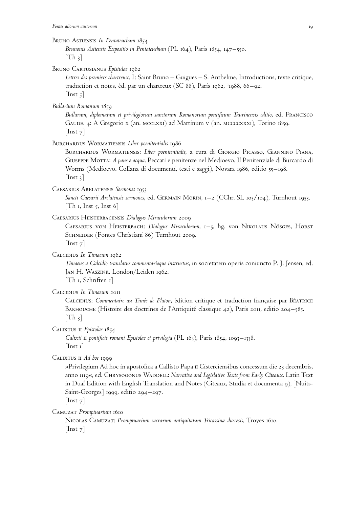#### Bruno Astiensis *In Pentateuchum* 1854

*Brunonis Astiensis Expositio in Pentateuchum* (PL 164), Paris 1854, 147–550.  $[Th_3]$ 

Bruno Cartusianus *Epistulae* 1962

*Lettres des premiers chartreux*. I: Saint Bruno – Guigues – S. Anthelme. Introductions, texte critique, traduction et notes, éd. par un chartreux (SC 88), Paris 1962, <sup>2</sup>1988, 66–92.  $[$ Inst 5 $]$ 

*Bullarium Romanum* 1859

*Bullarum, diplomatum et privilegiorum sanctorum Romanorum pontificum Taurinensis editio*, ed. Francisco Gaude. 4: A Gregorio x (an. mcclxxi) ad Martinum v (an. mccccxxxi), Torino 1859.  $[$ Inst  $7]$ 

Burchardus Wormatiensis *Liber poenitentialis* 1986

Burchardus Wormatiensis: *Liber poenitentialis*, a cura di Giorgio Picasso, Giannino Piana, Giuseppe Motta: *A pane e acqua*. Peccati e penitenze nel Medioevo. Il Penitenziale di Burcardo di Worms (Medioevo. Collana di documenti, testi e saggi), Novara 1986, editio 55–198.  $[$ Inst 3 $]$ 

Caesarius Arelatensis *Sermones* 1953

*Sancti Caesarii Arelatensis sermones*, ed. Germain Morin, 1–2 (CChr. SL 103/104), Turnhout 1953. [Th 1, Inst 5, Inst 6]

Caesarius Heisterbacensis *Dialogus Miraculorum* 2009

Caesarius von Heisterbach: *Dialogus Miraculorum*, 1–5, hg. von Nikolaus Nösges, Horst SCHNEIDER (Fontes Christiani 86) Turnhout 2009.  $[$ Inst  $7]$ 

Calcidius *In Timaeum* 1962

*Timaeus a Calcidio translatus commentarioque instructus*, in societatem operis coniuncto P. J. Jensen, ed. Jan H. Waszink, London/Leiden 1962.

[Th 1, Schriften 1]

Calcidius *In Timaeum* 2011

CALCIDIUS: Commentaire au Timée de Platon, édition critique et traduction française par BéATRICE BAKHOUCHE (Histoire des doctrines de l'Antiquité classique 42), Paris 2011, editio 204–585.  $[Th_3]$ 

CALIXTUS II *Epistolae* 1854

*Calixti* ii *pontificis romani Epistolae et privilegia* (PL 163), Paris 1854, 1093–1338.  $[$ Inst 1 $]$ 

CALIXTUS II *Ad hoc* 1999

»Privilegium Ad hoc in apostolica a Callisto Papa ii Cisterciensibus concessum die 23 decembris, anno 1119«, ed. CHRYSOGONUS WADDELL: *Narrative and Legislative Texts from Early Cîteaux*. Latin Text in Dual Edition with English Translation and Notes (Cîteaux, Studia et documenta 9), [Nuits-Saint-Georges] 1999, editio 294–297.

[Inst<sub>7</sub>]

Camuzat *Promptuarium* 1610

Nicolas Camuzat: *Promptuarium sacrarum antiquitatum Tricassinæ diœcesis*, Troyes 1610. [Inst 7]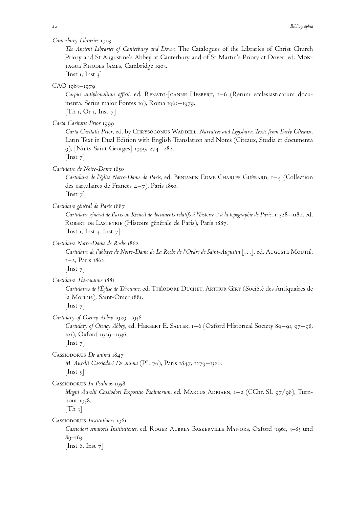*Canterbury Libraries* 1903

*The Ancient Libraries of Canterbury and Dover*: The Catalogues of the Libraries of Christ Church Priory and St Augustine's Abbey at Canterbury and of St Martin's Priory at Dover, ed. Montague Rhodes James, Cambridge 1903.

[Inst 1, Inst  $3$ ]

CAO 1963–1979

*Corpus antiphonalium officii*, ed. Renato-Joanne Hesbert, 1–6 (Rerum ecclesiasticarum documenta. Series maior Fontes 10), Roma 1963–1979.  $[Th_1, Or_1, Inst_7]$ 

*Carta Caritatis Prior* 1999

*Carta Caritatis Prior*, ed. by Chrysogonus Waddell: *Narrative and Legislative Texts from Early Cıˆteaux*. Latin Text in Dual Edition with English Translation and Notes (Cîteaux, Studia et documenta 9), [Nuits-Saint-Georges] 1999, 274–282.

 $[$ Inst  $7]$ 

*Cartulaire de Notre-Dame* 1850

Cartulaire de l'église Notre-Dame de Paris, ed. BENJAMIN EDME CHARLES GUÉRARD, 1–4 (Collection des cartulaires de Frances 4–7), Paris 1850.

 $[$ Inst  $7]$ 

*Cartulaire général de Paris* 1887

*Cartulaire ge´ne´ral de Paris ou Recueil de documents relatifs a` l'histoire et a` la topographie de Paris*. 1: 528–1180, ed. ROBERT DE LASTEYRIE (Histoire générale de Paris), Paris 1887. [Inst 1, Inst 3, Inst  $7$ ]

*Cartulaire Notre-Dame de Roche* 1862

*Cartulaire de l'abbaye de Notre-Dame de La Roche de l'Ordre de Saint-Augustin* […], ed. Auguste Moutie´, 1–2, Paris 1862.

 $[$ Inst  $7]$ 

*Cartulaire The´rouanne* 1881

*Cartulaires de l'Église de Térouane*, ed. Théodore Duchet, Arthur Giry (Société des Antiquaires de la Morinie), Saint-Omer 1881.

 $[$ Inst  $7]$ 

*Cartulary of Oseney Abbey* 1929–1936

Cartulary of Oseney Abbey, ed. HERBERT E. SALTER, 1–6 (Oxford Historical Society 89–91, 97–98, 101), Oxford 1929–1936.

 $[$ Inst  $7]$ 

Cassiodorus *De anima* 1847

*M. Aurelii Cassiodori De anima* (PL 70), Paris 1847, 1279–1320.  $[$ Inst 5 $]$ 

Cassiodorus *In Psalmos* 1958

*Magni Aurelii Cassiodori Expositio Psalmorum*, ed. MARCUS ADRIAEN, 1–2 (CChr. SL 97/98), Turnhout 1958.

 $[Th_3]$ 

Cassiodorus *Institutiones* 1961

Cassiodori senatoris Institutiones, ed. ROGER AUBREY BASKERVILLE MYNORS, Oxford<sup>2</sup>1961, 3-85 und 89–163.

[Inst 6, Inst  $7$ ]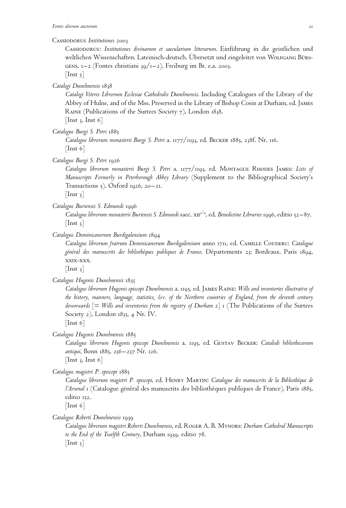#### Cassiodorus *Institutiones* 2003

Cassiodorus: *Institutiones divinarum et saecularium litterarum*. Einführung in die geistlichen und weltlichen Wissenschaften. Lateinisch-deutsch. Übersetzt und eingeleitet von Wolfgang Bürs-GENS,  $1-2$  (Fontes christiani 39/ $1-2$ ), Freiburg im Br. e.a. 2003.  $[$ Inst  $\frac{1}{2}]$ 

*Catalogi Dunelmensis* 1838

*Catalogi Veteres Librorum Ecclesiae Cathedralis Dunelmensis*. Including Catalogues of the Library of the Abbey of Hulne, and of the Mss. Preserved in the Library of Bishop Cosin at Durham, ed. James Raine (Publications of the Surtees Society 7), London 1838. [Inst 3, Inst 6]

*Catalogus Burgi S. Petri* 1885

*Catalogus librorum monasterii Burgi S. Petri* a. 1177/1193, ed. Becker 1885, 238f. Nr. 116. [Inst 6]

*Catalogus Burgi S. Petri* 1926

*Catalogus librorum monasterii Burgi S. Petri* a. 1177/1193, ed. Montague Rhodes James: *Lists of Manuscripts Formerly in Peterborough Abbey Library* (Supplement to the Bibliographical Society's Transactions  $5$ ), Oxford 1926, 20–21.

 $[$ Inst 3 $]$ 

*Catalogus Buriensis S. Edmundi* 1996

Catalogus librorum monasterii Buriensis S. Edmundi saec. x $\pi^{3/4}$ , ed. *Benedictine Libraries* 1996, editio 52–87.  $[$ Inst  $3]$ 

*Catalogus Dominicanorum Burdigalensium* 1894

*Catalogus librorum fratrum Dominicanorum Burdigalensium* anno 1711, ed. Camille Couderc: *Catalogue* général des manuscrits des bibliothèques publiques de France. Départements 23: Bordeaux, Paris 1894, xxix-xxx.

 $[$ Inst 3 $]$ 

*Catalogus Hugonis Dunelmensis* 1835

*Catalogus librorum Hugonis episcopi Dunelmensis* a. 1195, ed. James Raine: *Wills and inventories illustrative of the history, manners, language, statistics, &c. of the Northern countries of England, from the eleventh century downwards* [= *Wills and inventories from the registry of Durham* 2] 1 (The Publications of the Surtees Society 2), London 1835, 4 Nr. IV.

 $[$ Inst 6 $]$ 

*Catalogus Hugonis Dunelmensis* 1885

*Catalogus librorum Hugonis episcopi Dunelmensis* a. 1195, ed. Gustav Becker: *Catalodi bibliothecarum antiqui*, Bonn 1885, 256–257 Nr. 126.

[Inst 3, Inst 6]

*Catalogus magistri P. episcopi* 1885

*Catalogus librorum magistri P. episcopi*, ed. Henry Martin: *Catalogue des manuscrits de la Bibliothe`que de l'Arsenal* 1 (Catalogue général des manuscrits des bibliothèques publiques de France), Paris 1885, editio 152.

 $[$ Inst 6 $]$ 

*Catalogus Roberti Dunelmensis* 1939

*Catalogus librorum magistri Roberti Dunelmensis*, ed. Roger A. B. Mynors: *Durham Cathedral Manuscripts to the End of the Twelfth Century*, Durham 1939, editio 78.  $[$ Inst  $_3]$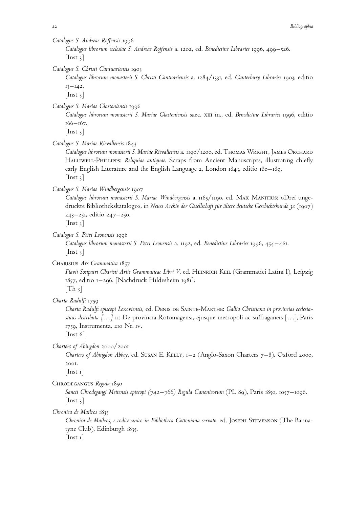*Catalogus S. Andreae Roffensis* 1996

*Catalogus librorum ecclesiae S. Andreae Roffensis* a. 1202, ed. *Benedictine Libraries* 1996, 499–526.  $[$ Inst 3 $]$ 

*Catalogus S. Christi Cantuariensis* 1903

*Catalogus librorum monasterii S. Christi Cantuariensis* a. 1284/1331, ed. *Canterbury Libraries* 1903, editio  $13 - 142.$ 

 $[$ Inst  $_3]$ 

*Catalogus S. Mariae Glastoniensis* 1996

*Catalogus librorum monasterii S. Mariae Glastoniensis* saec. xiii in., ed. *Benedictine Libraries* 1996, editio 166–167.

 $[$ Inst  $_3]$ 

*Catalogus S. Mariae Rievallensis* 1843

*Catalogus librorum monasterii S. Mariae Rievallensis* a. 1190/1200, ed. Thomas Wright, James Orchard Halliwell-Phillipps: *Reliquiae antiquae*. Scraps from Ancient Manuscripts, illustrating chiefly early English Literature and the English Language 2, London 1843, editio 180–189.  $[$ Inst 3 $]$ 

*Catalogus S. Mariae Windbergensis* 1907

*Catalogus librorum monasterii S. Mariae Windbergensis* a. 1165/1190, ed. Max Manitius: »Drei ungedruckte Bibliothekskataloge«, in *Neues Archiv der Gesellschaft für ältere deutsche Geschichtskunde 32* (1907) 243–251, editio 247–250.

 $[$ Inst 3 $]$ 

*Catalogus S. Petri Leonensis* 1996

*Catalogus librorum monasterii S. Petri Leonensis* a. 1192, ed. *Benedictine Libraries* 1996, 454–461.  $[$ Inst 3 $]$ 

Charisius *Ars Grammatica* 1857

*Flavii Sosipatri Charisii Artis Grammaticae Libri V*, ed. Heinrich Keil (Grammatici Latini I), Leipzig 1857, editio 1–296. [Nachdruck Hildesheim 1981].  $[Th_3]$ 

*Charta Radulfi* 1759

*Charta Radulfi episcopi Lexoviensis*, ed. Denis de Sainte-Marthe: *Gallia Christiana in provincias ecclesiasticas distributa [*…*]* 11: De provincia Rotomagensi, ejusque metropoli ac suffraganeis […], Paris 1759, Instrumenta, 210 Nr. iv.

[Inst 6]

*Charters of Abingdon* 2000/2001

*Charters of Abingdon Abbey*, ed. Susan E. Kelly, 1–2 (Anglo-Saxon Charters 7–8), Oxford 2000, 2001.

[Inst 1]

Chrodegangus *Regula* 1850

*Sancti Chrodegangi Mettensis episcopi (742–766) Regula Canonicorum* (PL 89), Paris 1850, 1057–1096.  $[$ Inst  $3]$ 

*Chronica de Mailros* 1835

*Chronica de Mailros, e codice unico in Bibliotheca Cottoniana servato*, ed. Joseph Stevenson (The Bannatyne Club), Edinburgh 1835.  $[$ Inst 1 $]$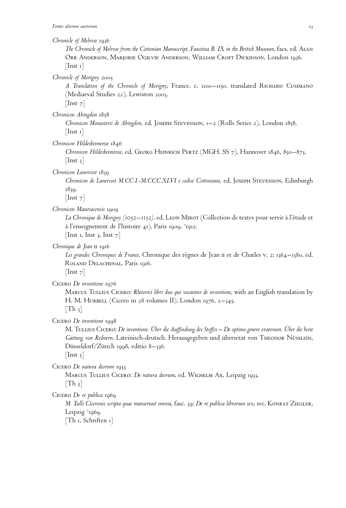*Chronicle of Melrose* 1936

*The Chronicle of Melrose from the Cottonian Manuscript, Faustina B. IX in the British Museum*, facs. ed. Alan Orr Anderson, Marjorie Ogilvie Anderson, William Croft Dickinson, London 1936.  $[$ Inst 1 $]$ 

*Chronicle of Morigny* 2003

*A Translation of the Chronicle of Morigny*, France, c. 1100–1150, translated Richard Cusimano (Mediaeval Studies 22), Lewiston 2003.

 $[$ Inst  $7]$ 

*Chronicon Abingdon* 1858

*Chronicon Monasterii de Abingdon*, ed. Joseph Stevenson, 1–2 (Rolls Series 2), London 1858.  $|$  Inst 1 $|$ 

*Chronicon Hildesheimense* 1846

*Chronicon Hildesheimense*, ed. Georg Heinrich Pertz (MGH. SS 7), Hannover 1846, 850–873.  $[$ Inst 3 $]$ 

*Chronicon Lanercost* 1839

*Chronicon de Lanercost M.CC.I.-M.CCC.XLVI e codice Cottoniano*, ed. Joseph Stevenson, Edinburgh 1839.

 $[$ Inst  $7]$ 

# *Chronicon Mauriacensis* 1909

*La Chronique de Morigny (1052–1152)*, ed. Leon Mirot (Collection de textes pour servir a` l'e´tude et à l'enseignement de l'histoire 41), Paris 1909, <sup>2</sup>1912. [Inst 1, Inst 3, Inst  $7$ ]

*Chronique de Jean* ii 1916

Les grandes Chroniques de France. Chronique des règnes de Jean II et de Charles v. 2: 1364–1380, ed. ROLAND DELACHENAL, Paris 1916.

 $[$ Inst  $7]$ 

Cicero *De inventione* 1976

Marcus Tullius Cicero: *Rhetorici libri duo qui vocantur de inventione*, with an English translation by H. M. HURBELL (Cicero in 28 volumes II), London 1976, 2–345.  $[Th_3]$ 

Cicero *De inventione* 1998

M. Tullius Cicero: *De inventione. Über die Auffindung des Stoffes* – *De optimo genere oratorum. Über die beste* Gattung von Rednern. Lateinisch-deutsch. Herausgegeben und übersetzt von THEODOR NÜSSLEIN, Düsseldorf/Zürich 1998, editio 8–336.

 $[$ Inst  $5]$ 

Cicero *De natura deorum* 1933

Marcus Tullius Cicero: *De natura deorum*, ed. Wilhelm Ax, Leipzig 1933.

 $[Th_3]$ 

Cicero *De re publica* 1969

*M. Tulli Ciceronis scripta quae manserunt omnia*, fasc. 39: *De re publica librorum sex*, rec. Konrat Ziegler, Leipzig 71969.

[Th 1, Schriften 1]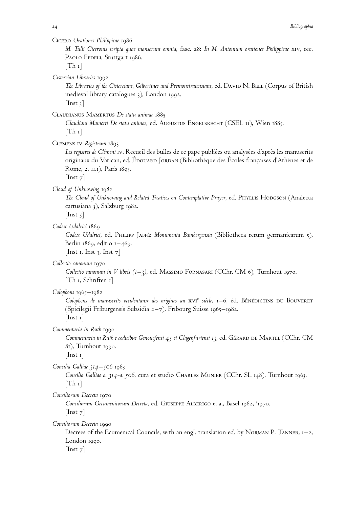Cicero *Orationes Philippicae* 1986

*M. Tulli Ciceronis scripta quae manserunt omnia*, fasc. 28: *In M. Antonium orationes Philippicae* xiv, rec. PAOLO FEDELI, Stuttgart 1986.

 $[Th_1]$ 

*Cistercian Libraries* 1992

The Libraries of the Cistercians, Gilbertines and Premonstratensians, ed. DAVID N. BELL (Corpus of British medieval library catalogues 3), London 1992.  $[$ Inst 3 $]$ 

Claudianus Mamertus *De statu animae* 1885

*Claudiani Mamerti De statu animae*, ed. Augustus Engelbrecht (CSEL 11), Wien 1885.  $[Th_1]$ 

Clemens iv *Registrum* 1893

Les registres de Clément<sup>I</sup> iv. Recueil des bulles de ce pape publiées ou analysées d'après les manuscrits originaux du Vatican, ed. ÉDOUARD JORDAN (Bibliothèque des Écoles françaises d'Athènes et de Rome, 2, 11.1), Paris 1893.

 $[$ Inst  $7]$ 

*Cloud of Unknowing* 1982

*The Cloud of Unknowing and Related Treatises on Contemplative Prayer*, ed. Phyllis Hodgson (Analecta cartusiana 3), Salzburg 1982.

 $[$ Inst 5 $]$ 

*Codex Udalrici* 1869

*Codex Udalrici*, ed. Philipp Jaffe´: *Monumenta Bambergensia* (Bibliotheca rerum germanicarum 5), Berlin  $1869$ , editio  $1-469$ .

[Inst 1, Inst 3, Inst  $7$ ]

*Collectio canonum* 1970

*Collectio canonum in V libris (1–3)*, ed. Massimo Fornasari (CChr. CM 6), Turnhout 1970. [Th 1, Schriften 1]

*Colophons* 1965–1982

Colophons de manuscrits occidentaux des origines au xvi<sup>e</sup> siècle, 1–6, éd. BénéDICTINS DU BOUVERET (Spicilegii Friburgensis Subsidia 2–7), Fribourg Suisse 1965–1982.  $[$ Inst 1 $]$ 

*Commentaria in Ruth* 1990

*Commentaria in Ruth e codicibus Genouefensi 45 et Clagenfurtensi 13*, ed. Ge´rard de Martel (CChr. CM 81), Turnhout 1990.

 $[$ Inst 1 $]$ 

*Concilia Galliae 314–506* 1963

*Concilia Galliae a. 314-a. 506*, cura et studio Charles Munier (CChr. SL 148), Turnhout 1963.  $[Th_1]$ 

*Conciliorum Decreta* 1970

Conciliorum Oecumenicorum Decreta, ed. GIUSEPPE ALBERIGO e. a., Basel 1962, <sup>3</sup>1970. [Inst<sub>7</sub>]

*Conciliorum Decreta* 1990

Decrees of the Ecumenical Councils, with an engl. translation ed. by Norman P. Tanner, 1–2, London 1990.

[Inst<sub>7</sub>]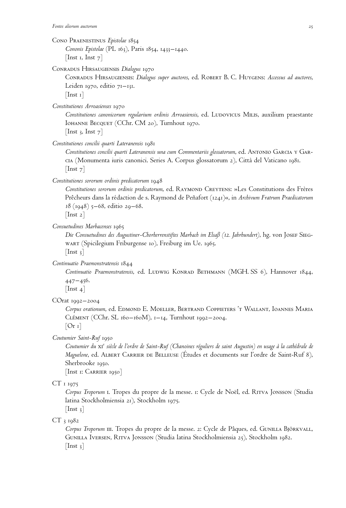Cono Praenestinus *Epistolae* 1854

*Cononis Epistolae* (PL 163), Paris 1854, 1433–1440. [Inst 1, Inst  $7$ ]

Conradus Hirsaugiensis *Dialogus* 1970

Conradus Hirsaugiensis: *Dialogus super auctores*, ed. Robert B. C. Huygens: *Accessus ad auctores*, Leiden 1970, editio 71–131.

 $[$ Inst 1 $]$ 

*Constitutiones Arroasienses* 1970

Constitutiones canonicorum regularium ordinis Arroasiensis, ed. LUDOVICUS MILIS, auxilium praestante Iohanne Becquet (CChr. CM 20), Turnhout 1970.

[Inst 3, Inst  $7$ ]

*Constitutiones concilii quarti Lateranensis* 1981

*Constitutiones concilii quarti Lateranensis una cum Commentariis glossatorum*, ed. Antonio Garcia y Garcia (Monumenta iuris canonici. Series A. Corpus glossatorum 2), Citta` del Vaticano 1981.  $[$ Inst  $7]$ 

*Constitutiones sororum ordinis predicatorum* 1948

Constitutiones sororum ordinis predicatorum, ed. RAYMOND CREYTENS: »Les Constitutions des Frères Prêcheurs dans la rédaction de s. Raymond de Peñafort (1241)«, in Archivum Fratrum Praedicatorum *18* (1948) 5–68, editio 29–68.

[Inst 2]

*Consuetudines Marbacenses* 1965

*Die Consuetudines des Augustiner-Chorherrenstiftes Marbach im Elsaß (12. Jahrhundert)*, hg. von Josef Siegwart (Spicilegium Friburgense 10), Freiburg im Ue. 1965.  $[$ Inst 3 $]$ 

*Continuatio Praemonstratensis* 1844

*Continuatio Praemonstratensis*, ed. LUDWIG KONRAD BETHMANN (MGH. SS 6), Hannover 1844, 447–456.

 $[$ Inst 4 $]$ 

COrat 1992–2004

*Corpus orationum*, ed. Edmond E. Moeller, Bertrand Coppieters 't Wallant, Ioannes Maria CLÉMENT (CChr. SL 160–160M), 1–14, Turnhout 1992–2004.

 $[Or 1]$ 

*Coutumier Saint-Ruf* 1950

*Coutumier du* xi<sup>e</sup> *sie`cle de l'ordre de Saint-Ruf (Chanoines re´guliers de saint Augustin) en usage a` la cathe´drale de Maguelone*, ed. Albert Carrier de Belleuse (E´tudes et documents sur l'ordre de Saint-Ruf 8), Sherbrooke 1950.

[Inst 1: Carrier 1950]

# CT 1 1975

Corpus Troporum I. Tropes du propre de la messe. 1: Cycle de Noël, ed. RITVA JONSSON (Studia latina Stockholmiensia 21), Stockholm 1975.

 $[$ Inst 3 $]$ 

CT 3 1982

Corpus Troporum III. Tropes du propre de la messe. 2: Cycle de Pâques, ed. GUNILLA BJÖRKVALL, Gunilla Iversen, Ritva Jonsson (Studia latina Stockholmiensia 25), Stockholm 1982.  $|$  Inst 3 $|$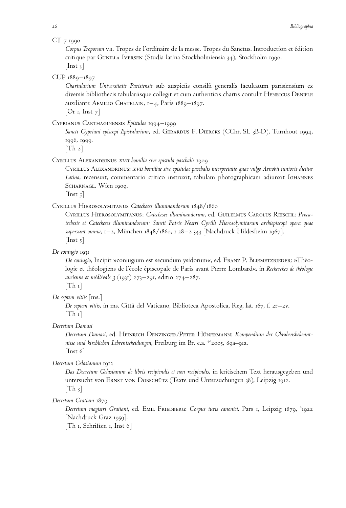#### CT 7 1990

*Corpus Troporum* vii. Tropes de l'ordinaire de la messe. Tropes du Sanctus. Introduction et e´dition critique par Gunilla Iversen (Studia latina Stockholmiensia 34), Stockholm 1990.  $[$ Inst 3 $]$ 

## CUP 1889–1897

*Chartularium Universitatis Parisiensis* sub auspiciis consilii generalis facultatum parisiensium ex diversis bibliothecis tabulariisque collegit et cum authenticis chartis contulit HENRICUS DENIFLE auxiliante Aemilio Chatelain, 1–4, Paris 1889–1897.

 $[Or I, Inst 7]$ 

#### Cyprianus Carthaginensis *Epistulae* 1994–1999

*Sancti Cypriani episcopi Epistularium*, ed. Gerardus F. Diercks (CChr. SL 3B-D), Turnhout 1994, 1996, 1999.

 $[Th 2]$ 

#### Cyrillus Alexandrinus xvii *homilia sive epistula paschalis* 1909

Cyrillus Alexandrinus: xvii *homiliae sive epistulae paschalis interpretatio quae vulgo Arnobii iunioris dicitur Latina*, recensuit, commentario critico instruxit, tabulam photographicam adiunxit Iohannes SCHARNAGL, Wien 1909.

 $[$ Inst  $\frac{1}{2}]$ 

## Cyrillus Hierosolymitanus *Catecheses illuminandorum* 1848/1860

Cyrillus Hierosolymitanus: *Catecheses illuminandorum*, ed. Guilelmus Carolus Reischl: *Procatechesis et Catecheses illuminandorum: Sancti Patris Nostri Cyrilli Hierosolymitarum archiepiscopi opera quae supersunt omnia*, 1–2, München 1848/1860, 1 28–2 343 [Nachdruck Hildesheim 1967].  $[$ Inst  $\frac{1}{2}$ ]

*De coniugio* 1931

*De coniugio*, Incipit »coniugium est secundum ysidorum«, ed. FRANZ P. BLIEMETZRIEDER: »Théologie et théologiens de l'école épiscopale de Paris avant Pierre Lombard«, in *Recherches de théologie ancienne et me´die´vale 3* (1931) 273–291, editio 274–287.  $[Th_1]$ 

*De septem vitiis* [ms.]

*De septem vitiis*, in ms. Citta` del Vaticano, Biblioteca Apostolica, Reg. lat. 167, f. 2r–2v.  $[Th_1]$ 

*Decretum Damasi*

Decretum Damasi, ed. HEINRICH DENZINGER/PETER HÜNERMANN: Kompendium der Glaubensbekennt*nisse und kirchlichen Lehrentscheidungen*, Freiburg im Br. e.a. 402005, 89a–91a. [Inst 6]

*Decretum Gelasianum* 1912

*Das Decretum Gelasianum de libris recipiendis et non recipiendis*, in kritischem Text herausgegeben und untersucht von Ernst von Dobschütz (Texte und Untersuchungen 38), Leipzig 1912.  $[Th_3]$ 

# *Decretum Gratiani* 1879

*Decretum magistri Gratiani*, ed. Emil Friedberg: *Corpus iuris canonici*. Pars 1, Leipzig 1879, <sup>2</sup> 1922 [Nachdruck Graz 1959].

[Th 1, Schriften 1, Inst 6]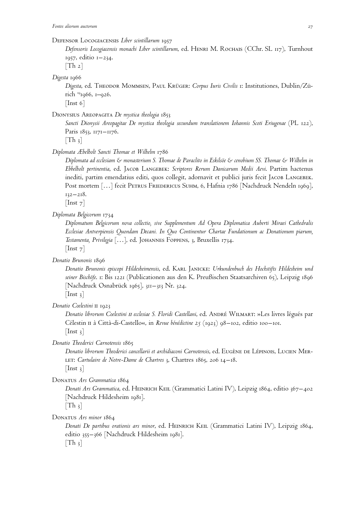# Defensor Locogiacensis *Liber scintillarum* 1957

*Defensoris Locogiacensis monachi Liber scintillarum*, ed. Henri M. Rochais (CChr. SL 117), Turnhout 1957, editio 1–234.

 $[Th_2]$ 

*Digesta* 1966

*Digesta*, ed. Theodor Mommsen, Paul Krüger: *Corpus Iuris Civilis* 1: Institutiones, Dublin/Zürich 191966, 1–926.

 $[$ Inst 6 $]$ 

Dionysius Areopagita *De mystica theologia* 1853

*Sancti Dionysii Areopagitae De mystica theologia secundum translationem Iohannis Scoti Eriugenae* (PL 122), Paris 1853, 1171–1176.

 $[Th_3]$ 

*Diplomata Æbelholt Sancti Thomae et Wilhelm* 1786

*Diplomata ad ecclesiam & monasterium S. Thomae de Paraclito in Eskilsöe & cenobium SS. Thomae & Wilhelm in Ebbelholt pertinentia*, ed. Jacob Langebek: *Scriptores Rerum Danicarum Medii Aevi*. Partim hactenus inediti, partim emendatius editi, quos collegit, adornavit et publici juris fecit JACOB LANGEBEK. Post mortem [...] fecit PETRUS FRIEDERICUS SUHM, 6, Hafnia 1786 [Nachdruck Nendeln 1969], 132–218.

[Inst 7]

*Diplomata Belgicorum* 1734

*Diplomatum Belgicorum nova collectio, sive Supplementum Ad Opera Diplomatica Auberti Miraei Cathedralis Ecclesiae Antverpiensis Quondam Decani. In Quo Continentur Chartae Fundationum ac Donationum piarum, Testamenta, Privilegia* […], ed. Johannes Foppens, 3, Bruxellis 1734.  $[$ Inst  $7]$ 

*Donatio Brunonis* 1896

*Donatio Brunonis episcopi Hildesheimensis*, ed. Karl Janicke: *Urkundenbuch des Hochstifts Hildesheim und seiner Bischöfe*. 1: Bis 1221 (Publicationen aus den K. Preußischen Staatsarchiven 65), Leipzig 1896 [Nachdruck Osnabrück 1965], 311–313 Nr. 324.  $[$ Inst 3 $]$ 

*Donatio Coelestini* ii 1923

*Donatio librorum Coelestini II ecclesiae S. Floridi Castellani*, ed. ANDRÉ WILMART: »Les livres légués par Célestin II à Città-di-Castello«, in *Revue bénédictine* 25 (1923) 98–102, editio 100–101.  $[$ Inst 3 $]$ 

*Donatio Theoderici Carnotensis* 1865

*Donatio librorum Theoderici cancellarii et archidiaconi Carnotensis*, ed. EUGÈNE DE LÉPINOIS, LUCIEN MERlet: *Cartulaire de Notre-Dame de Chartres* 3, Chartres 1865, 206 14–18.  $[$ Inst  $_3]$ 

Donatus *Ars Grammatica* 1864

*Donati Ars Grammatica*, ed. Heinrich Keil (Grammatici Latini IV), Leipzig 1864, editio 367–402 [Nachdruck Hildesheim 1981].

 $[Th_3]$ 

Donatus *Ars minor* 1864

*Donati De partibus orationis ars minor*, ed. Heinrich Keil (Grammatici Latini IV), Leipzig 1864, editio 355–366 [Nachdruck Hildesheim 1981].  $[Th_3]$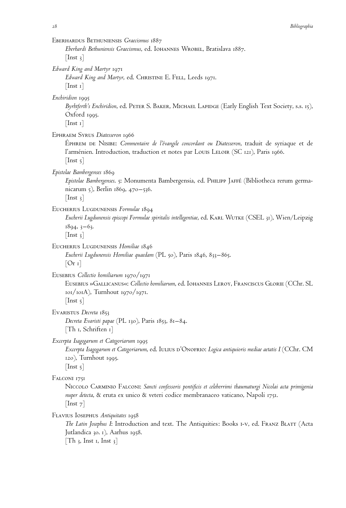| EBERHARDUS BETHUNIENSIS Graecismus 1887<br>Eberhardi Bethuniensis Graecismus, ed. IOHANNES WROBEL, Bratislava 1887.<br>$\vert$ Inst 3 $\vert$                                                                                                        |
|------------------------------------------------------------------------------------------------------------------------------------------------------------------------------------------------------------------------------------------------------|
| Edward King and Martyr 1971<br>Edward King and Martyr, ed. CHRISTINE E. FELL, Leeds 1971.<br>$ \text{Inst } \mathbf{1} $                                                                                                                             |
| Enchiridion 1995<br>Byrhtferth's Enchiridion, ed. PETER S. BAKER, MICHAEL LAPIDGE (Early English Text Society, s.s. 15),<br>Oxford 1995.<br>$\lceil \text{Inst } \mathbf{1} \rceil$                                                                  |
| EPHRAEM SYRUS Diatesseron 1966<br>EPHREM DE NISIBE: Commentaire de l'évangile concordant ou Diatesseron, traduit de syriaque et de<br>l'arménien. Introduction, traduction et notes par Louis LeLoir (SC 121), Paris 1966.<br>$ $ Inst 5 $ $         |
| Epistolae Bambergenses 1869<br>Epistolae Bambergenses. 5: Monumenta Bambergensia, ed. PHILIPP JAFFÉ (Bibliotheca rerum germa-<br>nicarum 5), Berlin 1869, 470–536.<br>$\lfloor \text{Inst } 3 \rfloor$                                               |
| EUCHERIUS LUGDUNENSIS Formulae 1894<br>Eucherii Lugdunensis episcopi Formulae spiritalis intellegentiae, ed. KARL WUTKE (CSEL 31), Wien/Leipzig<br>$1894, 3-63.$<br>$\lfloor \text{Inst } 3 \rfloor$                                                 |
| EUCHERIUS LUGDUNENSIS Homiliae 1846<br>Eucherii Lugdunensis Homiliae quaedam (PL 50), Paris 1846, 833–865.<br>[Or 1]                                                                                                                                 |
| EUSEBIUS Collectio homiliarum 1970/1971<br>EUSEBIUS »GALLICANUS«: Collectio homiliarum, ed. IOHANNES LEROY, FRANCISCUS GLORIE (CChr. SL<br>101/101A), Turnhout 1970/1971.<br>$\lceil \text{Inst } 5 \rceil$                                          |
| EVARISTUS Decreta 1853<br>Decreta Evaristi papae (PL 130), Paris 1853, 81–84.<br>[Th 1, Schriften 1]                                                                                                                                                 |
| Excerpta Isagogarum et Categoriarum 1995<br>Excerpta Isagogarum et Categoriarum, ed. IULIUS D'ONOFRIO: Logica antiquioris mediae aetatis I (CChr. CM<br>120), Turnhout 1995.<br>$\lfloor$ Inst 5 $\rfloor$                                           |
| FALCONI 1751<br>Niccolo Carminio Falconi: Sancti confessoris pontificis et celeberrimi thaumaturgi Nicolai acta primigenia<br>nuper detecta, & eruta ex unico & veteri codice membranaceo vaticano, Napoli 1751.<br>$\lfloor \text{Inst } 7 \rfloor$ |
| FLAVIUS IOSEPHUS Antiquitates 1958<br><i>The Latin Josephus I</i> : Introduction and text. The Antiquities: Books 1-v, ed. FRANZ BLATT (Acta<br>Jutlandica 30. 1), Aarhus 1958.<br>$\lceil \text{Th }$ 3, Inst 1, Inst 3]                            |
|                                                                                                                                                                                                                                                      |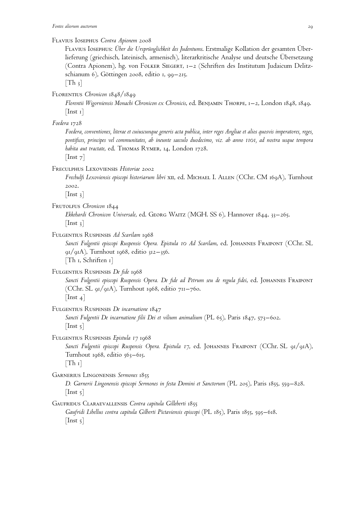Flavius Iosephus *Contra Apionem* 2008

Flavius Iosephus: *Über die Ursprünglichkeit des Judentums*. Erstmalige Kollation der gesamten Überlieferung (griechisch, lateinisch, armenisch), literarkritische Analyse und deutsche Übersetzung (Contra Apionem), hg. von Folker Siegert, 1–2 (Schriften des Institutum Judaicum Delitzschianum 6), Göttingen 2008, editio 1, 99–215.

 $[Th_3]$ 

Florentius *Chronicon* 1848/1849

*Florentii Wigorniensis Monachi Chronicon ex Chronicis*, ed. Benjamin Thorpe, 1–2, London 1848, 1849. [Inst 1]

#### *Foedera* 1728

*Foedera, conventiones, literae et cuiuscunque generis acta publica, inter reges Angliae et alios quosvis imperatores, reges, pontifices, principes vel communitates, ab ineunte saeculo duodecimo, viz. ab anno 1101, ad nostra usque tempora habita aut tractate*, ed. Thomas Rymer, 14, London 1728.

 $[$ Inst  $7]$ 

Freculphus Lexoviensis *Historiae* 2002

*Frechulfi Lexoviensis episcopi historiarum libri* xII, ed. MICHAEL I. ALLEN (CChr. CM 169A), Turnhout 2002.

 $[$ Inst 3 $]$ 

Frutolfus *Chronicon* 1844

*Ekkehardi Chronicon Universale*, ed. Georg Waitz (MGH. SS 6), Hannover 1844, 33–265.  $[$ Inst 3 $]$ 

Fulgentius Ruspensis *Ad Scarilam* 1968

*Sancti Fulgentii episcopi Ruspensis Opera. Epistula 10 Ad Scarilam*, ed. Johannes Fraipont (CChr. SL  $\mathcal{Q}_1/\mathcal{Q}_1$ A), Turnhout 1968, editio 312–356. [Th 1, Schriften 1]

Fulgentius Ruspensis *De fide* 1968

*Sancti Fulgentii episcopi Ruspensis Opera. De fide ad Petrum seu de regula fidei*, ed. Johannes Fraipont (CChr. SL 91/91A), Turnhout 1968, editio 711–760.  $\vert$ Inst 4 $\vert$ 

Fulgentius Ruspensis *De incarnatione* 1847 *Sancti Fulgentii De incarnatione filii Dei et vilium animalium* (PL 65), Paris 1847, 573–602.  $[$ Inst  $\frac{1}{2}$ ]

Fulgentius Ruspensis *Epistula 17* 1968

*Sancti Fulgentii episcopi Ruspensis Opera. Epistula 17*, ed. Johannes Fraipont (CChr. SL 91/91A), Turnhout 1968, editio 563-615.

 $[Th_1]$ 

Garnerius Lingonensis *Sermones* 1855

*D. Garnerii Lingonensis episcopi Sermones in festa Domini et Sanctorum* (PL 205), Paris 1855, 559–828.  $[$ Inst 5 $]$ 

Gaufridus Claraevallensis *Contra capitula Gilleberti* 1855 *Gaufridi Libellus contra capitula Gilberti Pictaviensis episcopi* (PL 185), Paris 1855, 595–618.  $[$ Inst  $\frac{1}{2}]$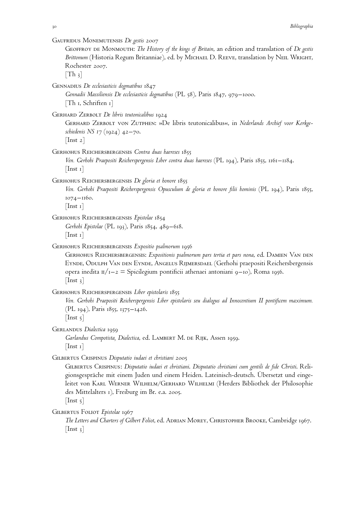| 30                               | Bibliographia                                                                                                                                                                                                                                                                                                                                                                                                     |
|----------------------------------|-------------------------------------------------------------------------------------------------------------------------------------------------------------------------------------------------------------------------------------------------------------------------------------------------------------------------------------------------------------------------------------------------------------------|
| $[Th_3]$                         | GAUFRIDUS MONEMUTENSIS $D$ e gestis 2007<br>GEOFFROY DE MONMOUTH: The History of the kings of Britain, an edition and translation of De gestis<br>Brittonum (Historia Regum Britanniae), ed. by MICHAEL D. REEVE, translation by NEIL WRIGHT,<br>Rochester 2007.                                                                                                                                                  |
|                                  | GENNADIUS <i>De ecclesiasticis dogmatibus</i> 1847<br>Gennadii Massiliensis De ecclesiasticis dogmatibus (PL 58), Paris 1847, 979–1000.<br>$[Th_1, Schriften_1]$                                                                                                                                                                                                                                                  |
| $\lfloor \text{Inst } 2 \rfloor$ | GERHARD ZERBOLT $D$ e libris teutonicalibus 1924<br>GERHARD ZERBOLT VON ZUTPHEN: »De libris teutonicalibus«, in Nederlands Archief voor Kerkge-<br>schiedenis NS 17 (1924) 42–70.                                                                                                                                                                                                                                 |
| $ $ Inst 1 $ $                   | GERHOHUS REICHERSBERGENSIS Contra duas haereses 1855<br>Ven. Gerbobi Praepositi Reicherspergensis Liber contra duas haereses (PL 194), Paris 1855, 1161–1184.                                                                                                                                                                                                                                                     |
| $[$ Inst 1 $]$                   | GERHOHUS REICHERSBERGENSIS <i>De gloria et honore</i> 1855<br>Ven. Gerhohi Praepositi Reicherspergensis Opusculum de gloria et honore filii hominis (PL 194), Paris 1855,<br>1074-1160.                                                                                                                                                                                                                           |
| $ $ Inst 1 $ $                   | Gerhohus Reichersbergensis <i>Epistolae</i> 1854<br>Gerhohi Epistolae (PL 193), Paris 1854, 489–618.                                                                                                                                                                                                                                                                                                              |
| $[$ Inst 3 $]$                   | GERHOHUS REICHERSBERGENSIS Expositio psalmorum 1956<br>GERHOHUS REICHERSBERGENSIS: Expositionis psalmorum pars tertia et pars nona, ed. DAMIEN VAN DEN<br>EYNDE, ODULPH VAN DEN EYNDE, ANGELUS RIJMERSDAEL (Gerhohi praepositi Reichersbergensis<br>opera inedita $\pi/_{1-2}$ = Spicilegium pontificii athenaei antoniani 9–10), Roma 1956.                                                                      |
| $[\text{Inst } 5]$               | GERHOHUS REICHERSPERGENSIS <i>Liber epistolaris</i> 1855<br>Ven. Gerhohi Praepositi Reicherspergensis Liber epistolaris seu dialogus ad Innocentium II pontificem maximum.<br>(PL 194), Paris 1855, 1375–1426.                                                                                                                                                                                                    |
| $ \text{Inst } \mathbf{1} $      | GERLANDUS Dialectica 1959<br>Garlandus Compotista, Dialectica, ed. LAMBERT M. DE RIJK, Assen 1959.                                                                                                                                                                                                                                                                                                                |
| $\lfloor$ Inst 5 $\rfloor$       | GILBERTUS CRISPINUS Disputatio iudaei et christiani 2005<br>GILBERTUS CRISPINUS: Disputatio iudaei et christiani. Disputatio christiani cum gentili de fide Christi. Reli-<br>gionsgespräche mit einem Juden und einem Heiden. Lateinisch-deutsch. Ubersetzt und einge-<br>leitet von KARL WERNER WILHELM/GERHARD WILHELMI (Herders Bibliothek der Philosophie<br>des Mittelalters 1), Freiburg im Br. e.a. 2005. |
| $ $ Inst 3 $ $                   | GILBERTUS FOLIOT <i>Epistolae</i> 1967<br>The Letters and Charters of Gilbert Foliot, ed. ADRIAN MOREY, CHRISTOPHER BROOKE, Cambridge 1967.                                                                                                                                                                                                                                                                       |
|                                  |                                                                                                                                                                                                                                                                                                                                                                                                                   |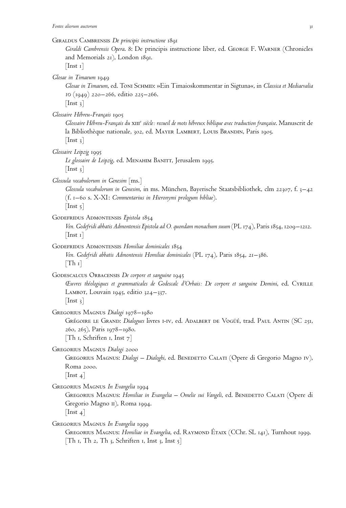Giraldus Cambrensis *De principis instructione* 1891 *Giraldi Cambrensis Opera*. 8: De principis instructione liber, ed. George F. Warner (Chronicles and Memorials 21), London 1891.  $[$ Inst 1 $]$ *Glosae in Timaeum* 1949 *Glosae in Timaeum*, ed. Toni Schmid: »Ein Timaioskommentar in Sigtuna«, in *Classica et Mediaevalia 10* (1949) 220–266, editio 225–266.  $[$ Inst 3 $]$ *Glossaire Hébreu-Français* 1905 *Glossaire Hébreu-Français du* xii<sup>c</sup> siècle: recueil de mots hébreux biblique avec traduction française. Manuscrit de la Bibliothèque nationale, 302, ed. MAYER LAMBERT, LOUIS BRANDIN, Paris 1905.  $[$ Inst 3 $]$ *Glossaire Leipzig* 1995 *Le glossaire de Leipzig*, ed. Menahim Banitt, Jerusalem 1995.  $[$ Inst 3 $]$ *Glossula vocabulorum in Genesim* [ms.] *Glossula vocabulorum in Genesim*, in ms. München, Bayerische Staatsbibliothek, clm 22307, f. 3–42 (f. 1–60 s. X-XI: *Commentarius in Hieronymi prologum bibliae*).  $[$ Inst 5 $]$ Godefridus Admontensis *Epistola* 1854 *Ven. Godefridi abbatis Admontensis Epistola ad O. quondam monachum suum* (PL 174), Paris 1854, 1209–1212.  $[$ Inst 1 $]$ GODEFRIDUS ADMONTENSIS Homiliae dominicales 1854 *Ven. Godefridi abbatis Admontensis Homiliae dominicales* (PL 174), Paris 1854, 21–386.  $[Th_1]$ GODESCALCUS ORBACENSIS De corpore et sanguine 1945 *Œuvres théologiques et grammaticales de Godescalc d'Orbais: De corpore et sanguine Domini*, ed. Cyrille

Lambot, Louvain 1945, editio 324–337.

 $[$ Inst 3 $]$ 

Gregorius Magnus *Dialogi* 1978–1980

GRÉGOIRE LE GRAND: *Dialogues* livres I-IV, ed. ADALBERT DE VOGÜÉ, trad. PAUL ANTIN (SC 251, 260, 265), Paris 1978–1980. [Th 1, Schriften 1, Inst 7]

Gregorius Magnus *Dialogi* 2000 GREGORIUS MAGNUS: *Dialogi – Dialoghi*, ed. BENEDETTO CALATI (Opere di Gregorio Magno IV), Roma 2000.  $[$ Inst 4 $]$ 

Gregorius Magnus *In Evangelia* 1994

GREGORIUS MAGNUS: *Homiliae in Evangelia – Omelie sui Vangeli*, ed. BENEDETTO CALATI (Opere di Gregorio Magno II), Roma 1994.  $[$ Inst 4 $]$ 

Gregorius Magnus *In Evangelia* 1999 GREGORIUS MAGNUS: *Homiliae in Evangelia*, ed. RAYMOND ÉTAIX (CChr. SL 141), Turnhout 1999. [Th 1, Th 2, Th 3, Schriften 1, Inst 3, Inst  $5$ ]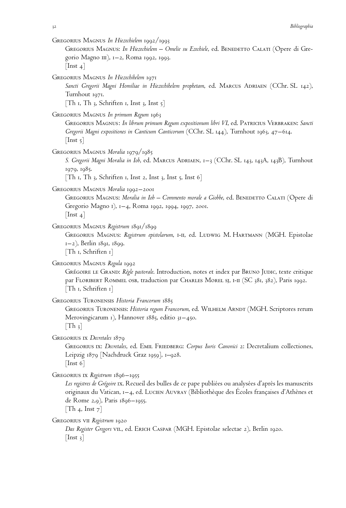| GREGORIUS MAGNUS In Hiezechielem 1992/1993<br>GREGORIUS MAGNUS: In Hiezechielem – Omelie su Ezechiele, ed. BENEDETTO CALATI (Opere di Gre-<br>gorio Magno III), 1-2, Roma 1992, 1993.<br>$\lfloor \text{Inst } 4 \rfloor$                                                                                              |
|------------------------------------------------------------------------------------------------------------------------------------------------------------------------------------------------------------------------------------------------------------------------------------------------------------------------|
| Gregorius Magnus <i>In Hiezechihelem</i> 1971<br>Sancti Gregorii Magni Homiliae in Hiezechihelem prophetam, ed. MARCUS ADRIAEN (CChr. SL 142),<br>Turnhout 1971.<br>[Th 1, Th 3, Schriften 1, Inst 3, Inst $5$ ]                                                                                                       |
| GREGORIUS MAGNUS In primum Regum 1963<br>GREGORIUS MAGNUS: In librum primum Regum expositionum libri VI, ed. PATRICIUS VERBRAKEN: Sancti<br>Gregorii Magni expositiones in Canticum Canticorum (CChr. SL 144), Turnhout 1963, 47–614.<br>$\lfloor$ Inst 5 $\rfloor$                                                    |
| Gregorius Magnus <i>Moralia</i> 1979/1985<br>S. Gregorii Magni Moralia in Iob, ed. MARCUS ADRIAEN, 1–3 (CChr. SL 143, 143A, 143B), Turnhout<br>1979, 1985.<br>[Th 1, Th 3, Schriften 1, Inst 2, Inst 3, Inst 5, Inst 6]                                                                                                |
| Gregorius Magnus <i>Moralia</i> 1992–2001<br>GREGORIUS MAGNUS: Moralia in Iob - Commento morale a Giobbe, ed. BENEDETTO CALATI (Opere di<br>Gregorio Magno I), 1-4, Roma 1992, 1994, 1997, 2001.<br>$\lfloor \text{Inst } 4 \rfloor$                                                                                   |
| Gregorius Magnus <i>Registrum</i> 1891/1899<br>GREGORIUS MAGNUS: Registrum epistolarum, I-II, ed. LUDWIG M. HARTMANN (MGH. Epistolae<br>1–2), Berlin 1891, 1899.<br>$\lceil \text{Th} \rceil$ , Schriften $\lceil \cdot \rceil$                                                                                        |
| Gregorius Magnus <i>Regula</i> 1992<br>GRÉGOIRE LE GRAND: Règle pastorale. Introduction, notes et index par BRUNO JUDIC, texte critique<br>par FLORIBERT ROMMEL OSB, traduction par CHARLES MOREL SJ, I-II (SC 381, 382), Paris 1992.<br>$[Th_1, Schriften_1]$                                                         |
| Gregorius Turonensis Historia Francorum 1885<br>GREGORIUS TURONENSIS: Historia regum Francorum, ed. WILHELM ARNDT (MGH. Scriptores rerum<br>Merovingicarum 1), Hannover 1885, editio 31–450.<br>$\lfloor \text{Th } 3 \rfloor$                                                                                         |
| GREGORIUS IX Decretales 1879<br>GREGORIUS IX: Decretales, ed. EMIL FRIEDBERG: Corpus Iuris Canonici 2: Decretalium collectiones,<br>Leipzig 1879 [Nachdruck Graz 1959], 1–928.<br>$\lfloor$ Inst 6 $\rfloor$                                                                                                           |
| GREGORIUS IX Registrum 1896–1955<br>Les registres de Grégoire Ix. Recueil des bulles de ce pape publiées ou analysées d'après les manuscrits<br>originaux du Vatican, 1-4, ed. LUCIEN AUVRAY (Bibliothèque des Écoles françaises d'Athènes et<br>de Rome 2,9), Paris 1896–1955.<br>$\lceil \text{Th 4, Inst 7} \rceil$ |
| Gregorius vii <i>Registrum</i> 1920<br>Das Register Gregors v11., ed. Erich Caspar (MGH. Epistolae selectae 2), Berlin 1920.<br>$\lfloor \text{Inst } 3 \rfloor$                                                                                                                                                       |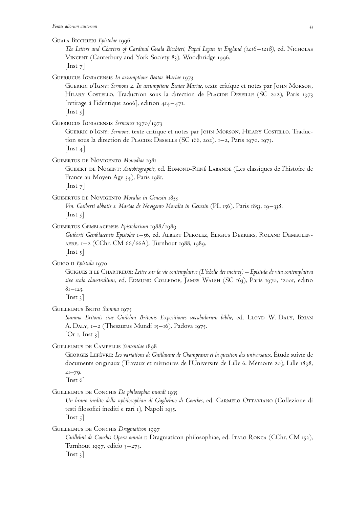Guala Bicchieri *Epistolae* 1996

*The Letters and Charters of Cardinal Guala Bicchieri, Papal Legate in England (1216–1218)*, ed. Nicholas Vincent (Canterbury and York Society 83), Woodbridge 1996.  $[$ Inst  $7]$ 

Guerricus Igniacensis *In assumptione Beatae Mariae* 1973

Guerric d'Igny: *Sermons 2. In assumptione Beatae Mariae*, texte critique et notes par John Morson, HILARY COSTELLO. Traduction sous la direction de PLACIDE DESEILLE (SC 202), Paris 1973 [retirage à l'identique 2006], edition 414–471.  $[$ Inst 5 $]$ 

Guerricus Igniacensis *Sermones* 1970/1973

GUERRIC D'IGNY: Sermons, texte critique et notes par JOHN MORSON, HILARY COSTELLO. Traduction sous la direction de PLACIDE DESEILLE (SC 166, 202), 1–2, Paris 1970, 1973.  $[$ Inst 4 $]$ 

Guibertus de Novigento *Monodiae* 1981

GUIBERT DE NOGENT: *Autobiographie*, ed. EDMOND-RENÉ LABANDE (Les classiques de l'histoire de France au Moyen Age 34), Paris 1981.

[Inst 7]

Guibertus de Novigento *Moralia in Genesin* 1853

*Ven. Guiberti abbatis s. Mariae de Novigento Moralia in Genesin* (PL 156), Paris 1853, 19–338.  $[$ Inst 5 $]$ 

Guibertus Gemblacensis *Epistolarium* 1988/1989

*Guiberti Gemblacensis Epistolae* 1–56, ed. Albert Derolez, Eligius Dekkers, Roland Demeulenaere, 1–2 (CChr. CM 66/66A), Turnhout 1988, 1989.  $[$ Inst  $5]$ 

Guigo ii *Epistula* 1970

GUIGUES II LE CHARTREUX: Lettre sur la vie contemplative *(L'échelle des moines) – Epistula de vita contemplativa* sive scala claustralium, ed. EDMUND COLLEDGE, JAMES WALSH (SC 163), Paris 1970, <sup>2</sup>2001, editio  $81 - 123$ .

 $\lfloor$ Inst 3 $\rfloor$ 

Guillelmus Brito *Summa* 1975

Summa Britonis siue Guilelmi Britonis Expositiones uocabulorum biblie, ed. LLOYD W. DALY, BRIAN A. Daly, 1–2 (Thesaurus Mundi 15–16), Padova 1975.  $[Or I, Inst 3]$ 

Guillelmus de Campellis *Sententiae* 1898

GEORGES LEFÈVRE: Les variations de Guillaume de Champeaux et la question des universaux. Étude suivie de documents originaux (Travaux et mémoires de l'Université de Lille 6. Mémoire 20), Lille 1898,  $21 - 79.$ 

[Inst 6]

GUILLELMUS DE CONCHIS *De philosophia mundi* 1935

*Un brano inedito della »philosophia« di Guglielmo di Conches*, ed. Carmelo Ottaviano (Collezione di testi filosofici inediti e rari 1), Napoli 1935.  $[$ Inst  $5]$ 

GUILLELMUS DE CONCHIS *Dragmaticon* 1997

*Guillelmi de Conchis Opera omnia* 1: Dragmaticon philosophiae, ed. Italo Ronca (CChr. CM 152), Turnhout 1997, editio  $3-273$ .  $[$ Inst 3 $]$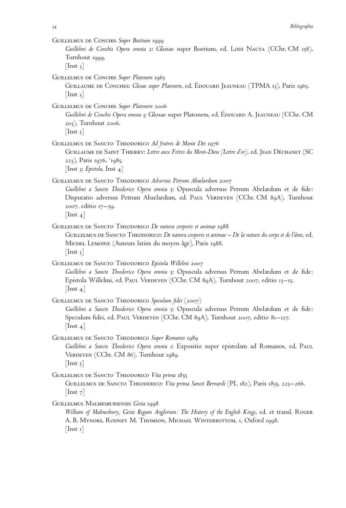GUILLELMUS DE CONCHIS Super Boetium 1999

*Guillelmi de Conchis Opera omnia* 2: Glosae super Boetium, ed. Lodi Nauta (CChr. CM 158), Turnhout 1999.

 $[$ Inst 3 $]$ 

- GUILLELMUS DE CONCHIS Super Platonem 1965
	- GUILLAUME DE CONCHES: *Glosae super Platonem*, ed. ÉDOUARD JEAUNEAU (TPMA 13), Paris 1965.  $[$ Inst 3 $]$
- Guillelmus de Conchis *Super Platonem* 2006
	- *Guillelmi de Conchis Opera omnia* 3: Glosae super Platonem, ed. ÉDOUARD A. JEAUNEAU (CChr. CM 203), Turnhout 2006.

 $[$ Inst 5 $]$ 

- GUILLELMUS DE SANCTO THEODORICO *Ad fratres de Monte Dei* 1976
	- GUILLAUME DE SAINT THIERRY: Lettre aux Frères du Mont-Dieu (Lettre d'or), ed. JEAN DÉCHANET (SC 223), Paris 1976, <sup>2</sup>1985. [Inst 3: *Epistola*, Inst 4]
- Guillelmus de Sancto Theodorico *Adversus Petrum Abaelardum* 2007 *Guillelmi a Sancto Theodorico Opera omnia* 5: Opuscula adversus Petrum Abelardum et de fide: Disputatio adversus Petrum Abaelardum, ed. PAUL VERDEYEN (CChr. CM 89A), Turnhout 2007, editio 17–59.

 $[$ Inst 4 $]$ 

GUILLELMUS DE SANCTO THEODORICO *De natura corporis et animae* 1988

GUILLELMUS DE SANCTO THEODORICO: *De natura corporis et animae – De la nature du corps et de l'âme*, ed. MICHEL LEMOINE (Auteurs latins du moyen âge), Paris 1988.  $[$ Inst 3 $]$ 

- GUILLELMUS DE SANCTO THEODORICO *Epistola Willelmi* 2007 *Guillelmi a Sancto Theodorico Opera omnia* 5: Opuscula adversus Petrum Abelardum et de fide: Epistola Willelmi, ed. Paul Verdeyen (CChr. CM 89A), Turnhout 2007, editio 13–15.  $[$ Inst 4 $]$
- GUILLELMUS DE SANCTO THEODORICO Speculum fidei (2007) *Guillelmi a Sancto Theodorico Opera omnia* 5: Opuscula adversus Petrum Abelardum et de fide: Speculum fidei, ed. PAUL VERDEYEN (CChr. CM 89A), Turnhout 2007, editio 81-127.  $[$ Inst 4 $]$
- Guillelmus de Sancto Theodorico *Super Romanos* 1989 *Guillelmi a Sancto Theodorico Opera omnia* 1: Expositio super epistolam ad Romanos, ed. Paul VERDEYEN (CChr. CM 86), Turnhout 1989.  $[$ Inst  $\frac{1}{2}]$
- GUILLELMUS DE SANCTO THEODORICO Vita prima 1855 Guillelmus de Sancto Theoderico: *Vita prima Sancti Bernardi* (PL 182), Paris 1855, 225–266. [Inst 7]
- Guillelmus Malmesburiensis *Gesta* 1998
	- *William of Malmesbury, Gesta Regum Anglorum: The History of the English Kings*, ed. et transl. Roger A. B. Mynors, Rodney M. Thomson, Michael Winterbottom, 1, Oxford 1998.  $[$ Inst 1 $]$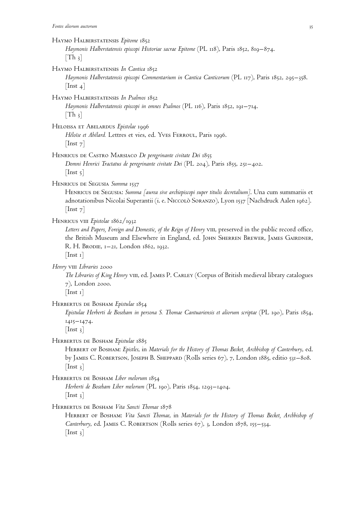#### Haymo Halberstatensis *Epitome* 1852

*Haymonis Halberstatensis episcopi Historiae sacrae Epitome* (PL 118), Paris 1852, 819–874.  $[Th_3]$ 

#### Haymo Halberstatensis *In Cantica* 1852

*Haymonis Halberstatensis episcopi Commentarium in Cantica Canticorum* (PL 117), Paris 1852, 295–358.  $[$ Inst 4 $]$ 

# Haymo Halberstatensis *In Psalmos* 1852

*Haymonis Halberstatensis episcopi in omnes Psalmos* (PL 116), Paris 1852, 191–714.  $[Th_3]$ 

Heloissa et Abelardus *Epistolae* 1996

*Héloise et Abélard.* Lettres et vies, ed. Yves Ferroul, Paris 1996.  $[$ Inst  $7]$ 

Henricus de Castro Marsiaco *De peregrinante civitate Dei* 1855 *Domni Henrici Tractatus de peregrinante civitate Dei* (PL 204), Paris 1855, 251–402.

 $[$ Inst  $5]$ 

# Henricus de Segusia *Summa* 1537

HENRICUS DE SEGUSIA: *Summa [aurea sive archiepiscopi super titulis decretalium]*. Una cum summariis et adnotationibus Nicolai Superantii (i. e. Niccolò Soranzo), Lyon 1537 [Nachdruck Aalen 1962].  $[$ Inst  $7]$ 

Henricus viii *Epistolae* 1862/1932

Letters and Papers, Foreign and Domestic, of the Reign of Henry viii, preserved in the public record office, the British Museum and Elsewhere in England, ed. JOHN SHERREN BREWER, JAMES GAIRDNER, R. H. BRODIE, 1-21, London 1862, 1932.

 $[$ Inst 1 $]$ 

*Henry* viii *Libraries* 2000

The Libraries of King Henry viii, ed. JAMES P. CARLEY (Corpus of British medieval library catalogues 7), London 2000.

 $[$ Inst 1 $]$ 

## Herbertus de Bosham *Epistulae* 1854

*Epistulae Herberti de Boseham in persona S. Thomae Cantuariensis et aliorum scriptae* (PL 190), Paris 1854, 1415–1474.

 $[Inst_3]$ 

HERBERTUS DE BOSHAM *Epistulae* 1885

HERBERT OF BOSHAM: *Epistles*, in *Materials for the History of Thomas Becket*, Archbishop of Canterbury, ed. by JAMES C. ROBERTSON, JOSEPH B. SHEPPARD (Rolls series 67), 7, London 1885, editio 531–808.  $[$ Inst  $_3]$ 

Herbertus de Bosham *Liber melorum* 1854

*Herberti de Boseham Liber melorum* (PL 190), Paris 1854, 1293–1404.  $[$ Inst 3 $]$ 

Herbertus de Bosham *Vita Sancti Thomae* 1878

Herbert of Bosham: *Vita Sancti Thomae*, in *Materials for the History of Thomas Becket, Archbishop of Canterbury*, ed. James C. Robertson (Rolls series 67), 3, London 1878, 155–534.  $[$ Inst  $_3]$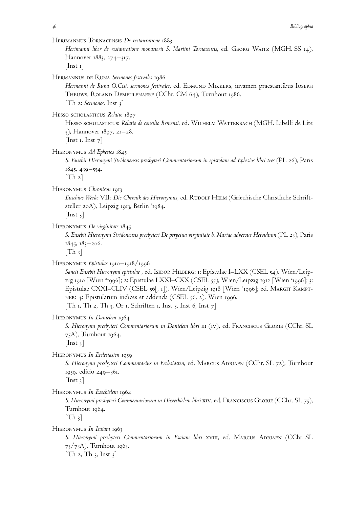Herimannus Tornacensis *De restauratione* 1883

Herimanni liber de restauratione monasterii S. Martini Tornacensis, ed. GEORG WAITZ (MGH. SS 14), Hannover 1883, 274–317.

 $[$ Inst 1 $]$ 

Hermannus de Runa *Sermones festivales* 1986

*Hermanni de Runa O.Cist. sermones festivales*, ed. Edmund Mikkers, iuvamen praestantibus Ioseph Theuws, Roland Demeulenaere (CChr. CM 64), Turnhout 1986. [Th 2: *Sermones*, Inst 3]

Hesso scholasticus *Relatio* 1897

HESSO SCHOLASTICUS: *Relatio de concilio Remensi*, ed. WILHELM WATTENBACH (MGH. Libelli de Lite 3), Hannover 1897, 21–28.

[Inst 1, Inst  $7$ ]

Hieronymus *Ad Ephesios* 1845

*S. Eusebii Hieronymi Stridonensis presbyteri Commentariorum in epistolam ad Ephesios libri tres* (PL 26), Paris 1845, 439–554.

 $[Th 2]$ 

Hieronymus *Chronicon* 1913

*Eusebius Werke* VII: *Die Chronik des Hieronymus*, ed. Rudolf Helm (Griechische Christliche Schriftsteller 20A), Leipzig 1913, Berlin <sup>3</sup>1984.

 $[$ Inst 3 $]$ 

Hieronymus *De virginitate* 1845

*S. Eusebii Hieronymi Stridonensis presbyteri De perpetua virginitate b. Mariae adversus Helvidium* (PL 23), Paris 1845, 183–206.

 $[Th_3]$ 

Hieronymus *Epistulae* 1910–1918/1996

Sancti Eusebii Hieronymi epistulae, ed. Isidor Hilberg: 1: Epistulae I–LXX (CSEL 54), Wien/Leipzig 1910 [Wien '1996]; 2: Epistulae LXXI–CXX (CSEL 55), Wien/Leipzig 1912 [Wien '1996]; 3: Epistulae CXXI–CLIV (CSEL 56[, 1]), Wien/Leipzig 1918 [Wien '1996]; ed. Marg1r Kamptner: 4: Epistularum indices et addenda (CSEL 56, 2), Wien 1996. [Th 1, Th 2, Th 3, Or 1, Schriften 1, Inst 3, Inst 6, Inst  $7$ ]

Hieronymus *In Danielem* 1964

*S. Hieronymi presbyteri Commentariorum in Danielem libri* iii (iv), ed. Franciscus Glorie (CChr. SL 75A), Turnhout 1964.

 $[$ Inst 3 $]$ 

Hieronymus *In Ecclesiasten* 1959

*S. Hieronymi presbyteri Commentarius in Ecclesiasten*, ed. Marcus Adriaen (CChr. SL 72), Turnhout 1959, editio 249–361.

 $[$ Inst 3 $]$ 

Hieronymus *In Ezechielem* 1964

*S. Hieronymi presbyteri Commentariorum in Hiezechielem libri* xiv, ed. Franciscus Glorie (CChr. SL 75), Turnhout 1964.

 $[Th_3]$ 

Hieronymus *In Isaiam* 1963

S. Hieronymi presbyteri Commentariorum in Esaiam libri XVIII, ed. MARCUS ADRIAEN (CChr. SL 73/73A), Turnhout 1963.

[Th 2, Th 3, Inst 3]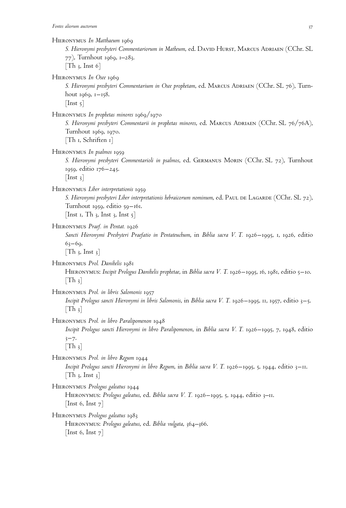Hieronymus *In Matthaeum* 1969

*S. Hieronymi presbyteri Commentariorum in Matheum*, ed. David Hurst, Marcus Adriaen (CChr. SL 77), Turnhout 1969, 1–283.  $[Th_3, Inst_6]$ HIERONYMUS In Osee 1969 *S. Hieronymi presbyteri Commentarium in Osee prophetam*, ed. Marcus Adriaen (CChr. SL 76), Turnhout 1969, 1–158.  $[$ Inst 5 $]$ Hieronymus *In prophetas minores* 1969/1970 *S. Hieronymi presbyteri Commentarii in prophetas minores*, ed. Marcus Adriaen (CChr. SL 76/76A), Turnhout 1969, 1970. [Th 1, Schriften 1] Hieronymus *In psalmos* 1959 *S. Hieronymi presbyteri Commentarioli in psalmos*, ed. Germanus Morin (CChr. SL 72), Turnhout 1959, editio 176–245.  $[$ Inst 3 $]$ Hieronymus *Liber interpretationis* 1959 *S. Hieronymi presbyteri Liber interpretationis hebraicorum nominum*, ed. Paul de Lagarde (CChr. SL 72), Turnhout 1959, editio 59–161. [Inst 1, Th 3, Inst 3, Inst  $5$ ] Hieronymus *Praef. in Pentat.* 1926 *Sancti Hieronymi Presbyteri Praefatio in Pentateuchum*, in *Biblia sacra V. T.* 1926–1995, 1, 1926, editio  $63 - 69.$  $[Th_3, Inst_3]$ Hieronymus *Prol. Danihelis* 1981 Hieronymus: *Incipit Prologus Danihelis prophetae*, in *Biblia sacra V. T.* 1926–1995, 16, 1981, editio 5–10.  $|Th_3|$ Hieronymus *Prol. in libris Salomonis* 1957 *Incipit Prologus sancti Hieronymi in libris Salomonis*, in *Biblia sacra V. T.* 1926–1995, 11, 1957, editio 3–5.  $[Th_3]$ Hieronymus *Prol. in libro Paralipomenon* 1948

*Incipit Prologus sancti Hieronymi in libro Paralipomenon*, in *Biblia sacra V. T.* 1926–1995, 7, 1948, editio  $3 - 7.$ 

 $\lceil \text{Th } \frac{3}{3} \rceil$ 

Hieronymus *Prol. in libro Regum* 1944 *Incipit Prologus sancti Hieronymi in libro Regum*, in *Biblia sacra V. T.* 1926–1995, 5, 1944, editio 3–11.  $[Th_3, Inst_3]$ 

Hieronymus *Prologus galeatus* 1944

Hieronymus: *Prologus galeatus*, ed. *Biblia sacra V. T.* 1926–1995, 5, 1944, editio 3–11. [Inst 6, Inst  $7$ ]

Hieronymus *Prologus galeatus* 1983

Hieronymus: *Prologus galeatus*, ed. *Biblia vulgata*, 364–366. [Inst 6, Inst  $7$ ]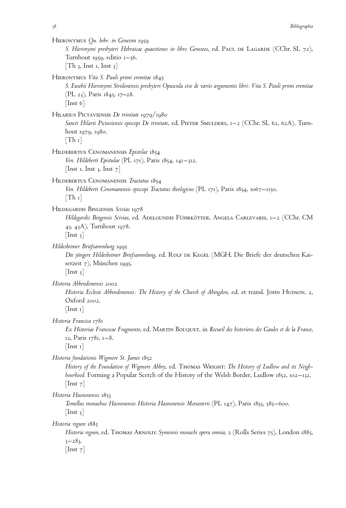Hieronymus *Qu. hebr. in Genesim* 1959 *S. Hieronymi presbyteri Hebraicae quaestiones in libro Geneseos*, ed. Paul de Lagarde (CChr. SL 72), Turnhout 1959, editio 1–56.  $[Th_3, Inst_1, Inst_3]$ Hieronymus *Vita S. Pauli primi eremitae* 1845 *S. Eusebii Hieronymi Stridonensis presbyteri Opuscula sive de variis argumentis libri: Vita S. Pauli primi eremitae* (PL 23), Paris 1845, 17–28.  $[$ Inst 6 $]$ Hilarius Pictaviensis *De trinitate* 1979/1980 *Sancti Hilarii Pictaviensis episcopi De trinitate*, ed. Pieter Smulders, 1–2 (CChr. SL 62, 62A), Turnhout 1979, 1980.  $[Th_1]$ Hildebertus Cenomanensis *Epistolae* 1854 *Ven. Hildeberti Epistulae* (PL 171), Paris 1854, 141–312. [Inst 1, Inst 3, Inst  $7$ ] Hildebertus Cenomanensis *Tractatus* 1854 *Ven. Hildeberti Cenomanensis episcopi Tractatus theologicus* (PL 171), Paris 1854, 1067–1150.  $|Th_1|$ Hildegardis Bingensis *Scivias* 1978 *Hildegardis Bingensis Scivias*, ed. Adelgundis Führkötter, Angela Carlevaris, 1–2 (CChr. CM 43, 43A), Turnhout 1978.  $[$ Inst 3 $]$ *Hildesheimer Briefsammlung* 1995 Die jüngere Hildesheimer Briefsammlung, ed. ROLF DE KEGEL (MGH. Die Briefe der deutschen Kaiserzeit 7), München 1995.  $[$ Inst 3 $]$ *Historia Abbendonensis* 2002 Historia Ecclesie Abbendonensis: The History of the Church of Abingdon, ed. et transl. JOHN HUDSON, 2, Oxford 2002.  $[$ Inst 1 $]$ *Historia Francica* 1781 *Ex Historiae Francicae Fragmento*, ed. Martin Bouquet, in *Recueil des historiens des Gaules et de la France*, 12, Paris 1781, 1–8.  $[$ Inst 1 $]$ *Historia fundationis Wigmore St. James* 1852 History of the Foundation of Wigmore Abbey, ed. THOMAS WRIGHT: The History of Ludlow and its Neigh*bourhood.* Forming a Popular Scetch of the History of the Welsh Border, Ludlow 1852, 102–132.  $[$ Inst  $7]$ *Historia Hasnonensis* 1853 *Tomellus monachus Hasnonensis Historia Hasnonensis Monasterii* (PL 147), Paris 1853, 585–600.  $[$ Inst 3 $]$ *Historia regum* 1885 *Historia regum*, ed. THOMAS ARNOLD: *Symeonis monachi opera omnia*, 2 (Rolls Series 75), London 1885,  $3 - 283.$  $[$ Inst  $7]$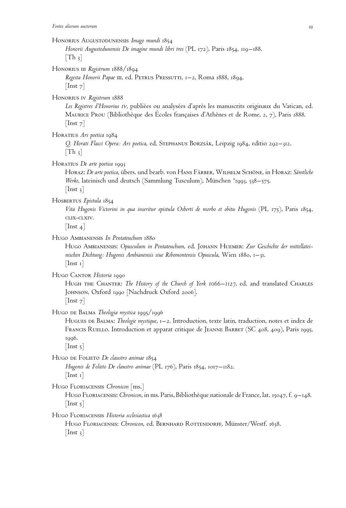#### Honorius Augustodunensis *Imago mundi* 1854

*Honorii Augustodunensis De imagine mundi libri tres* (PL 172), Paris 1854, 119–188.  $[Th_3]$ 

Honorius iii *Registrum* 1888/1894

Regesta Honorii Papae III, ed. PETRUS PRESSUTTI, 1–2, Roma 1888, 1894.  $[$ Inst  $7]$ 

Honorius iv *Registrum* 1888

Les Registres d'Honorius IV, publiées ou analysées d'après les manuscrits originaux du Vatican, ed. MAURICE PROU (Bibliothèque des Écoles françaises d'Athènes et de Rome, 2, 7), Paris 1888. [Inst 7]

Horatius *Ars poetica* 1984

*Q. Horati Flacci Opera: Ars poetica*, ed. Stephanus Borzsa´k, Leipzig 1984, editio 292–312.  $[Th_3]$ 

Horatius *De arte poetica* 1993

Horaz: *De arte poetica*, übers. und bearb. von Hans Färber, Wilhelm Schöne, in Horaz: *Sämtliche Werke*, lateinisch und deutsch (Sammlung Tusculum), München <sup>11</sup>1993, 538–575.  $[$ Inst 3 $]$ 

Hosbertus *Epistula* 1854

*Vita Hugonis Victorini in qua inseritur epistula Osberti de morbo et obitu Hugonis* (PL 175), Paris 1854, clix-clxiv.

 $[$ Inst 4 $]$ 

#### Hugo Ambianensis *In Pentateuchum* 1880

Hugo Ambianensis: *Opusculum in Pentateuchum*, ed. Johann Huemer: *Zur Geschichte der mittellateinischen Dichtung: Hugonis Ambianensis siue Ribomontensis Opuscula*, Wien 1880, 1–31.  $[$ Inst 1 $]$ 

Hugo CANTOR Historia 1990

Hugh the Chanter: *The History of the Church of York 1066–1127*, ed. and translated Charles Johnson, Oxford 1990 [Nachdruck Oxford 2006].

 $[$ Inst  $7]$ 

Hugo de Balma *Theologia mystica* 1995/1996

Hugues de Balma: *Theologie mystique*, 1–2. Introduction, texte latin, traduction, notes et index de FRANCIS RUELLO. Introduction et apparat critique de JEANNE BARBET (SC 408, 409), Paris 1995, 1996.

 $[$ Inst  $\frac{1}{2}$ ]

Hugo de Folieto *De claustro animae* 1854

*Hugonis de Folieto De claustro animae* (PL 176), Paris 1854, 1017–1182.  $[$ Inst 1 $]$ 

Hugo Floriacensis *Chronicon* [ms.]

HUGO FLORIACENSIS: *Chronicon*, in ms. Paris, Bibliothèque nationale de France, lat. 15047, f. 9–148.  $\vert$  Inst 5 $\vert$ 

Hugo Floriacensis *Historia ecclesiastica* 1638

HUGO FLORIACENSIS: Chronicon, ed. BERNHARD ROTTENDORFF, Münster/Westf. 1638.  $[$ Inst  $_3]$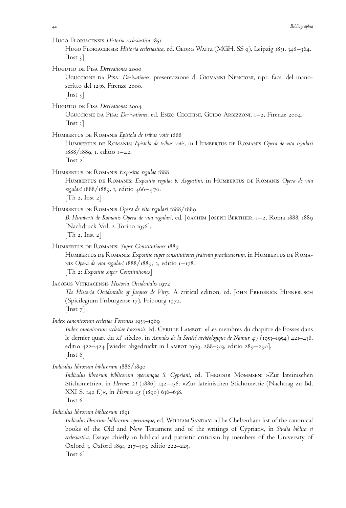| $\vert \ln st \vert$ 3                       | HUGO FLORIACENSIS Historia ecclesiastica 1851<br>HUGO FLORIACENSIS: Historia ecclesiastica, ed. GEORG WAITZ (MGH. SS 9), Leipzig 1851, 348–364.                                                                                                                                                                                                              |
|----------------------------------------------|--------------------------------------------------------------------------------------------------------------------------------------------------------------------------------------------------------------------------------------------------------------------------------------------------------------------------------------------------------------|
| $\lfloor$ Inst 3 $\rfloor$                   | HUGUTIO DE PISA Derivationes 2000<br>UGUCCIONE DA PISA: Derivationes, presentazione di GIOVANNI NENCIONI, ripr. facs. del mano-<br>scritto del 1236, Firenze 2000.                                                                                                                                                                                           |
| $\vert$ Inst 3 $\vert$                       | HUGUTIO DE PISA Derivationes 2004<br>UGUCCIONE DA PISA: Derivationes, ed. ENZO CECCHINI, GUIDO ARBIZZONI, 1-2, Firenze 2004.                                                                                                                                                                                                                                 |
| $\lfloor \text{Inst } 2 \rfloor$             | HUMBERTUS DE ROMANIS Epistola de tribus votis 1888<br>HUMBERTUS DE ROMANIS: Epistola de tribus votis, in HUMBERTUS DE ROMANIS Opera de vita regulari<br>$1888/1889$ , 1, editio $1-42$ .                                                                                                                                                                     |
| $\lceil \text{Th } 2, \text{Inst } 2 \rceil$ | HUMBERTUS DE ROMANIS Expositio regulae 1888<br>HUMBERTUS DE ROMANIS: Expositio regulae b. Augustini, in HUMBERTUS DE ROMANIS Opera de vita<br>regulari 1888/1889, 1, editio 466-470.                                                                                                                                                                         |
| [Th 2, Inst 2]                               | HUMBERTUS DE ROMANIS Opera de vita regulari 1888/1889<br>B. Humberti de Romanis Opera de vita regulari, ed. JOACHIM JOSEPH BERTHIER, 1–2, ROma 1888, 1889<br>[Nachdruck Vol. 2 Torino 1956].                                                                                                                                                                 |
|                                              | HUMBERTUS DE ROMANIS: Super Constitutiones 1889<br>HUMBERTUS DE ROMANIS: Expositio super constitutiones fratrum praedicatorum, in HUMBERTUS DE ROMA-<br>NIS Opera de vita regulari $1888/1889$ , 2, editio $1-178$ .<br>$\lceil \text{Th} \t2:$ Expositio super Constitutiones $\rceil$                                                                      |
| $\text{Inst } 7$                             | IACOBUS VITRIACENSIS Historia Occidentalis 1972<br>The Historia Occidentalis of Jacques de Vitry. A critical edition, ed. JOHN FREDERICK HINNEBUSCH<br>(Spicilegium Friburgense 17), Fribourg 1972.                                                                                                                                                          |
| $\lfloor$ Inst 6 $\rfloor$                   | Index canonicorum ecclesiae Fossensis 1953–1969<br>Index canonicorum ecclesiae Fossensis, éd. CYRILLE LAMBOT: »Les membres du chapitre de Fosses dans<br>le dernier quart du x1 <sup>e</sup> siècle«, in Annales de la Société archéologique de Namur 47 (1953–1954) 421–438,<br>editio 422–424 [wieder abgedruckt in LAMBOT 1969, 288–303, editio 289–290]. |
| $\lfloor$ Inst 6 $\rfloor$                   | Indiculus librorum biblicorum 1886/1890<br>Indiculus librorum biblicorum operumque S. Cypriani, ed. THEODOR MOMMSEN: »Zur lateinischen<br>Stichometrie«, in Hermes 21 (1886) 142–156: »Zur lateinischen Stichometrie (Nachtrag zu Bd.<br>XXI S. 142 f.)«, in <i>Hermes</i> 25 (1890) 636–638.                                                                |
|                                              | Indiculus librorum biblicorum 1891<br>Indiculus librorum biblicorum operumque, ed. WILLIAM SANDAY: »The Cheltenham list of the canonical<br>also of the Old and New Testement and of the symptoms of Company in Such William                                                                                                                                 |

books of the Old and New Testament and of the writings of Cyprian«, in *Studia biblica et ecclesiastica*. Essays chiefly in biblical and patristic criticism by members of the University of Oxford 3, Oxford 1891, 217–303, editio 222–225. [Inst 6]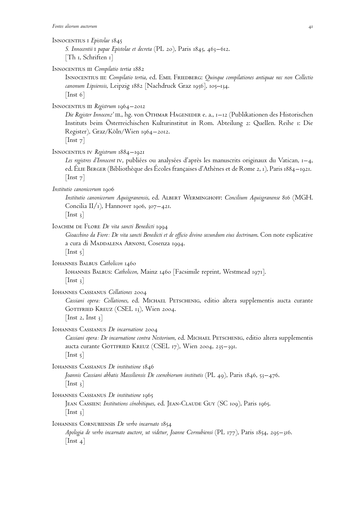## Innocentius i *Epistolae* 1845

*S. Innocentii* i *papae Epistolae et decreta* (PL 20), Paris 1845, 463–612. [Th 1, Schriften 1]

INNOCENTIUS III *Compilatio tertia* 1882

Innocentius iii: *Compilatio tertia*, ed. Emil Friedberg: *Quinque compilationes antiquae nec non Collectio canonum Lipsiensis*, Leipzig 1882 [Nachdruck Graz 1956], 105–134. [Inst 6]

Innocentius iii *Registrum* 1964–2012

Die Register Innocenz'  $m$ ., hg. von *Othmar Hageneder e. a., 1–12* (Publikationen des Historischen Instituts beim Österreichischen Kulturinstitut in Rom. Abteilung 2: Quellen. Reihe 1: Die Register), Graz/Köln/Wien 1964–2012.  $[$ Inst  $7]$ 

Innocentius iv *Registrum* 1884–1921

Les registres d'Innocent iv, publiées ou analysées d'après les manuscrits originaux du Vatican, 1–4, ed. ELIE BERGER (Bibliothèque des Écoles françaises d'Athènes et de Rome 2, 1), Paris 1884–1921.  $[$ Inst  $7]$ 

*Institutio canonicorum* 1906

*Institutio canonicorum Aquisgranensis*, ed. Albert Werminghoff: *Concilium Aquisgranense* 816 (MGH. Concilia II/1), Hannover 1906, 307–421.

 $[$ Inst 3 $]$ 

Ioachim de Flore *De vita sancti Benedicti* 1994

*Gioacchino da Fiore: De vita sancti Benedicti et de officio divino secundum eius doctrinam*. Con note esplicative a cura di MADDALENA ARNONI, Cosenza 1994.  $[$ Inst  $5]$ 

Iohannes Balbus *Catholicon* 1460

Iohannes Balbus: *Catholicon*, Mainz 1460 [Facsimile reprint, Westmead 1971].  $\vert$  Inst 3 $\vert$ 

Iohannes Cassianus *Collationes* 2004

*Cassiani opera: Collationes*, ed. Michael Petschenig, editio altera supplementis aucta curante GOTTFRIED KREUZ (CSEL 13), Wien 2004. [Inst 2, Inst  $3$ ]

Iohannes Cassianus *De incarnatione* 2004

*Cassiani opera: De incarnatione contra Nestorium*, ed. Michael Petschenig, editio altera supplementis aucta curante GOTTFRIED KREUZ (CSEL 17), Wien 2004, 235–391.  $[$ Inst 5 $]$ 

Iohannes Cassianus *De institutione* 1846

*Joannis Cassiani abbatis Massiliensis De coenobiorum institutis* (PL 49), Paris 1846, 53–476.  $[$ Inst 3 $]$ 

IOHANNES CASSIANUS De institutione 1965

JEAN CASSIEN: *Institutions cénobitiques*, ed. JEAN-CLAUDE GUY (SC 109), Paris 1965.  $[$ Inst 3 $]$ 

Iohannes Cornubiensis *De verbo incarnato* 1854

*Apologia de verbo incarnato auctore, ut videtur, Joanne Cornubiensi* (PL 177), Paris 1854, 295–316.  $[$ Inst 4 $]$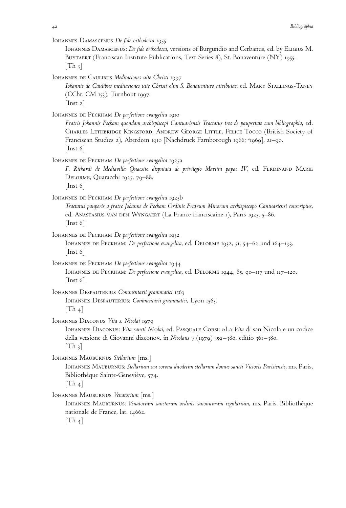IOHANNES DAMASCENUS *De fide orthodoxa* 1955

Iohannes Damascenus: *De fide orthodoxa*, versions of Burgundio and Cerbanus, ed. by Eligius M. BUYTAERT (Franciscan Institute Publications, Text Series 8), St. Bonaventure (NY) 1955.  $[Th_3]$ 

IOHANNES DE CAULIBUS *Meditaciones uite Christi* 1997

*Iohannis de Caulibus meditaciones uite Christi olim S. Bonauenturo attributae*, ed. Mary Stallings-Taney (CChr. CM 153), Turnhout 1997.  $[$ Inst 2 $]$ 

IOHANNES DE PECKHAM *De perfectione evangelica* 1910

*Fratris Johannis Pecham quondam archiepiscopi Cantuariensis Tractatus tres de paupertate cum bibliographia*, ed. Charles Lethbridge Kingsford, Andrew George Little, Felice Tocco (British Society of Franciscan Studies 2), Aberdeen 1910 [Nachdruck Farnborough 1966; <sup>2</sup> 1969], 21–90.  $[$ Inst 6 $]$ 

IOHANNES DE PECKHAM *De perfectione evangelica* 1925a

F. Richardi de Mediavilla Quaestio disputata de privilegio Martini papae IV, ed. FERDINAND MARIE Delorme, Quaracchi 1925, 79–88.

[Inst 6]

IOHANNES DE PECKHAM *De perfectione evangelica* 1925b

*Tractatus pauperis a fratre Johanne de Pecham Ordinis Fratrum Minorum archiepiscopo Cantuariensi conscriptus*, ed. Anastasius van den Wyngaert (La France franciscaine 1), Paris 1925, 5–86. [Inst 6]

- IOHANNES DE PECKHAM *De perfectione evangelica* 1932 IOHANNES DE PECKHAM: *De perfectione evangelica*, ed. DELORME 1932, 51, 54–62 und 164–193.  $[$ Inst 6 $]$
- IOHANNES DE PECKHAM *De perfectione evangelica* 1944 Iohannes de Peckham: *De perfectione evangelica*, ed. Delorme 1944, 85, 90–117 und 117–120.  $\vert$  Inst 6 $\vert$

Iohannes Despauterius *Commentarii grammatici* 1563 Iohannes Despauterius: *Commentarii grammatici*, Lyon 1563.  $[Th_4]$ 

Iohannes Diaconus *Vita s. Nicolai* 1979

Iohannes Diaconus: *Vita sancti Nicolai*, ed. Pasquale Corsi: »La *Vita* di san Nicola e un codice della versione di Giovanni diacono«, in *Nicolaus 7* (1979) 359–380, editio 361–380.  $[Th_3]$ 

Iohannes Mauburnus *Stellarium* [ms.]

Iohannes Mauburnus: *Stellarium seu corona duodecim stellarum domus sancti Victoris Parisiensis*, ms. Paris, Bibliothèque Sainte-Geneviève, 574.

 $[Th_4]$ 

Iohannes Mauburnus *Venatorium* [ms.]

Iohannes Mauburnus: *Venatorium sanctorum ordinis canonicorum regularium*, ms. Paris, Bibliothe`que nationale de France, lat. 14662.

 $[Th_4]$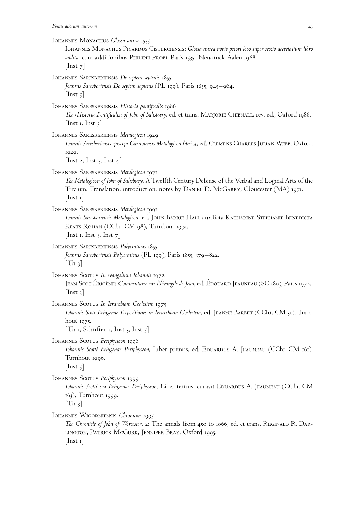| IOHANNES MONACHUS Glossa aurea 1535<br>IOHANNES MONACHUS PICARDUS CISTERCIENSIS: Glossa aurea nobis priori loco super sexto decretalium libro<br>addita, cum additionibus PHILIPPI PROBI, Paris 1535 [Neudruck Aalen 1968].<br>$\lfloor \text{Inst } 7 \rfloor$                             |
|---------------------------------------------------------------------------------------------------------------------------------------------------------------------------------------------------------------------------------------------------------------------------------------------|
| IOHANNES SARESBERIENSIS De septem septenis 1855<br>Joannis Saresberiensis De septem septenis (PL 199), Paris 1855, 945–964.<br>$\lfloor$ Inst 5 $\rfloor$                                                                                                                                   |
| IOHANNES SARESBERIENSIS Historia pontificalis 1986<br>The >Historia Pontificalis< of John of Salisbury, ed. et trans. MARJORIE CHIBNALL, rev. ed., Oxford 1986.<br>$\lfloor$ Inst 1, Inst 3 $\rfloor$                                                                                       |
| IOHANNES SARESBERIENSIS Metalogicon 1929<br>Ioannis Saresberiensis episcopi Carnotensis Metalogicon libri 4, ed. CLEMENS CHARLES JULIAN WEBB, Oxford<br>1929.                                                                                                                               |
| [Inst 2, Inst 3, Inst 4]<br>IOHANNES SARESBERIENSIS Metalogicon 1971<br>The Metalogicon of John of Salisbury. A Twelfth Century Defense of the Verbal and Logical Arts of the<br>Trivium. Translation, introduction, notes by DANIEL D. McGARRY, Gloucester (MA) 1971.<br>$ \text{Inst 1} $ |
| IOHANNES SARESBERIENSIS Metalogicon 1991<br>Ioannis Saresberiensis Metalogicon, ed. JOHN BARRIE HALL auxiliata KATHARINE STEPHANIE BENEDICTA<br>KEATS-ROHAN (CChr. CM 98), Turnhout 1991.<br>[Inst 1, Inst 3, Inst $7$ ]                                                                    |
| IOHANNES SARESBERIENSIS Polycraticus 1855<br>Joannis Saresberiensis Polycraticus (PL 199), Paris 1855, 379–822.<br>$\lceil \text{Th } \frac{3}{2} \rceil$                                                                                                                                   |
| IOHANNES SCOTUS In evangelium Iohannis 1972<br>JEAN SCOT ÉRIGÈNE: Commentaire sur l'Évangile de Jean, ed. ÉDOUARD JEAUNEAU (SC 180), Paris 1972.<br>$\lceil \text{Inst } 3 \rceil$                                                                                                          |
| IOHANNES SCOTUS In Ierarchiam Coelestem 1975<br>Iohannis Scoti Eriugenae Expositiones in Ierarchiam Coelestem, ed. JEANNE BARBET (CChr. CM 31), Turn-<br>hout 1975.<br>[Th I, Schriften I, Inst 3, Inst $5$ ]                                                                               |
| IOHANNES SCOTUS Periphyseon 1996<br>Iohannis Scotti Eriugenae Periphyseon, Liber primus, ed. EDUARDUS A. JEAUNEAU (CChr. CM 161),<br>Turnhout 1996.<br>$\lceil \text{Inst } 5 \rceil$                                                                                                       |
| IOHANNES SCOTUS Periphyseon 1999<br>Iohannis Scotti seu Eriugenae Periphyseon, Liber tertius, curavit EDUARDUS A. JEAUNEAU (CChr. CM<br>163), Turnhout 1999.<br>$\lfloor \text{Th } 3 \rfloor$                                                                                              |
| IOHANNES WIGORNIENSIS Chronicon 1995<br>The Chronicle of John of Worcester. 2: The annals from 450 to 1066, ed. et trans. REGINALD R. DAR-<br>LINGTON, PATRICK MCGURK, JENNIFER BRAY, Oxford 1995.<br>$[$ Inst $\mathbf{I}$                                                                 |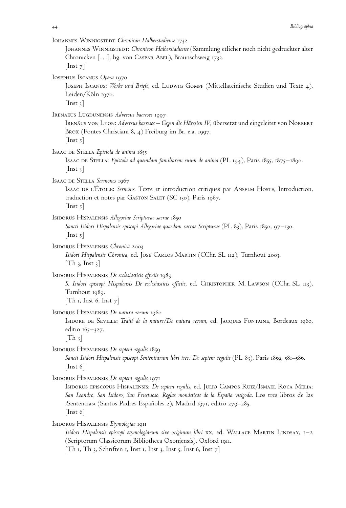| IOHANNES WINNIGSTEDT Chronicon Halberstadiense 1732<br>JOHANNES WINNIGSTEDT: Chronicon Halberstadiense (Sammlung etlicher noch nicht gedruckter alter<br>Chronicken [], hg. von CASPAR ABEL), Braunschweig 1732.<br>$\lfloor \text{Inst } 7 \rfloor$                                                                                                       |
|------------------------------------------------------------------------------------------------------------------------------------------------------------------------------------------------------------------------------------------------------------------------------------------------------------------------------------------------------------|
| IOSEPHUS ISCANUS Opera 1970<br>JOSEPH ISCANUS: Werke und Briefe, ed. LUDWIG GOMPF (Mittellateinische Studien und Texte 4),<br>Leiden/Köln 1970.<br>$[$ Inst 3 $]$                                                                                                                                                                                          |
| IRENAEUS LUGDUNENSIS Adversus haereses 1997<br>IRENÄUS VON LYON: Adversus haereses - Gegen die Häresien IV, übersetzt und eingeleitet von NORBERT<br>Brox (Fontes Christiani 8, 4) Freiburg im Br. e.a. 1997.<br>$ $ Inst 5 $ $                                                                                                                            |
| ISAAC DE STELLA Epistola de anima 1855<br>Isaac DE Stella: <i>Epistola ad quemdam familiarem suum de anima</i> (PL 194), Paris 1855, 1875–1890.<br>$\vert$ Inst 3 $\vert$                                                                                                                                                                                  |
| ISAAC DE STELLA Sermones 1967<br>ISAAC DE L'ETOILE: Sermons. Texte et introduction critiques par ANSELM HOSTE, Introduction,<br>traduction et notes par GASTON SALET (SC 130), Paris 1967.<br>$ $ Inst 5 $ $                                                                                                                                               |
| ISIDORUS HISPALENSIS Allegoriae Scripturae sacrae 1850<br>Sancti Isidori Hispalensis episcopi Allegoriae quaedam sacrae Scripturae (PL 83), Paris 1850, 97–130.<br>$\lfloor$ Inst 5 $\rfloor$                                                                                                                                                              |
| ISIDORUS HISPALENSIS Chronica 2003<br>Isidori Hispalensis Chronica, ed. JOSE CARLOS MARTIN (CChr. SL 112), Turnhout 2003.<br>$\lceil \text{Th }$ 3, Inst 3                                                                                                                                                                                                 |
| ISIDORUS HISPALENSIS De ecclesiasticis officiis 1989<br>S. Isidori episcopi Hispalensis De ecclesiasticis officiis, ed. CHRISTOPHER M. LAWSON (CChr. SL 113),<br>Turnhout 1989.<br>$\lceil \text{Th } r, \text{ Inst } 6, \text{ Inst } 7 \rceil$                                                                                                          |
| ISIDORUS HISPALENSIS De natura rerum 1960<br>ISIDORE DE SEVILLE: Traité de la nature/De natura rerum, ed. JACQUES FONTAINE, Bordeaux 1960,<br>editio $165 - 327$ .<br>$\lceil \text{Th } \frac{3}{2} \rceil$                                                                                                                                               |
| ISIDORUS HISPALENSIS De septem regulis 1859<br>Sancti Isidori Hispalensis episcopi Sententiarum libri tres: De septem regulis (PL 83), Paris 1859, 581–586.<br>$\lfloor$ Inst 6 $\rfloor$                                                                                                                                                                  |
| ISIDORUS HISPALENSIS De septem regulis 1971<br>ISIDORUS EPISCOPUS HISPALENSIS: <i>De septem regulis</i> , ed. JULIO CAMPOS RUIZ/ISMAEL ROCA MELIA:<br>San Leandro, San Isidoro, San Fructuoso, Reglas monásticas de la España visigoda. Los tres libros de las<br>>Sentencias< (Santos Padres Españoles 2), Madrid 1971, editio 279–285.<br>$[$ Inst 6 $]$ |
| ISIDORUS HISPALENSIS Etymologiae 1911<br>Isidori Hispalensis episcopi etymologiarum sive originum libri xx, ed. WALLACE MARTIN LINDSAY, 1–2<br>(Scriptorum Classicorum Bibliotheca Oxoniensis), Oxford 1911.<br>Th 1, Th 3, Schriften 1, Inst 1, Inst 3, Inst 5, Inst 6, Inst 7]                                                                           |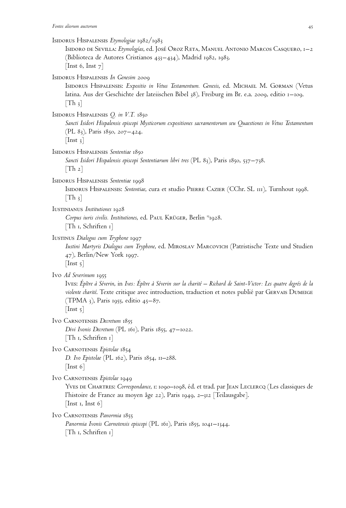Isidorus Hispalensis *Etymologiae* 1982/1983 Isidoro de Sevilla: *Etymologı´as*, ed. Jose´ Oroz Reta, Manuel Antonio Marcos Casquero, 1–2 (Biblioteca de Autores Cristianos 433–434), Madrid 1982, 1983. [Inst 6, Inst  $7$ ] Isidorus Hispalensis *In Genesim* 2009 Isidorus Hispalensis: *Expositio in Vetus Testamentum. Genesis*, ed. Michael M. Gorman (Vetus latina. Aus der Geschichte der lateiischen Bibel 38), Freiburg im Br. e.a. 2009, editio 1–109.  $[Th_3]$ Isidorus Hispalensis *Q. in V.T.* 1850 *Sancti Isidori Hispalensis episcopi Mysticorum expositiones sacramentorum seu Quaestiones in Vetus Testamentum* (PL 83), Paris 1850, 207–424.  $[$ Inst 3 $]$ Isidorus Hispalensis *Sententiae* 1850 *Sancti Isidori Hispalensis episcopi Sententiarum libri tres* (PL 83), Paris 1850, 537–738.  $[Th 2]$ Isidorus Hispalensis *Sententiae* 1998 Isidorus Hispalensis: *Sententiae*, cura et studio Pierre Cazier (CChr. SL 111), Turnhout 1998.  $|Th_3|$ Iustinianus *Institutiones* 1928 *Corpus iuris civilis. Institutiones*, ed. Paul Krüger, Berlin 151928. [Th 1, Schriften 1] Iustinus *Dialogus cum Tryphone* 1997 *Iustini Martyris Dialogus cum Tryphone*, ed. Miroslav Marcovich (Patristische Texte und Studien 47), Berlin/New York 1997.  $[$ Inst  $\frac{1}{2}$ ] Ivo *Ad Severinum* 1955 IVES: Épître à Séverin, in *Ives: Épître à Séverin sur la charité* – Richard de Saint-Victor: Les quatre degrés de la violente charité. Texte critique avec introduction, traduction et notes publié par GERVAIS DUMEIGE (TPMA 3), Paris 1955, editio 45–87.  $[$ Inst 5 $]$ Ivo Carnotensis *Decretum* 1855 *Divi Ivonis Decretum* (PL 161), Paris 1855, 47–1022. [Th 1, Schriften 1] Ivo Carnotensis *Epistolae* 1854 *D. Ivo Epistolae* (PL 162), Paris 1854, 11–288. [Inst 6] Ivo Carnotensis *Epistolae* 1949 YVES DE CHARTRES: Correspondance, 1: 1090-1098, éd. et trad. par JEAN LECLERCQ (Les classiques de l'histoire de France au moyen âge 22), Paris 1949, 2-312 [Teilausgabe].  $\vert$  Inst 1, Inst 6 $\vert$ Ivo Carnotensis *Panormia* 1855 *Panormia Ivonis Carnotensis episcopi* (PL 161), Paris 1855, 1041–1344. [Th 1, Schriften 1]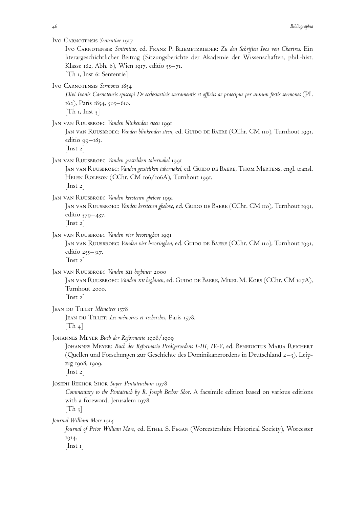| IVO CARNOTENSIS Sententiae 1917<br>IVO CARNOTENSIS: Sententiae, ed. FRANZ P. BLIEMETZRIEDER: Zu den Schriften Ivos von Chartres. Ein<br>literargeschichtlicher Beitrag (Sitzungsberichte der Akademie der Wissenschaften, phil.-hist.<br>Klasse 182, Abh. 6), Wien 1917, editio 55-71.<br>$\lceil \text{Th } r, \text{ Inst } 6$ : Sententie $\rceil$ |
|-------------------------------------------------------------------------------------------------------------------------------------------------------------------------------------------------------------------------------------------------------------------------------------------------------------------------------------------------------|
| IVO CARNOTENSIS Sermones 1854<br>Divi Ivonis Carnotensis episcopi De ecclesiasticis sacramentis et officiis ac praecipue per annum festis sermones (PL<br>162), Paris 1854, 505–610.<br>$\lceil \text{Th } r, \text{ Inst } 3 \rceil$                                                                                                                 |
| JAN VAN RUUSBROEC Vanden blinkenden steen 1991<br>JAN VAN RUUSBROEC: Vanden blinkenden steen, ed. GUIDO DE BAERE (CChr. CM 110), Turnhout 1991,<br>editio $99 - 183$ .<br>$\lfloor \text{Inst } 2 \rfloor$                                                                                                                                            |
| JAN VAN RUUSBROEC Vanden geesteliken tabernakel 1991<br>JAN VAN RUUSBROEC: <i>Vanden geesteliken tabernakel,</i> ed. GUIDO DE BAERE, THOM MERTENS, engl. transl.<br>HELEN ROLFSON (CChr. CM 106/106A), Turnhout 1991.<br>$\vert \ln$ st 2 $\vert$                                                                                                     |
| JAN VAN RUUSBROEC Vanden kerstenen ghelove 1991<br>JAN VAN RUUSBROEC: <i>Vanden kerstenen gbelove,</i> ed. GUIDO DE BAERE (CChr. CM 110), Turnhout 1991,<br>editio 379-437.<br>$\vert \lnst_2 \vert$                                                                                                                                                  |
| JAN VAN RUUSBROEC Vanden vier becoringhen 1991<br>JAN VAN RUUSBROEC: Vanden vier becoringhen, ed. GUIDO DE BAERE (CChr. CM 110), Turnhout 1991,<br>editio $255 - 317$ .<br>$\vert \lnst_2 \vert$                                                                                                                                                      |
| JAN VAN RUUSBROEC Vanden XII beghinen 2000<br>JAN VAN RUUSBROEC: <i>Vanden x11 begbinen,</i> ed. GUIDO DE BAERE, MIKEL M. KORS (CChr. CM 107A),<br>Turnhout 2000.<br>$\vert$ Inst 2 $\vert$                                                                                                                                                           |
| JEAN DU TILLET Mémoires 1578<br>JEAN DU TILLET: Les mémoires et recherches, Paris 1578.<br>$\lfloor \text{Th}_4 \rfloor$                                                                                                                                                                                                                              |
| JOHANNES MEYER Buch der Reformacio 1908/1909<br>JOHANNES MEYER: <i>Buch der Reformacio Predigerordens L-III; IV-V,</i> ed. BENEDICTUS MARIA REICHERT<br>(Quellen und Forschungen zur Geschichte des Dominikanerordens in Deutschland 2-3), Leip-<br>zig 1908, 1909.<br>$\lfloor \ln st \ 2 \rfloor$                                                   |
| JOSEPH BEKHOR SHOR Super Pentateuchum 1978<br>Commentary to the Pentateuch by R. Joseph Bechor Shor. A facsimile edition based on various editions<br>with a foreword, Jerusalem 1978.<br>$\lfloor \text{Th}_3 \rfloor$                                                                                                                               |
| Journal William More 1914<br>Journal of Prior William More, ed. ETHEL S. FEGAN (Worcestershire Historical Society), Worcester<br>1914.<br>$ \text{Inst 1} $                                                                                                                                                                                           |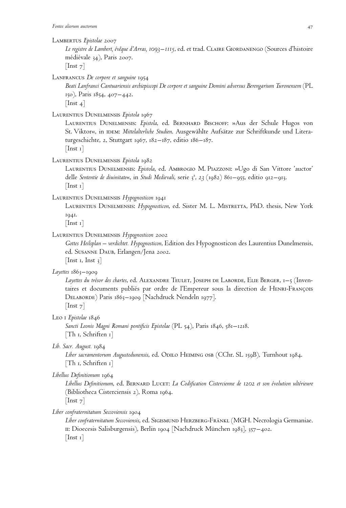#### Lambertus *Epistolae* 2007

*Le registre de Lambert, e´veˆque d'Arras, 1093–1115*, ed. et trad. Claire Giordanengo (Sources d'histoire médiévale 34), Paris 2007.

 $[$ Inst 7 $]$ 

LANFRANCUS *De corpore et sanguine* 1954

*Beati Lanfranci Cantuariensis archiepiscopi De corpore et sanguine Domini adversus Berengarium Turonensem* (PL 150), Paris 1854, 407–442.  $[$ Inst 4 $]$ 

Laurentius Dunelmensis *Epistola* 1967

Laurentius Dunelmensis: *Epistola*, ed. Bernhard Bischoff: »Aus der Schule Hugos von St. Viktor«, in IDEM: *Mittelalterliche Studien*. Ausgewählte Aufsätze zur Schriftkunde und Literaturgeschichte, 2, Stuttgart 1967, 182–187, editio 186–187.  $[$ Inst 1 $]$ 

Laurentius Dunelmensis *Epistola* 1982

Laurentius Dunelmensis: *Epistola*, ed. Ambrogio M. Piazzoni: »Ugo di San Vittore 'auctor' delle *Sententie de diuinitate*«, in *Studi Medievali*, serie 3 a , *23* (1982) 861–955, editio 912–913. [Inst 1]

## Laurentius Dunelmensis *Hypognosticon* 1941

Laurentius Dunelmensis: *Hypognosticon*, ed. Sister M. L. Mistretta, PhD. thesis, New York 1941.

[Inst 1]

## Laurentius Dunelmensis *Hypognosticon* 2002

*Gottes Heilsplan – verdichtet. Hypognosticon*, Edition des Hypognosticon des Laurentius Dunelmensis, ed. Susanne Daub, Erlangen/Jena 2002. [Inst 1, Inst  $3$ ]

*Layettes* 1863–1909

*Layettes du tre´sor des chartes*, ed. Alexandre Teulet, Joseph de Laborde, Elie Berger, 1–5 (Inventaires et documents publiés par ordre de l'Empereur sous la direction de HENRI-FRANÇOIS Delaborde) Paris 1863–1909 [Nachdruck Nendeln 1977].

 $[$ Inst  $7]$ 

Leo i *Epistolae* 1846

*Sancti Leonis Magni Romani pontificis Epistolae* (PL 54), Paris 1846, 581–1218. [Th 1, Schriften 1]

*Lib. Sacr. August.* 1984

Liber sacramentorum Augustodunensis, ed. ODILO HEIMING OSB (CChr. SL 159B), Turnhout 1984. [Th 1, Schriften 1]

## *Libellus Definitionum* 1964

*Libellus Definitionum*, ed. Bernard Lucet: *La Codification Cistercienne de 1202 et son e´volution ulte´rieure* (Bibliotheca Cisterciensis 2), Roma 1964.

 $[$ Inst  $7]$ 

*Liber confraternitatum Seccoviensis* 1904

Liber confraternitatum Seccoviensis, ed. SIGISMUND HERZBERG-FRÄNKL (MGH. Necrologia Germaniae. ii: Dioecesis Salisburgensis), Berlin 1904 [Nachdruck München 1983], 357–402.  $[$ Inst 1 $]$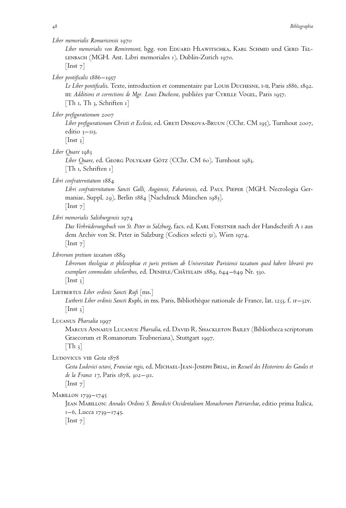# *Liber memorialis Romaricensis* 1970

*Liber memorialis von Remiremont*, hgg. von Eduard Hlawitschka, Karl Schmid und Gerd Tel-LENBACH (MGH. Ant. Libri memoriales 1), Dublin-Zurich 1970.  $[$ Inst 7 $]$ 

*Liber pontificalis* 1886–1957

*Le Liber pontificalis*. Texte, introduction et commentaire par Louis Duchesne, i-ii, Paris 1886, 1892. III: *Additions et corrections de Mgr. Louis Duchesne*, publiées par CYRILLE VOGEL, Paris 1957. [Th 1, Th 3, Schriften 1]

*Liber prefigurationum* 2007

*Liber prefigurationum Christi et Ecclesie*, ed. Greti Dinkova-Bruun (CChr. CM 195), Turnhout 2007, editio  $3$ –115.

 $[$ Inst 3 $]$ 

*Liber Quare* 1983

*Liber Quare*, ed. Georg Polykarp Götz (CChr. CM 60), Turnhout 1983. [Th 1, Schriften 1]

*Libri confraternitatum* 1884

*Libri confraternitatum Sancti Galli, Augiensis, Fabariensis*, ed. Paul Pieper (MGH. Necrologia Germaniae, Suppl. 29), Berlin 1884 [Nachdruck München 1983].  $[$ Inst  $7]$ 

*Libri memorialis Salisburgensis* 1974

*Das Verbrüderungsbuch von St. Peter in Salzburg*, facs. ed. Karl Forstner nach der Handschrift A 1 aus dem Archiv von St. Peter in Salzburg (Codices selecti 51), Wien 1974.  $[$ Inst  $7]$ 

*Librorum pretium taxatum* 1889

*Librorum theologiae et philosophiae et juris pretium ab Universitate Parisiensi taxatum quod habere librarii pro exemplari commodato scholaribus*, ed. Denifle/Chaˆtelain 1889, 644–649 Nr. 530.  $[$ Inst 3 $]$ 

LIETBERTUS Liber ordinis Sancti Rufi [ms.]

*Lietberti Liber ordinis Sancti Ruphi*, in ms. Paris, Bibliothe`que nationale de France, lat. 1233, f. 1r–32v.  $[$ Inst 3 $]$ 

Lucanus *Pharsalia* 1997

Marcus Annaeus Lucanus: *Pharsalia*, ed. David R. Shackleton Bailey (Bibliotheca scriptorum Graecorum et Romanorum Teubneriana), Stuttgart 1997.

 $[Th_3]$ 

Ludovicus viii *Gesta* 1878

*Gesta Ludovici octavi, Franciae regis*, ed. Michael-Jean-Joseph Brial, in *Recueil des Historiens des Gaules et de la France 17*, Paris 1878, 302–311.

 $[$ Inst  $7]$ 

MABILLON 1739–1745

Jean Mabillon: *Annales Ordinis S. Benedicti Occidentalium Monachorum Patriarchae*, editio prima Italica, 1–6, Lucca 1739–1745.  $[$ Inst 7 $]$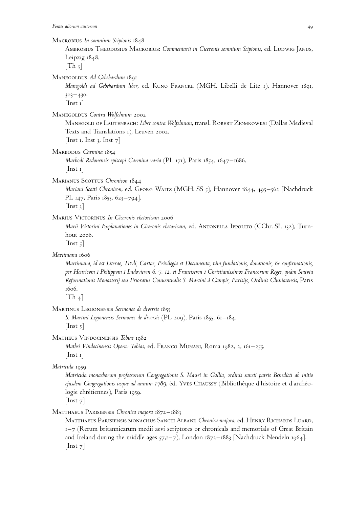Macrobius *In somnium Scipionis* 1848 Ambrosius Theodosius Macrobius: *Commentarii in Ciceronis somnium Scipionis*, ed. Ludwig Janus, Leipzig 1848.  $[Th_3]$ Manegoldus *Ad Gebehardum* 1891 *Manegoldi ad Gebehardum liber*, ed. Kuno Francke (MGH. Libelli de Lite 1), Hannover 1891, 303–430.  $[$ Inst 1 $]$ Manegoldus *Contra Wolfelmum* 2002 Manegold of Lautenbach: *Liber contra Wolfelmum*, transl. Robert Ziomkowksi (Dallas Medieval Texts and Translations 1), Leuven 2002. [Inst 1, Inst 3, Inst  $7$ ] Marbodus *Carmina* 1854 *Marbodi Redonensis episcopi Carmina varia* (PL 171), Paris 1854, 1647–1686. [Inst 1] Marianus Scottus *Chronicon* 1844 *Mariani Scotti Chronicon*, ed. Georg Waitz (MGH. SS 5), Hannover 1844, 495–562 [Nachdruck PL 147, Paris 1853, 623–794].  $[$ Inst 3 $]$ Marius Victorinus *In Ciceronis rhetoricam* 2006 *Marii Victorini Explanationes in Ciceronis rhetoricam*, ed. ANTONELLA IppoLITO (CChr. SL 132), Turnhout 2006.  $[$ Inst  $\frac{1}{2}]$ *Martiniana* 1606 *Martiniana, id est Literae, Titvli, Cartae, Privilegia et Documenta, ta`m fundationis, donationis, & confirmationis, per Henricvm* <sup>i</sup> *Philippvm* <sup>i</sup> *Ludovicvm 6. 7. 12. et Franciscvm* <sup>i</sup> *Christianissimos Francorum Reges, qua`m Statvta Reformationis Monasterij seu Prioratus Conuentualis S. Martini a` Campis, Parisijs, Ordinis Cluniacensis*, Paris 1606.  $|Th_4|$ Martinus Legionensis *Sermones de diversis* 1855 *S. Martini Legionensis Sermones de diversis* (PL 209), Paris 1855, 61–184.  $[$ Inst  $\frac{1}{2}]$ Matheus Vindocinensis *Tobias* 1982 *Mathei Vindocinensis Opera: Tobias*, ed. Franco Munari, Roma 1982, 2, 161–255.  $[$ Inst 1 $]$ *Matricula* 1959 *Matricula monachorum professorum Congregationis S. Mauri in Gallia, ordinis sancti patris Benedicti ab initio ejusdem Congregationis usque ad annum 1789*, e´d. Yves Chaussy (Bibliothe`que d'histoire et d'arche´ologie chrétiennes), Paris 1959.  $[$ Inst 7 $]$ Matthaeus Parisiensis *Chronica majora* 1872–1883 Matthaeus Parisiensis monachus Sancti Albani: *Chronica majora*, ed. Henry Richards Luard, 1–7 (Rerum britannicarum medii aevi scriptores or chronicals and memorials of Great Britain and Ireland during the middle ages  $57,1-7$ ), London  $1872-1883$  [Nachdruck Nendeln 1964].  $|$  Inst  $7|$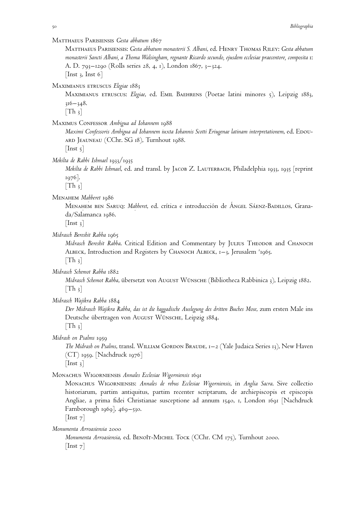Matthaeus Parisiensis *Gesta abbatum* 1867

Matthaeus Parisiensis: *Gesta abbatum monasterii S. Albani*, ed. Henry Thomas Riley: *Gesta abbatum monasterii Sancti Albani, a Thoma Walsingham, regnante Ricardo secundo, ejusdem ecclesiae praecentore, composita* 1: A. D. 793–1290 (Rolls series 28, 4, 1), London 1867, 3–324. [Inst 3, Inst 6]

Maximianus etruscus *Elegiae* 1883

Maximianus etruscus: *Elegiae*, ed. Emil Baehrens (Poetae latini minores 5), Leipzig 1883, 316–348.

 $|Th_3|$ 

Maximus Confessor *Ambigua ad Iohannem* 1988

*Maximi Confessoris Ambigua ad Iohannem iuxta Iohannis Scotti Eriugenae latinam interpretationem*, ed. Edouard Jeauneau (CChr. SG 18), Turnhout 1988.

 $[$ Inst 5 $]$ 

*Mekilta de Rabbi Ishmael* 1933/1935

*Mekilta de Rabbi Ishmael*, ed. and transl. by Jacob Z. Lauterbach, Philadelphia 1933, 1935 [reprint 1976].

 $[Th_3]$ 

Menahem *Mahberet* 1986<br>Menahem ben Sai

Menahem ben Saruq: *Mabberet,* ed. crítica e introducción de Ángel Sáenz-Badillos, Grana-<br>da/Salamanca 1086 da/Salamanca 1986.

 $[$ Inst 3 $]$ 

*Midrasch Bereshit Rabba* 1965

*Midrasch Bereshit Rabba*. Critical Edition and Commentary by JULIUS THEODOR and CHANOCH ALBECK, Introduction and Registers by CHANOCH ALBECK, 1–3, Jerusalem <sup>2</sup>1965.

 $\lceil \text{Th } \frac{3}{3} \rceil$ 

*Midrasch Schemot Rabba* 1882

*Midrasch Schemot Rabba*, übersetzt von August Wünsche (Bibliotheca Rabbinica 3), Leipzig 1882.  $[Th_3]$ 

*Midrasch Wajikra Rabba* 1884

*Der Midrasch Wajikra Rabba, das ist die haggadische Auslegung des dritten Buches Mose*, zum ersten Male ins Deutsche übertragen von August Wünsche, Leipzig 1884.

 $[Th_3]$ 

*Midrash on Psalms* 1959

*The Midrash on Psalms*, transl. William Gordon Braude, 1–2 (Yale Judaica Series 13), New Haven  $(CT)$  1959. [Nachdruck 1976]

 $[$ Inst 3 $]$ 

Monachus Wigorniensis *Annales Ecclesiae Wigorniensis* 1691

Monachus Wigorniensis: *Annales de rebus Ecclesiae Wigorniensis*, in *Anglia Sacra*. Sive collectio historiarum, partim antiquitus, partim recenter scriptarum, de archiepiscopis et episcopis Angliae, a prima fidei Christianae susceptione ad annum 1540, 1, London 1691 [Nachdruck Farnborough 1969], 469–530.

 $[$ Inst  $7]$ 

*Monumenta Arroasiensia* 2000

*Monumenta Arroasiensia*, ed. BENOÎT-MICHEL TOCK (CChr. CM 175), Turnhout 2000.  $|$  Inst  $7|$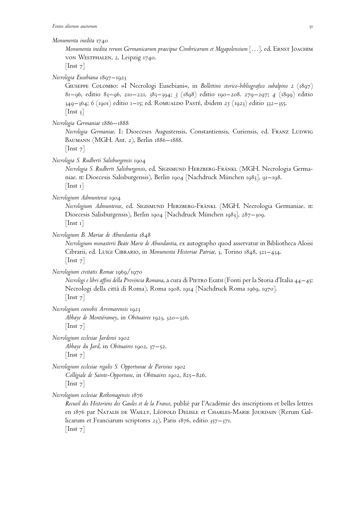#### *Monumenta inedita* 1740

*Monumenta inedita rerum Germanicarum praecipue Cimbricarum et Megapolensium* […], ed. Ernst Joachim von Westphalen, 2, Leipzig 1740.

 $[$ Inst  $7]$ 

# *Necrologia Eusebiana* 1897–1923

Giuseppe Colombo: »I Necrologi Eusebiani«, in *Bollettino storico-bibliografico subalpino 2* (1897) 81–96, editio 83–96, 210–221, 383–394; *3* (1898) editio 190–208. 279–297; *4* (1899) editio 349–364; *6* (1901) editio 1–15; ed. Romualdo Paste´, ibidem *25* (1923) editio 332–355.  $[$ Inst  $_3]$ 

*Necrologia Germaniae* 1886–1888

*Necrologia Germaniae*. I: Dioeceses Augustensis, Constantiensis, Curiensis, ed. Franz Ludwig Baumann (MGH. Ant. 2), Berlin 1886–1888.

 $[$ Inst  $7]$ 

*Necrologia S. Rudberti Salisburgensis* 1904

*Necrologia S. Rudberti Salisburgensis*, ed. Sigismund Herzberg-Fränkl (MGH. Necrologia Germaniae. ii: Dioecesis Salisburgensis), Berlin 1904 [Nachdruck München 1983], 91–198. [Inst 1]

*Necrologium Admuntense* 1904

*Necrologium Admuntense*, ed. SIGISMUND HERZBERG-FRÄNKL (MGH. Necrologia Germaniae. II: Dioecesis Salisburgensis), Berlin 1904 [Nachdruck München 1983], 287–309. [Inst 1]

*Necrologium B. Mariae de Abundantia* 1848

*Necrologium monasterii Beate Marie de Abundantia*, ex autographo quod asservatur in Bibliotheca Aloisi Cibrarii, ed. Luigi Cibrario, in *Monumenta Historiae Patriae*, 3, Torino 1848, 321–434.  $[\text{Inst } 7]$ 

*Necrologium civitatis Romae* 1969/1970

*Necrologi e libri affini della Provincia Romana*, a cura di Pietro Egidi (Fonti per la Storia d'Italia 44–45: Necrologi della città di Roma), Roma 1908, 1914 [Nachdruck Roma 1969, 1970].  $|$ Inst 7 $|$ 

*Necrologium coenobii Arremarensis* 1923

*Abbaye de Montie´ramey*, in *Obituaires* 1923, 320–326.  $[$ Inst  $7]$ 

*Necrologium ecclesiae Jardensi* 1902 *Abbaye du Jard*, in *Obituaires* 1902, 37–52.  $[$ Inst  $7]$ 

*Necrologium ecclesiae regalis S. Opportunae de Parisius* 1902 *Colle´giale de Sainte-Opportune*, in *Obituaires* 1902, 825–826.  $[$ Inst  $7]$ 

*Necrologium ecclesiae Rothomagensis* 1876

*Recueil des Historiens des Gaules et de la France*, publie´ par l'Acade´mie des inscriptions et belles lettres en 1876 par NATALIS DE WAILLY, LÉOPOLD DELISLE et CHARLES-MARIE JOURDAIN (Rerum Gallicarum et Franciarum scriptores 23), Paris 1876, editio 357–371.  $[$ Inst  $7]$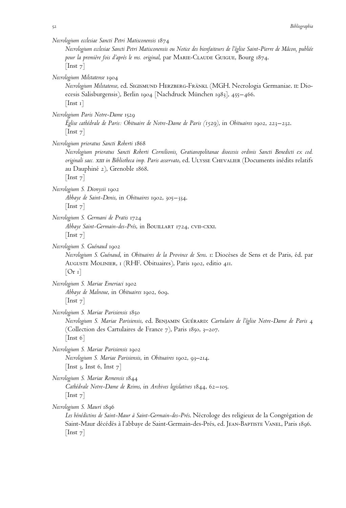*Necrologium ecclesiae Sancti Petri Matisconensis* 1874 *Necrologium ecclesiae Sancti Petri Matisconensis ou Notice des bienfaiteurs de l'e´glise Saint-Pierre de Maˆcon, publie´e* pour la première fois d'après le ms. original, par MARIE-CLAUDE GUIGUE, Bourg 1874.  $[$ Inst 7 $]$ *Necrologium Milstatense* 1904 *Necrologium Milstatense*, ed. Sigismund Herzberg-Fränkl (MGH. Necrologia Germaniae. ii: Dioecesis Salisburgensis), Berlin 1904 [Nachdruck München 1983], 455–466.  $[$ Inst 1 $]$ *Necrologium Paris Notre-Dame* 1529 *E´glise cathe´drale de Paris: Obituaire de Notre-Dame de Paris (1529)*, in *Obituaires* 1902, 223–232.  $[$ Inst  $7]$ *Necrologium prioratus Sancti Roberti* 1868 *Necrologium prioratus Sancti Roberti Cornilionis, Gratianopolitanae dioecesis ordinis Sancti Benedicti ex cod. originali saec.* xiii *in Bibliotheca imp. Paris asservato*, ed. Ulysse Chevalier (Documents ine´dits relatifs au Dauphiné 2), Grenoble 1868.  $[$ Inst  $7]$ *Necrologium S. Dionysii* 1902 *Abbaye de Saint-Denis*, in *Obituaires* 1902, 305–334.  $[\text{Inst } 7]$ *Necrologium S. Germani de Pratis* 1724 *Abbaye Saint-Germain-des-Pre´s*, in Bouillart 1724, cvii-cxxi.  $[$ Inst  $7]$ *Necrologium S. Gue´naud* 1902 *Necrologium S. Guénaud, in Obituaires de la Province de Sens. 1: Diocèses de Sens et de Paris, éd. par* Auguste Molinier, 1 (RHF. Obituaires), Paris 1902, editio 411.  $[Or 1]$ *Necrologium S. Mariae Emeriaci* 1902 *Abbaye de Malnoue*, in *Obituaires* 1902, 609.  $[$ Inst  $7]$ *Necrologium S. Mariae Parisiensis* 1850 *Necrologium S. Mariae Parisiensis*, ed. Benjamin Gue´rard: *Cartulaire de l'e´glise Notre-Dame de Paris* 4 (Collection des Cartulaires de France 7), Paris 1850, 3–207. [Inst 6] *Necrologium S. Mariae Parisiensis* 1902 *Necrologium S. Mariae Parisiensis*, in *Obituaires* 1902, 93–214. [Inst 3, Inst 6, Inst  $7$ ] *Necrologium S. Mariae Remensis* 1844 *Cathe´drale Notre-Dame de Reims*, in *Archives legislatives* 1844, 62–105.  $[$ Inst  $7]$ *Necrologium S. Mauri* 1896 Les bénédictins de Saint-Maur à Saint-Germain-des-Prés. Nécrologe des religieux de la Congrégation de Saint-Maur décédés à l'abbaye de Saint-Germain-des-Prés, ed. JEAN-BAPTISTE VANEL, Paris 1896. [Inst<sub>7</sub>]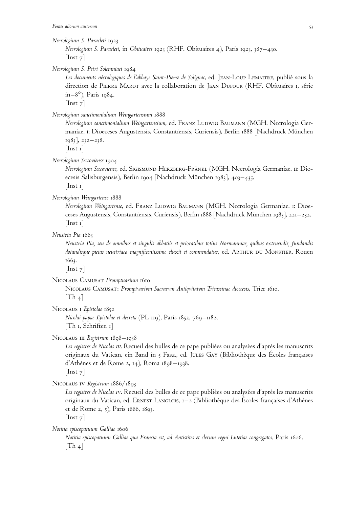#### *Necrologium S. Paracleti* 1923

*Necrologium S. Paracleti*, in *Obituaires* 1923 (RHF. Obituaires 4), Paris 1923, 387–430.  $[$ Inst  $7]$ 

*Necrologium S. Petri Solemniaci* 1984

*Les documents ne´crologiques de l'abbaye Saint-Pierre de Solignac*, ed. Jean-Loup Lemaitre, publie´ sous la direction de PIERRE MAROT avec la collaboration de JEAN DUFOUR (RHF. Obituaires 1, série in–8°), Paris 1984.

 $[$ Inst  $7]$ 

## *Necrologium sanctimonialium Weingartensium* 1888

*Necrologium sanctimonialium Weingartensium*, ed. Franz Ludwig Baumann (MGH. Necrologia Germaniae. i: Dioeceses Augustensis, Constantiensis, Curiensis), Berlin 1888 [Nachdruck München 1983], 232–238.

 $[$ Inst 1 $]$ 

#### *Necrologium Seccoviense* 1904

*Necrologium Seccoviense*, ed. Sigismund Herzberg-Fränkl (MGH. Necrologia Germaniae. ii: Dioecesis Salisburgensis), Berlin 1904 [Nachdruck München 1983], 403–435.

[Inst 1]

# *Necrologium Weingartense* 1888

*Necrologium Weingartense*, ed. Franz Ludwig Baumann (MGH. Necrologia Germaniae. i: Dioeceses Augustensis, Constantiensis, Curiensis), Berlin 1888 [Nachdruck München 1983], 221–232. [Inst 1]

## *Neustria Pia* 1663

*Neustria Pia, seu de omnibus et singulis abbatiis et prioratibus totius Normanniae, quibus extruendis, fundandis* dotandisque pietas neustriaca magnificentissime eluxit et commendatur, ed. ARTHUR DU MONSTIER, Rouen 1663.

 $[$ Inst  $7]$ 

#### Nicolaus Camusat *Promptuarium* 1610

Nicolaus Camusat: *Promptvarivm Sacrarvm Antiqvitatvm Tricassinae dioecesis*, Trier 1610.

 $|Th_4|$ 

Nicolaus i *Epistolae* 1852

*Nicolai papae Epistolae et decreta* (PL 119), Paris 1852, 769–1182. [Th 1, Schriften 1]

Nicolaus iii *Registrum* 1898–1938

Les registres de Nicolas III. Recueil des bulles de ce pape publiées ou analysées d'après les manuscrits originaux du Vatican, ein Band in 5 Fasz., ed. JULES GAY (Bibliothèque des Écoles françaises d'Athe`nes et de Rome 2, 14), Roma 1898–1938. [Inst 7]

Nicolaus iv *Registrum* 1886/1893

Les registres de Nicolas Iv. Recueil des bulles de ce pape publiées ou analysées d'après les manuscrits originaux du Vatican, ed. ERNEST LANGLOIS, 1-2 (Bibliothèque des Écoles françaises d'Athènes et de Rome 2, 5), Paris 1886, 1893.

 $[$ Inst  $7]$ 

*Notitia episcopatuum Galliae* 1606

*Notitia episcopatuum Galliae qua Francia est, ad Antistites et clerum regni Lutetiae congregatos*, Paris 1606.  $\lceil \text{Th } 4 \rceil$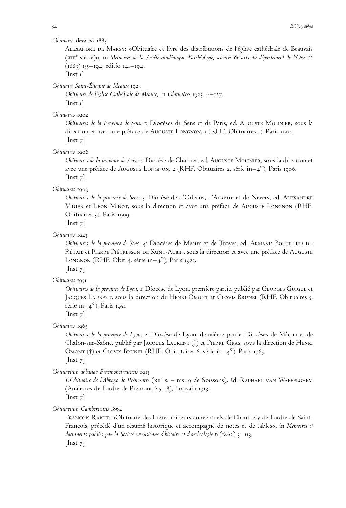#### *Obituaire Beauvais* 1883

ALEXANDRE DE MARSY: »Obituaire et livre des distributions de l'église cathédrale de Beauvais (xiii<sup>e</sup> sie`cle)«, in *Me´moires de la Socie´te´ acade´mique d'arche´ologie, sciences & arts du de´partement de l'Oise 12* (1883) 135–194, editio 141–194.

 $[$ Inst 1 $]$ 

*Obituaire Saint-E´tienne de Meaux* 1923

*Obituaire de l'e´glise Cathe´drale de Meaux*, in *Obituaires* 1923, 6–127.  $[$ Inst 1 $]$ 

## *Obituaires* 1902

*Obituaires de la Province de Sens*. 1: Dioce`ses de Sens et de Paris, ed. Auguste Molinier, sous la direction et avec une préface de Auguste Longnon, 1 (RHF. Obituaires 1), Paris 1902.  $[$ Inst  $7]$ 

#### *Obituaires* 1906

*Obituaires de la province de Sens*. 2: Dioce`se de Chartres, ed. Auguste Molinier, sous la direction et avec une préface de Auguste Longnon, 2 (RHF. Obituaires 2, série in– $4^{\circ}$ ), Paris 1906.  $[$ Inst  $7]$ 

# *Obituaires* 1909

*Obituaires de la province de Sens.* 3: Diocèse de d'Orléans, d'Auxerre et de Nevers, ed. ALEXANDRE VIDIER et LÉON MIROT, sous la direction et avec une préface de AUGUSTE LONGNON (RHF. Obituaires 3), Paris 1909.

 $[$ Inst  $7]$ 

# *Obituaires* 1923

*Obituaires de la province de Sens.* 4: Diocèses de Meaux et de Troyes, ed. ARMAND BOUTILLIER DU RÉTAIL et PIERRE PIÉTRESSON DE SAINT-AUBIN, sous la direction et avec une préface de AUGUSTE LONGNON (RHF. Obit 4, série in–4°), Paris 1923.  $[$ Inst  $7]$ 

#### *Obituaires* 1951

*Obituaires de la province de Lyon*. 1: Diocèse de Lyon, première partie, publié par GEORGES GUIGUE et JACQUES LAURENT, sous la direction de HENRI OMONT et CLOVIS BRUNEL (RHF. Obituaires 5, série in– $4^{\circ}$ ), Paris 1951.

 $[$ Inst  $7]$ 

*Obituaires* 1965

*Obituaires de la province de Lyon.* 2: Diocèse de Lyon, deuxième partie. Diocèses de Mâcon et de Chalon-sur-Saône, publié par JACQUES LAURENT (†) et PIERRE GRAS, sous la direction de HENRI OMONT  $(\dagger)$  et Clovis Brunel (RHF. Obitutaires 6, série in–4°), Paris 1965.  $|$ Inst 7 $|$ 

*Obituarium abbatiae Praemonstratensis* 1913

*L'Obituaire de l'Abbaye de Prémontré* (xiie s. – ms. 9 de Soissons), éd. Raphael van Waefelghem (Analectes de l'ordre de Prémontré 5–8), Louvain 1913.  $[$ Inst  $7]$ 

*Obituarium Camberiensis* 1862

FRANÇOIS RABUT: »Obituaire des Frères mineurs conventuels de Chambéry de l'ordre de Saint-François, précédé d'un résumé historique et accompagné de notes et de tables«, in *Mémoires et documents publie´s par la Socie´te´ savoisienne d'histoire et d'arche´ologie 6* (1862) 3–113.  $[$ Inst  $7]$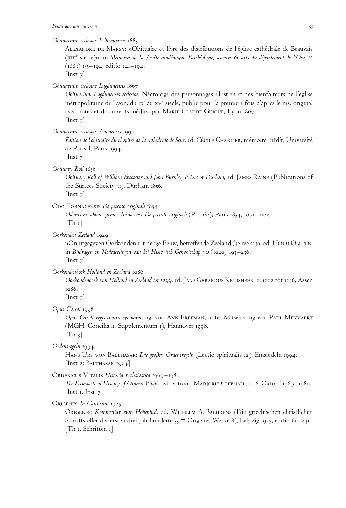## *Obituarium ecclesiae Bellovacensis* 1883

ALEXANDRE DE MARSY: »Obituaire et livre des distributions de l'église cathédrale de Beauvais (xiii<sup>e</sup> sie`cle)«, in *Me´moires de la Socie´te´ acade´mique d'arche´ologie, sciences & arts du de´partement de l'Oise 12* (1883) 135–194, editio 141–194.

 $[$ Inst  $7]$ 

*Obituarium ecclesiae Lugdunensis* 1867

*Obituarium Lugdunensis ecclesiae*. Nécrologe des personnages illustres et des bienfaiteurs de l'église métropolitaine de Lyon, du  $x^{\epsilon}$  au  $xv^{\epsilon}$  siècle, publié pour la première fois d'après le ms. original avec notes et documents inédits, par MARIE-CLAUDE GUIGUE, Lyon 1867.  $[$ Inst  $7]$ 

*Obituarium ecclesiae Senonensis* 1994

*E´dition de l'obituaire du chapitre de la cathe´drale de Sens*, ed. Ce´cile Charlier, me´moire ine´dit, Universite´ de Paris-I, Paris 1994.

 $[$ Inst  $7]$ 

*Obituary Roll* 1856

*Obituary Roll of William Ebchester and John Burnby, Priors of Durham*, ed. James Raine (Publications of the Surtees Society 31), Durham 1856.

 $[$ Inst  $7]$ 

ODO TORNACENSIS *De peccato originali* 1854

*Odonis ex abbate primo Tornacensi De peccato originali* (PL 160), Paris 1854, 1071–1102.  $[Th_1]$ 

*Oorkonden Zeeland* 1929

»Onuitgegeven Oorkonden uit de 13e Eeuw, betreffende Zeeland (3e reeks)«, ed. Henri Obreen, in *Bijdragen en Mededeelingen van het Historisch Genootschap 50* (1929) 193–236.

 $[$ Inst  $7]$ 

*Oorkondenboek Holland en Zeeland* 1986

*Oorkondenboek van Holland en Zeeland tot 1299*, ed. Jaap Gerardus Kruisheer. 2: 1222 tot 1256, Assen 1986.

 $\vert$  Inst  $\vert$ 

*Opus Caroli* 1998

*Opus Caroli regis contra synodum*, hg. von Ann Freeman, unter Mitwirkung von Paul Meyvaert (MGH. Concilia ii, Supplementum 1), Hannover 1998.

 $[Th_3]$ 

*Ordensregeln* 1994

Hans Urs von Balthasar: *Die großen Ordensregeln* (Lectio spiritualis 12), Einsiedeln 1994. [Inst 2: BALTHASAR 1964]

ORDERICUS VITALIS Historia Ecclesiastica 1969–1980

*The Ecclesiastical History of Orderic Vitalis*, ed. et trans. Marjorie Chibnall, 1–6, Oxford 1969–1980. [Inst 1, Inst  $7$ ]

Origenes *In Canticum* 1925

Origenes: *Kommentar zum Hohenlied*, ed. Wilhelm A. Baehrens (Die griechischen christlichen Schriftsteller der ersten drei Jahrhunderte 33 = Origenes Werke 8), Leipzig 1925, editio 61–241. [Th 1, Schriften 1]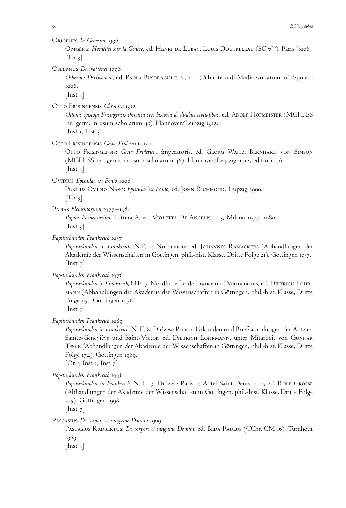## Origenes *In Genesim* 1996

Origène: *Homélies sur la Genèse,* ed. Henri de Lubac, Louis Doutreleau (SC 7<sup>bis</sup>), Paris <sup>2</sup>1996.  $\lceil \text{Th } \frac{3}{3} \rceil$ 

Osbernus *Derivationes* 1996

*Osberno: Derivazioni*, ed. Paola Busdraghi e. a., 1–2 (Biblioteca di Medioevo latino 16), Spoleto 1996.

 $[$ Inst 3 $]$ 

OTTO FRISINGENSIS Chronica 1912

Ottonis episcopi Frisingensis chronica sive historia de duabus civitatibus, ed. ADOLF HOFMEISTER (MGH. SS rer. germ. in usum scholarum 45), Hannover/Leipzig 1912.

[Inst 1, Inst  $3$ ]

Otto Frisingensis *Gesta Friderici* i 1912

Otto Frisingensis: *Gesta Friderici* i imperatoris, ed. Georg Waitz, Bernhard von Simson (MGH. SS rer. germ. in usum scholarum 46), Hannover/Leipzig <sup>3</sup>1912, editio 1–161.  $[$ Inst 3 $]$ 

Ovidius *Epistulae ex Ponto* 1990

PUBLIUS OVIDIO NASO: *Epistulae ex Ponto*, ed. JOHN RICHMOND, Leipzig 1990.  $|Th_3|$ 

Papias *Elementarium* 1977–1980

*Papiae Elementarium*: Littera A, ed. Violetta De Angelis, 1–3, Milano 1977–1980.  $[$ Inst 3 $]$ 

*Papsturkunden Frankreich* 1937

*Papsturkunden in Frankreich*, N.F. 2: Normandie, ed. Johannes Ramackers (Abhandlungen der Akademie der Wissenschaften in Göttingen, phil.-hist. Klasse, Dritte Folge 21), Göttingen 1937.  $[$ Inst  $7]$ 

*Papsturkunden Frankreich* 1976

Papsturkunden in Frankreich, N.F. 7: Nördliche Île-de-France und Vermandois, ed. DIETRICH LOHRmann (Abhandlungen der Akademie der Wissenschaften in Göttingen, phil.-hist. Klasse, Dritte Folge 95), Göttingen 1976.

 $[$ Inst  $7]$ 

*Papsturkunden Frankreich* 1989

*Papsturkunden in Frankreich*, N. F. 8: Diözese Paris 1: Urkunden und Briefsammlungen der Abteien Sainte-Geneviève und Saint-Victor, ed. DIETRICH LOHRMANN, unter Mitarbeit von GUNNAR Teske (Abhandlungen der Akademie der Wissenschaften in Göttingen, phil.-hist. Klasse, Dritte Folge 174), Göttingen 1989.

[Or 1, Inst 3, Inst  $7$ ]

*Papsturkunden Frankreich* 1998

*Papsturkunden in Frankreich*, N. F. 9: Diözese Paris 2: Abtei Saint-Denis, 1–2, ed. Rolf Grosse (Abhandlungen der Akademie der Wissenschaften in Göttingen, phil.-hist. Klasse, Dritte Folge 225), Göttingen 1998.

 $[$ Inst  $7]$ 

Pascasius *De corpore et sanguine Domini* 1969

PASCASIUS RADBERTUS: *De corpore et sanguine Domini*, ed. BEDA PAULUS (CChr. CM 16), Turnhout 1969.

 $[$ Inst  $_3]$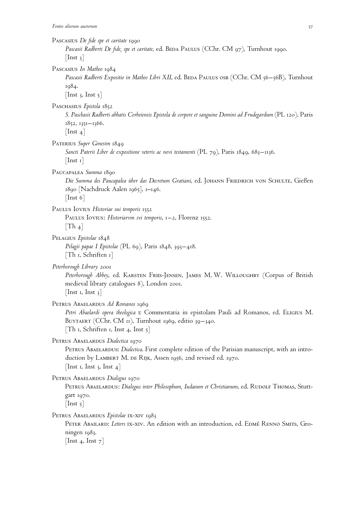| PASCASIUS De fide spe et caritate 1990<br>Pascasii Radberti De fide, spe et caritate, ed. BEDA PAULUS (CChr. CM 97), Turnhout 1990.<br>$\vert \ln st \vert$                                                                                             |
|---------------------------------------------------------------------------------------------------------------------------------------------------------------------------------------------------------------------------------------------------------|
| PASCASIUS In Matheo 1984<br>Pascasii Radberti Expositio in Matheo Libri XII, ed. BEDA PAULUS OSB (CChr. CM 56-56B), Turnhout<br>1984.<br>[Inst 3, Inst $5$ ]                                                                                            |
| PASCHASIUS Epistola 1852<br>S. Paschasii Radberti abbatis Corbeiensis Epistola de corpore et sanguine Domini ad Frudegardum (PL 120), Paris<br>1852, 1351-1366.<br>$\lfloor \text{Inst } 4 \rfloor$                                                     |
| PATERIUS Super Genesim 1849<br>Sancti Paterii Liber de expositione veteris ac novi testamenti (PL 79), Paris 1849, 683–1136.<br>$\lfloor \text{Inst} \; \text{I} \rfloor$                                                                               |
| PAUCAPALEA Summa 1890<br>Die Summa des Paucapalea über das Decretum Gratiani, ed. JOHANN FRIEDRICH VON SCHULTE, Gießen<br>1890 [Nachdruck Aalen 1965], 1–146.<br>$\lfloor$ Inst 6 $\rfloor$                                                             |
| PAULUS IOVIUS Historiae sui temporis 1552<br>PAULUS IOVIUS: Historiarvm svi temporis, 1-2, Florenz 1552.<br>$\lfloor \text{Th}_4 \rfloor$                                                                                                               |
| PELAGIUS Epistolae 1848<br>Pelagii papae I Epistolae (PL 69), Paris 1848, 393–418.<br>$\lceil \text{Th} \rceil$ , Schriften 1 $\rceil$                                                                                                                  |
| Peterborough Library 2001<br>Peterborough Abbey, ed. KARSTEN FRIIS-JENSEN, JAMES M. W. WILLOUGHBY (Corpus of British<br>medieval library catalogues 8), London 2001.<br>$\lfloor \text{Inst } 1, \text{ Inst } 3 \rfloor$                               |
| PETRUS ABAELARDUS Ad Romanos 1969<br>Petri Abaelardi opera theologica I: Commentaria in epistolam Pauli ad Romanos, ed. ELIGIUS M.<br>BUYTAERT (CChr. CM II), Turnhout 1969, editio 39–340.<br>$\lceil \text{Th} \rceil$ , Schriften 1, Inst 4, Inst 5] |
| PETRUS ABAELARDUS Dialectica 1970<br>PETRUS ABAELARDUS: Dialectica. First complete edition of the Parisian manuscript, with an intro-<br>duction by LAMBERT M. DE RIJK, Assen 1956, 2nd revised ed. 1970.<br>[Inst 1, Inst 3, Inst 4]                   |
| PETRUS ABAELARDUS Dialogus 1970<br>PETRUS ABAELARDUS: Dialogus inter Philosophum, Iudaeum et Christianum, ed. RUDOLF THOMAS, Stutt-<br>gart 1970.<br>$\lceil \text{Inst } 5 \rceil$                                                                     |
| PETRUS ABAELARDUS Epistolae IX-XIV 1983<br>PETER ABAILARD: Letters IX-XIV. An edition with an introduction, ed. EDMÉ RENNO SMITS, Gro-<br>ningen 1983.<br>[Inst 4, Inst $7$ ]                                                                           |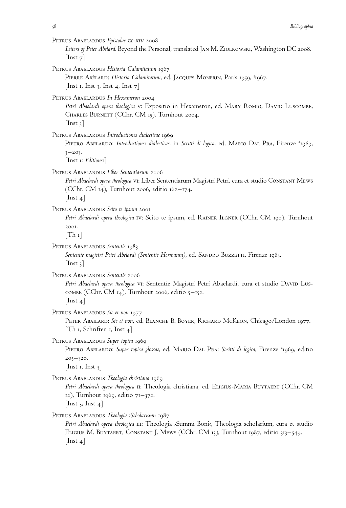| 58 | Bibliographia                                                                                                                                                                                                                                  |
|----|------------------------------------------------------------------------------------------------------------------------------------------------------------------------------------------------------------------------------------------------|
|    | Petrus Abaelardus <i>Epistolae ix-xiv</i> 2008<br>Letters of Peter Abelard. Beyond the Personal, translated JAN M. ZIOLKOWSKI, Washington DC 2008.<br>$\lfloor \text{Inst } 7 \rfloor$                                                         |
|    | PETRUS ABAELARDUS Historia Calamitatum 1967<br>PIERRE ABÉLARD: Historia Calamitatum, ed. JACQUES MONFRIN, Paris 1959, <sup>3</sup> 1967.<br>[Inst 1, Inst 3, Inst 4, Inst $7$ ]                                                                |
|    | Petrus Abaelardus <i>In Hexameron</i> 2004<br>Petri Abaelardi opera theologica v: Expositio in Hexameron, ed. MARY ROMIG, DAVID LUSCOMBE,<br>CHARLES BURNETT (CChr. CM 15), Turnhout 2004.<br>$\lfloor \text{Inst } 3 \rfloor$                 |
|    | PETRUS ABAELARDUS Introductiones dialecticae 1969<br>PIETRO ABELARDO: Introductiones dialecticae, in Scritti di logica, ed. MARIO DAL PRA, Firenze <sup>2</sup> 1969,<br>$3 - 203.$<br>$[$ Inst 1: Editiones $]$                               |
|    | Petrus Abaelardus <i>Liber Sententiarum 2</i> 006<br>Petri Abaelardi opera theologica VI: Liber Sententiarum Magistri Petri, cura et studio Constant Mews<br>(CChr. CM 14), Turnhout 2006, editio 162–174.<br>$\lfloor \text{Inst } 4 \rfloor$ |
|    | PETRUS ABAELARDUS Scito te ipsum 2001<br>Petri Abaelardi opera theologica IV: Scito te ipsum, ed. RAINER LLGNER (CChr. CM 190), Turnhout<br>2001.<br>$[Th_1]$                                                                                  |
|    | Petrus Abaelardus <i>Sententie</i> 1983<br>Sententie magistri Petri Abelardi (Sententie Hermanni), ed. SANDRO BUZZETTI, Firenze 1983.<br>$ $ Inst 3 $ $                                                                                        |
|    | PETRUS ABAELARDUS Sententie 2006<br>Petri Abaelardi opera theologica vi: Sententie Magistri Petri Abaelardi, cura et studio DAVID LUS-<br>COMBE (CChr. CM $14$ ), Turnhout 2006, editio $5-152$ .<br>$\lfloor \text{Inst } 4 \rfloor$          |
|    | PETRUS ABAELARDUS Sic et non 1977<br>PETER ABAILARD: Sic et non, ed. BLANCHE B. BOYER, RICHARD MCKEON, Chicago/London 1977.<br>$\lceil \text{Th} \rceil$ , Schriften 1, Inst 4 $\rceil$                                                        |
|    | Petrus Abaelardus <i>Super topica</i> 1969<br>PIETRO ABELARDO: Super topica glossae, ed. MARIO DAL PRA: Scritti di logica, Firenze <sup>2</sup> 1969, editio<br>$205 - 320.$                                                                   |

[Inst 1, Inst  $3$ ] PETRUS ABAELARDUS *Theologia christiana* 1969

Petri Abaelardi opera theologica II: Theologia christiana, ed. ELIGIUS-MARIA BUYTAERT (CChr. CM 12), Turnhout 1969, editio 71–372.

[Inst 3, Inst 4]

Petrus Abaelardus *Theologia ›Scholarium‹* 1987

Petri Abaelardi opera theologica III: Theologia >Summi Boni<, Theologia scholarium, cura et studio Eligius M. Buytaert, Constant J. Mews (CChr. CM 13), Turnhout 1987, editio 313–549.  $[$ Inst 4 $]$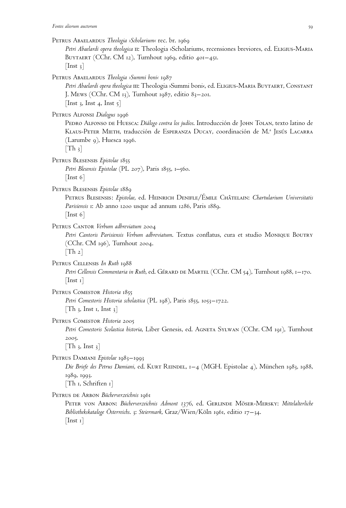| PETRUS ABAELARDUS Theologia > Scholarium< rec. br. 1969<br>Petri Abaelardi opera theologica II: Theologia >Scholarium<, recensiones breviores, ed. ELIGIUS-MARIA<br>BUYTAERT (CChr. CM 12), Turnhout 1969, editio 401-451.<br>$\vert$ Inst 3 $\vert$                                 |
|--------------------------------------------------------------------------------------------------------------------------------------------------------------------------------------------------------------------------------------------------------------------------------------|
| PETRUS ABAELARDUS Theologia > Summi boni< 1987<br>Petri Abaelardi opera theologica III: Theologia > Summi boni<, ed. ELIGIUS-MARIA BUYTAERT, CONSTANT<br>J. Mews (CChr. CM 13), Turnhout 1987, editio 83-201.<br>[Inst 3, Inst 4, Inst 5]                                            |
| PETRUS ALFONSI Dialogus 1996<br>PEDRO ALFONSO DE HUESCA: Diálogo contra los judíos. Introducción de JOHN TOLAN, texto latino de<br>KLAUS-PETER MIETH, traducción de ESPERANZA DUCAY, coordinación de M.ª JESÚS LACARRA<br>(Larumbe 9), Huesca 1996.<br>$\lfloor \text{Th}_3 \rfloor$ |
| PETRUS BLESENSIS Epistolae 1855<br>Petri Blesensis Epistolae (PL 207), Paris 1855, 1–560.<br>$\lfloor$ Inst 6 $\rfloor$                                                                                                                                                              |
| PETRUS BLESENSIS Epistolae 1889<br>PETRUS BLESENSIS: Epistolae, ed. HEINRICH DENIFLE/ÉMILE CHÂTELAIN: Chartularium Universitatis<br>Parisiensis 1: Ab anno 1200 usque ad annum 1286, Paris 1889.<br>$ $ Inst 6 $ $                                                                   |
| PETRUS CANTOR Verbum adbreviatum 2004<br>Petri Cantoris Parisiensis Verbum adbreviatum. Textus conflatus, cura et studio MONIQUE BOUTRY<br>(CChr. CM 196), Turnhout 2004.<br>$\lceil \text{Th } 2 \rceil$                                                                            |
| PETRUS CELLENSIS In Ruth 1988<br>Petri Cellensis Commentaria in Ruth, ed. GÉRARD DE MARTEL (CChr. CM 54), Turnhout 1988, 1-170.<br>$ \text{Inst 1} $                                                                                                                                 |
| PETRUS COMESTOR Historia 1855<br>Petri Comestoris Historia scholastica (PL 198), Paris 1855, 1053–1722.<br>$\lfloor \text{Th }$ 3, Inst 1, Inst 3 $\rfloor$                                                                                                                          |
| PETRUS COMESTOR Historia 2005<br>Petri Comestoris Scolastica historia, Liber Genesis, ed. AGNETA SYLWAN (CChr. CM 191), Turnhout<br>2005.<br>$\lceil \text{Th }$ 3, Inst 3                                                                                                           |
| PETRUS DAMIANI Epistolae 1983–1993<br>Die Briefe des Petrus Damiani, ed. KURT REINDEL, 1–4 (MGH. Epistolae 4), München 1983, 1988,<br>1989, 1993.<br>$[Th_1, Schriften_1]$                                                                                                           |
| PETRUS DE ARBON Bücherverzeichnis 1961<br>PETER VON ARBON: Bücherverzeichnis Admont 1376, ed. GERLINDE MÖSER-MERSKY: Mittelalterliche<br>Bibliothekskataloge Osterreichs. 3: Steiermark, Graz/Wien/Köln 1961, editio 17–34.<br>$\ln$ st 1                                            |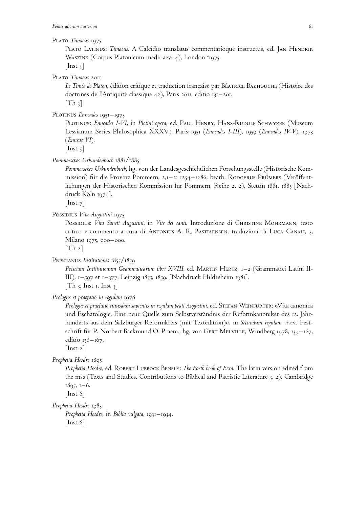#### Plato *Timaeus* 1975

PLATO LATINUS: *Timaeus.* A Calcidio translatus commentarioque instructus, ed. JAN HENDRIK Waszink (Corpus Platonicum medii aevi 4), London <sup>2</sup>1975.  $[$ Inst 3 $]$ 

Plato *Timaeus* 2011

Le Timée de Platon, édition critique et traduction française par BéATRICE BAKHOUCHE (Histoire des doctrines de l'Antiquité classique 42), Paris 2011, editio 131–201.

 $[Th_3]$ 

PLOTINUS *Enneades* 1951–1973

PLOTINUS: *Enneades I-VI*, in *Plotini opera*, ed. PAUL HENRY, HANS-RUDOLF SCHWYZER (Museum Lessianum Series Philosophica XXXV), Paris 1951 (*Enneades I-III*), 1959 (*Enneades IV-V*), 1973 (*Enneas VI*).

 $[$ Inst 5 $]$ 

*Pommersches Urkundenbuch* 1881/1885

*Pommersches Urkundenbuch*, hg. von der Landesgeschichtlichen Forschungsstelle (Historische Kommission) für die Provinz Pommern, 2,1-2: 1254-1286, bearb. RODGERUS PRÜMERS (Veröffentlichungen der Historischen Kommission für Pommern, Reihe 2, 2), Stettin 1881, 1885 [Nachdruck Köln 1970].

[Inst 7]

Possibius *Vita Augustini* 1975

Possinius: Vita Sancti Augustini, in Vite dei santi. Introduzione di CHRISTINE MOHRMANN, testo critico e commento a cura di Antonius A. R. Bastiaensen, traduzioni di Luca Canali, 3, Milano 1975, 000–000.

 $[Th 2]$ 

Priscianus *Institutiones* 1855/1859

*Prisciani Institutionum Grammaticarum libri XVIII*, ed. Martin Hertz, 1–2 (Grammatici Latini II-III), 1–597 et 1–377, Leipzig 1855, 1859. [Nachdruck Hildesheim 1981].  $[Th_3, Inst_1, Inst_3]$ 

*Prologus et praefatio in regulam* 1978

*Prologus et praefatio cuiusdam sapientis in regulam beati Augustini*, ed. Stefan Weinfurter: »Vita canonica und Eschatologie. Eine neue Quelle zum Selbstverständnis der Reformkanoniker des 12. Jahrhunderts aus dem Salzburger Reformkreis (mit Textedition)«, in *Secundum regulam vivere*. Festschrift für P. Norbert Backmund O. Praem., hg. von Gert Melville, Windberg 1978, 139–167, editio 158–167.

 $[$ Inst 2 $]$ 

*Prophetia Hesdre* 1895

*Prophetia Hesdre*, ed. Robert Lubbock Bensly: *The Forth book of Ezra*. The latin version edited from the mss (Texts and Studies. Contributions to Biblical and Patristic Literature 3, 2), Cambridge 1895, 1–6.

 $[$ Inst 6 $]$ 

*Prophetia Hesdre* 1983

*Prophetia Hesdre*, in *Biblia vulgata*, 1931–1934. [Inst 6]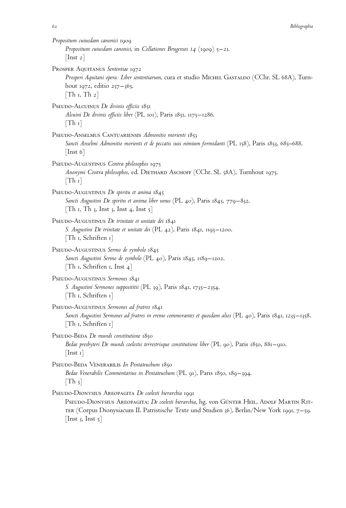| Propositum cuiusdam canonici 1909<br>Propositum cuiusdam canonici, in Collationes Brugenses 14 (1909) $5-21$ .<br>$\lfloor \text{Inst } 2 \rfloor$                                                                                                                                                          |
|-------------------------------------------------------------------------------------------------------------------------------------------------------------------------------------------------------------------------------------------------------------------------------------------------------------|
| PROSPER AQUITANUS Sententiae 1972<br>Prosperi Aquitani opera: Liber sententiarum, cura et studio MICHEL GASTALDO (CChr. SL 68A), Turn-<br>hout 1972, editio $257 - 365$ .<br>$\lceil \text{Th } \iota, \text{Th } \iota \rceil$                                                                             |
| PSEUDO-ALCUINUS De divinis officiis 1851<br>Alcuini De divinis officiis liber (PL 101), Paris 1851, 1175–1286.<br>$\lceil \text{Th } r \rceil$                                                                                                                                                              |
| PSEUDO-ANSELMUS CANTUARIENSIS Admonitio morienti 1853<br>Sancti Anselmi Admonitio morienti et de peccatis suis nimium formidanti (PL 158), Paris 1853, 685–688.<br>$[\text{Inst } 6]$                                                                                                                       |
| PSEUDO-AUGUSTINUS Contra philosophos 1975<br>Anonymi Contra philosophos, ed. DIETHARD ASCHOFF (CChr. SL 58A), Turnhout 1975.<br>$\lceil \text{Th } r \rceil$                                                                                                                                                |
| PSEUDO-AUGUSTINUS De spiritu et anima 1845<br>Sancti Augustini De spiritu et anima liber unus (PL 40), Paris 1845, 779–832.<br>$\lceil \text{Th } r, \text{Th } 3, \text{ Inst } 3, \text{ Inst } 4, \text{ Inst } 5 \rceil$                                                                                |
| PSEUDO-AUGUSTINUS De trinitate et unitate dei 1841<br>S. Augustini De trinitate et unitate dei (PL 42), Paris 1841, 1193–1200.<br>$\lceil \text{Th} \rceil$ , Schriften 1 $\rceil$                                                                                                                          |
| PSEUDO-AUGUSTINUS Sermo de symbolo 1845<br>Sancti Augustini Sermo de symbolo (PL 40), Paris 1845, 1189–1202.<br>$\lceil \text{Th} \rceil$ , Schriften 1, Inst 4 $\rceil$                                                                                                                                    |
| PSEUDO-AUGUSTINUS Sermones 1841<br>S. Augustini Sermones supposititii (PL 39), Paris 1841, 1735–2354.<br>$\lceil \text{Th} \rceil$ , Schriften 1                                                                                                                                                            |
| PSEUDO-AUGUSTINUS Sermones ad fratres 1841<br>Sancti Augustini Sermones ad fratres in eremo commorantes et quosdam alios (PL 40), Paris 1841, 1235–1358.<br>$\lceil \text{Th} \rceil$ , Schriften 1 $\rceil$                                                                                                |
| PSEUDO-BEDA De mundi constitutione 1850<br>Bedae presbyteri De mundi coelestis terrestrisque constitutione liber (PL 90), Paris 1850, 881–910.<br>$ \text{Inst } \mathbf{1} $                                                                                                                               |
| PSEUDO-BEDA VENERABILIS In Pentateuchum 1850<br>Bedae Venerabilis Commentarius in Pentateuchum (PL 91), Paris 1850, 189–394.<br>$[Th_3]$                                                                                                                                                                    |
| PSEUDO-DIONYSIUS AREOPAGITA De coelesti hierarchia 1991<br>PSEUDO-DIONYSIUS AREOPAGITA: De coelesti hierarchia, hg. von GÜNTER HEIL, ADOLF MARTIN RIT-<br>TER (Corpus Dionysiacum II. Patristische Texte und Studien 36), Berlin/New York 1991, $7-59$ .<br>$ \mathop{\rm Inst} 3$ , $\mathop{\rm Inst} 5 $ |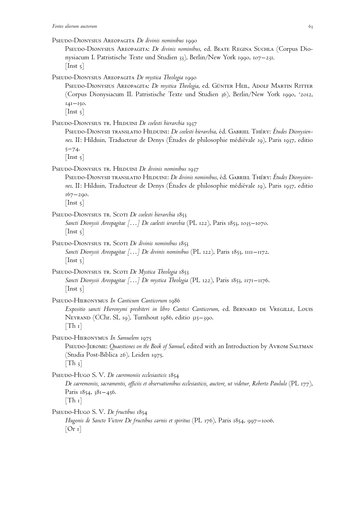Pseudo-Dionysius Areopagita: *De divinis nominibus*, ed. Beate Regina Suchla (Corpus Dionysiacum I. Patristische Texte und Studien 33), Berlin/New York 1990, 107–231.  $[$ Inst  $\frac{1}{2}$ ]

PSEUDO-DIONYSIUS AREOPAGITA *De mystica Theologia* 1990

PSEUDO-DIONYSIUS AREOPAGITA: *De mystica Theologia*, ed. Günter Heil, Adolf Martin Ritter (Corpus Dionysiacum II. Patristische Texte und Studien 36), Berlin/New York 1990, <sup>2</sup> 2012,  $141 - 150.$ 

 $[$ Inst 5 $]$ 

PSEUDO-DIONYSIUS TR. HILDUINI *De coelesti hierarchia* 1937

PSEUDO-DIONYSII TRANSLATIO HILDUINI: *De coelesti hierarchia*, éd. GABRIEL THÉRY: Études Dionysiennes. II: Hilduin, Traducteur de Denys (Études de philosophie médiévale 19), Paris 1937, editio 5–74.

 $[$ Inst 5 $]$ 

PSEUDO-DIONYSIUS TR. HILDUINI *De divinis nominibus* 1937

PSEUDO-DIONYSII TRANSLATIO HILDUINI: *De divinis nominibus*, éd. GABRIEL THÉRY: Études Dionysiennes. II: Hilduin, Traducteur de Denys (Études de philosophie médiévale 19), Paris 1937, editio 167–290.

 $[$ Inst 5 $]$ 

PSEUDO-DIONYSIUS TR. SCOTI *De coelesti hierarchia* 1853 *Sancti Dionysii Areopagitae [*…*] De caelesti ierarchia* (PL 122), Paris 1853, 1035–1070.  $[$ Inst  $5]$ 

PSEUDO-DIONYSIUS TR. SCOTI *De divinis nominibus* 1853 *Sancti Dionysii Areopagitae [*…*] De divinis nominibus* (PL 122), Paris 1853, 1111–1172.  $[$ Inst 5 $]$ 

PSEUDO-DIONYSIUS TR. SCOTI *De Mystica Theologia* 1853 *Sancti Dionysii Areopagitae [*…*] De mystica Theologia* (PL 122), Paris 1853, 1171–1176.  $[$ Inst 5 $]$ 

Pseudo-Hieronymus *In Canticum Canticorum* 1986

*Expositio sancti Hieronymi presbiteri in libro Cantici Canticorum*, ed. Bernard de Vregille, Louis Neyrand (CChr. SL 19), Turnhout 1986, editio 315–390.  $[Th_1]$ 

Pseudo-Hieronymus *In Samuelem* 1975

PSEUDO-JEROME: *Quaestiones on the Book of Samuel*, edited with an Introduction by AVROM SALTMAN (Studia Post-Biblica 26), Leiden 1975.  $[Th_3]$ 

PSEUDO-HUGO S. V. *De caeremoniis ecclesiasticis* 1854

*De caeremoniis, sacramentis, officiis et observationibus ecclesiasticis, auctore, ut videtur, Roberto Paululo* (PL 177), Paris 1854, 381–456.  $[Th_1]$ 

Pseudo-Hugo S. V. De fructibus 1854

*Hugonis de Sancto Victore De fructibus carnis et spiritus* (PL 176), Paris 1854, 997–1006.  $[Or 1]$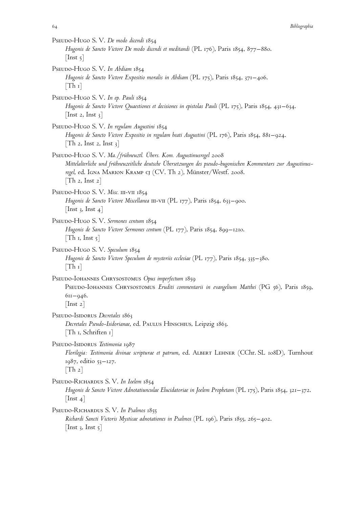| PSEUDO-HUGO S. V. De modo dicendi 1854<br>Hugonis de Sancto Victore De modo dicendi et meditandi (PL 176), Paris 1854, 877–880.<br>$\lfloor$ Inst 5 $\rfloor$                                                                                                              |
|----------------------------------------------------------------------------------------------------------------------------------------------------------------------------------------------------------------------------------------------------------------------------|
| PSEUDO-HUGO S. V. In Abdiam 1854<br>Hugonis de Sancto Victore Expositio moralis in Abdiam (PL 175), Paris 1854, 371–406.<br>$\lceil \text{Th } r \rceil$                                                                                                                   |
| PSEUDO-HUGO S. V. In ep. Pauli 1854<br>Hugonis de Sancto Victore Quaestiones et decisiones in epistolas Pauli (PL 175), Paris 1854, 431–634.<br>[Inst 2, Inst $3$ ]                                                                                                        |
| PSEUDO-HUGO S. V. In regulam Augustini 1854<br>Hugonis de Sancto Victore Expositio in regulam beati Augustini (PL 176), Paris 1854, 881–924.<br>[Th 2, Inst 2, Inst 3]                                                                                                     |
| PSEUDO-HUGO S. V. Ma./frühneuztl. Übers. Kom. Augustinusregel 2008<br>Mittelalterliche und frühneuzeitliche deutsche Übersetzungen des pseudo-hugonischen Kommentars zur Augustinus-<br>regel, ed. IGNA MARION KRAMP CJ (CV. Th 2), Münster/Westf. 2008.<br>[Th 2, Inst 2] |
| PSEUDO-HUGO S. V. Misc. III-VII 1854<br>Hugonis de Sancto Victore Miscellanea III-VII (PL 177), Paris 1854, 633–900.<br>[Inst 3, Inst 4]                                                                                                                                   |
| PSEUDO-HUGO S. V. Sermones centum 1854<br>Hugonis de Sancto Victore Sermones centum (PL 177), Paris 1854, 899–1210.<br>$[Th_1, Inst_5]$                                                                                                                                    |
| PSEUDO-HUGO S. V. Speculum 1854<br>Hugonis de Sancto Victore Speculum de mysteriis ecclesiae (PL 177), Paris 1854, 335–380.<br>$\lceil \text{Th } r \rceil$                                                                                                                |
| PSEUDO-IOHANNES CHRYSOSTOMUS Opus imperfectum 1859<br>PSEUDO-IOHANNES CHRYSOSTOMUS Eruditi commentarii in evangelium Matthei (PG 56), Paris 1859,<br>$611 - 946.$<br>$\vert$ Inst 2 $\vert$                                                                                |
| PSEUDO-ISIDORUS Decretales 1863<br>Decretales Pseudo-Isidorianae, ed. PAULUS HINSCHIUS, Leipzig 1863.<br>$\lceil \text{Th} \rceil$ , Schriften 1                                                                                                                           |
| PSEUDO-ISIDORUS Testimonia 1987<br>Florilegia: Testimonia divinae scripturae et patrum, ed. ALBERT LEHNER (CChr. SL 108D), Turnhout<br>1987, editio 53–127.<br>$\lceil \text{Th } 2 \rceil$                                                                                |
| PSEUDO-RICHARDUS S. V. In Ioelem 1854<br>Hugonis de Sancto Victore Adnotatiunculae Elucidatoriae in Joelem Prophetam (PL 175), Paris 1854, 321–372.<br>$ \text{Inst } 4 $                                                                                                  |
| PSEUDO-RICHARDUS S. V. In Psalmos 1855<br>Richardi Sancti Victoris Mysticae adnotationes in Psalmos (PL 196), Paris 1855, 265–402.<br>$\vert$ Inst 3, Inst 5 $\vert$                                                                                                       |
|                                                                                                                                                                                                                                                                            |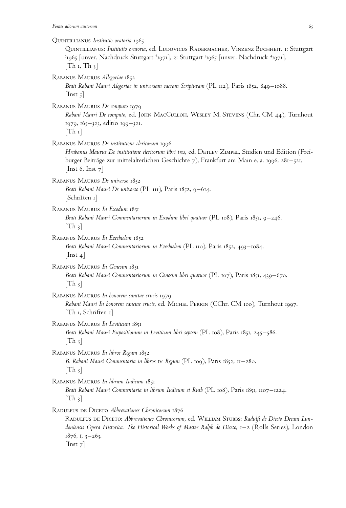Quintillianus *Institutio oratoria* 1965 Quintillianus: *Institutio oratoria*, ed. Ludovicus Radermacher, Vinzenz Buchheit. 1: Stuttgart  $^5$ 1965 [unver. Nachdruck Stuttgart  $^6$ 1971], 2: Stuttgart  $^3$ 1965 [unver. Nachdruck  $^4$ 1971].  $[Th_1, Th_3]$ Rabanus Maurus *Allegoriae* 1852 *Beati Rabani Mauri Alegoriae in universam sacram Scripturam* (PL 112), Paris 1852, 849–1088.  $[$ Inst 5 $]$ Rabanus Maurus *De computo* 1979 *Rabani Mauri De computo*, ed. John MacCulloh, Wesley M. Stevens (Chr. CM 44), Turnhout 1979, 165–323, editio 199–321.  $[Th_1]$ Rabanus Maurus *De institutione clericorum* 1996 *Hrabanus Maurus De institutione clericorum libri tres*, ed. Detlev Zimpel, Studien und Edition (Freiburger Beiträge zur mittelalterlichen Geschichte 7), Frankfurt am Main e. a. 1996, 281–521. [Inst 6, Inst  $7$ ] Rabanus Maurus *De universo* 1852 *Beati Rabani Mauri De universo* (PL 111), Paris 1852, 9–614.  $|Schriften 1|$ Rabanus Maurus *In Exodum* 1851 *Beati Rabani Mauri Commentariorum in Exodum libri quatuor* (PL 108), Paris 1851, 9–246.  $[Th_3]$ Rabanus Maurus *In Ezechielem* 1852 *Beati Rabani Mauri Commentariorum in Ezechielem* (PL 110), Paris 1852, 493–1084.  $[$ Inst 4 $]$ Rabanus Maurus *In Genesim* 1851 *Beati Rabani Mauri Commentariorum in Genesim libri quatuor* (PL 107), Paris 1851, 439–670.  $[Th_3]$ Rabanus Maurus *In honorem sanctae crucis* 1979 *Rabani Mauri In honorem sanctae crucis*, ed. Michel Perrin (CChr. CM 100), Turnhout 1997. [Th 1, Schriften 1] Rabanus Maurus *In Leviticum* 1851 *Beati Rabani Mauri Expositionum in Leviticum libri septem* (PL 108), Paris 1851, 245–586.  $[Th_3]$ Rabanus Maurus *In libros Regum* 1852 *B. Rabani Mauri Commentaria in libros* iv *Regum* (PL 109), Paris 1852, 11–280.  $[Th_3]$ Rabanus Maurus *In librum Iudicum* 1851 *Beati Rabani Mauri Commentaria in librum Iudicum et Ruth* (PL 108), Paris 1851, 1107–1224.  $[Th_3]$ Radulfus de Diceto *Abbrevationes Chronicorum* 1876 Radulfus de Diceto: *Abbrevationes Chronicorum*, ed. William Stubbs: *Radulfi de Diceto Decani Lundoniensis Opera Historica: The Historical Works of Master Ralph de Diceto*, 1–2 (Rolls Series), London 1876, i, 3–263.  $[$ Inst  $7]$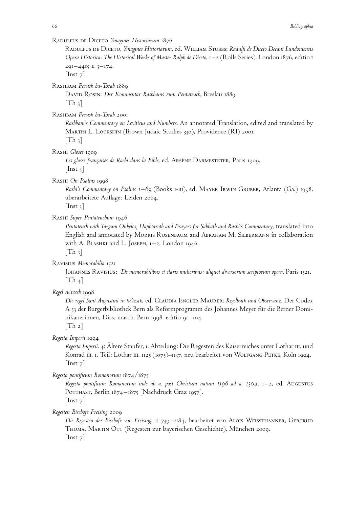Radulfus de Diceto *Ymagines Historiarum* 1876

Radulfus de Diceto, *Ymagines Historiarum*, ed. William Stubbs: *Radulfi de Diceto Decani Lundoniensis Opera Historica: The Historical Works of Master Ralph de Diceto*, 1–2 (Rolls Series), London 1876, editio i  $291 - 440$ ; II 3-174.

 $[$ Inst  $7]$ 

Rashbam *Perush ha-Torah* 1889

David Rosin: *Der Kommentar Rashbams zum Pentateuch*, Breslau 1889.  $[Th_3]$ 

Rashbam *Perush ha-Torah* 2001

*Rashbam's Commentary on Leviticus and Numbers*. An annotated Translation, edited and translated by Martin L. Lockshin (Brown Judaic Studies 330), Providence (RI) 2001.  $[Th_3]$ 

Rashi *Gloses* 1909

Les gloses françaises de Rachi dans la Bible, ed. Arsène Darmesteter, Paris 1909.  $[$ Inst 3 $]$ 

Rashi *On Psalms* 1998

*Rashi's Commentary on Psalms 1–89* (Books i-iii), ed. Mayer Irwin Gruber, Atlanta (Ga.) 1998, überarbeitete Auflage: Leiden 2004.

 $[$ Inst 3 $]$ 

Rashi *Super Pentateuchum* 1946

*Pentateuch with Targum Onkelos, Haphtaroth and Prayers for Sabbath and Rashi's Commentary*, translated into English and annotated by Morris Rosenbaum and Abraham M. Silbermann in collaboration with A. BLASHKI and L. JOSEPH, 1-2, London 1946.  $[Th_3]$ 

Ravisius *Memorabilia* 1521

Johannes Ravisius: *De memorabilibus et claris mulieribus: aliquot diversorum scriptorum opera*, Paris 1521.  $[Th_4]$ 

*Regel tu'tzsch* 1998

*Die regel Sant Augustini in tu'tzsch*, ed. Claudia Engler Maurer: *Regelbuch und Observanz*. Der Codex A 53 der Burgerbibliothek Bern als Reformprogramm des Johannes Meyer für die Berner Dominikanerinnen, Diss. masch. Bern 1998, editio 91–104.

 $[Th 2]$ 

*Regesta Imperii* 1994

*Regesta Imperii*. 4: Ältere Staufer, 1. Abteilung: Die Regesten des Kaiserreiches unter Lothar iii. und Konrad III. 1. Teil: Lothar III. 1125 (1075)–1137, neu bearbeitet von WOLFGANG PETKE, Köln 1994.  $[$ Inst  $7]$ 

*Regesta pontificum Romanorum* 1874/1875

*Regesta pontificum Romanorum inde ab a. post Christum natum 1198 ad a. 1304*, 1–2, ed. Augustus POTTHAST, Berlin 1874–1875 [Nachdruck Graz 1957]. [Inst 7]

*Regesten Bischöfe Freising* 2009

Die Regesten der Bischöfe von Freising, 1: 739–1184, bearbeitet von ALOIS WEISSTHANNER, GERTRUD THOMA, MARTIN OTT (Regesten zur bayerischen Geschichte), München 2009.  $[$ Inst  $7]$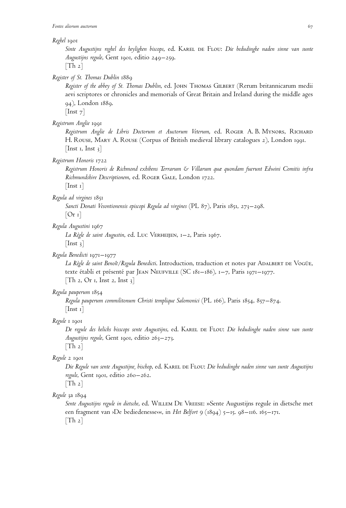#### *Reghel* 1901

*Sinte Augustijns reghel des heylighen biscops*, ed. Karel de Flou: *Die bedudinghe naden sinne van sunte Augustijns regule*, Gent 1901, editio 249–259.

 $[Th_2]$ 

*Register of St. Thomas Dublin* 1889

*Register of the abbey of St. Thomas Dublin*, ed. John Thomas Gilbert (Rerum britannicarum medii aevi scriptores or chronicles and memorials of Great Britain and Ireland during the middle ages 94), London 1889.

 $\lceil$ Inst 7 $\rceil$ 

#### *Registrum Anglie* 1991

Registrum Anglie de Libris Doctorum et Auctorum Veterum, ed. ROGER A. B. MYNORS, RICHARD H. Rouse, Mary A. Rouse (Corpus of British medieval library catalogues 2), London 1991. [Inst 1, Inst  $\frac{3}{7}$ ]

## *Registrum Honoris* 1722

*Registrum Honoris de Richmond exhibens Terrarum & Villarum quæ quondam fuerunt Edwini Comitis infra Richmundshire Descriptionem*, ed. Roger Gale, London 1722.

[Inst 1]

*Regula ad virgines* 1851

*Sancti Donati Vesontionensis episcopi Regula ad virgines* (PL 87), Paris 1851, 273–298.

 $[Or 1]$ 

# *Regula Augustini* 1967

*La Re`gle de saint Augustin*, ed. Luc Verheijen, 1–2, Paris 1967.  $[$ Inst 3 $]$ 

## *Regula Benedicti* 1971–1977

*La Re`gle de saint Benoıˆt/Regula Benedicti*. Introduction, traduction et notes par Adalbert de Vogüe, texte établi et présenté par JEAN NEUFVILLE (SC 181–186), 1–7, Paris 1971–1977.  $[Th 2, Or 1, Inst 2, Inst 3]$ 

## *Regula pauperum* 1854

*Regula pauperum commilitonum Christi templique Salomonici* (PL 166), Paris 1854, 857–874. [Inst 1]

# *Regule* 1 1901

*De regule des helichs bisscops sente Augustijns*, ed. Karel de Flou: *Die bedudinghe naden sinne van sunte Augustijns regule*, Gent 1901, editio 263–273.

 $[Th 2]$ 

# *Regule* 2 1901

*Die Regule van sente Augustijne, bischop*, ed. Karel de Flou: *Die bedudinghe naden sinne van sunte Augustijns regule*, Gent 1901, editio 260–262.

 $[Th 2]$ *Regule* 3a 1894

> *Sente Augustijns regule in dietsche*, ed. Willem De Vreese: »Sente Augustijns regule in dietsche met een fragment van <sup>></sup>De bediedenesse««, in *Het Belfort 9* (1894) 5-15. 98-116. 165-171.  $[Th_2]$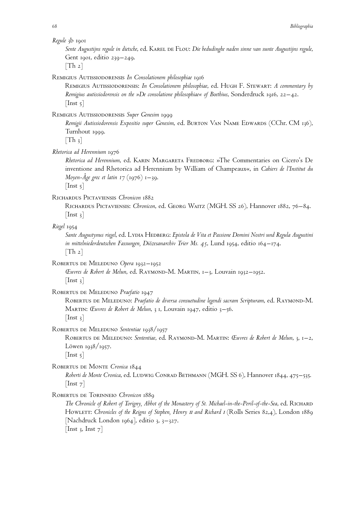*Sente Augustijns regule in dietsche*, ed. Karel de Flou: *Die bedudinghe naden sinne van sunte Augustijns regule*, Gent 1901, editio 239–249.

 $[Th_2]$ 

Remigius Autissiodorensis *In Consolationem philosophiae* 1916

Remigius Autissiodorensis: *In Consolationem philosophiae*, ed. Hugh F. Stewart: *A commentary by Remigius autissiodorensis on the »De consolatione philosophiae« of Boethius*, Sonderdruck 1916, 22–42.  $[$ Inst  $\frac{1}{2}$ ]

Remigius Autissiodorensis *Super Genesim* 1999

Remigii Autissiodorensis Expositio super Genesim, ed. BURTON VAN NAME EDWARDS (CChr. CM 136), Turnhout 1999.

 $[Th_3]$ 

*Rhetorica ad Herennium* 1976

*Rhetorica ad Herennium*, ed. Karin Margareta Fredborg: »The Commentaries on Cicero's De inventione and Rhetorica ad Herennium by William of Champeaux«, in *Cahiers de l'Institut du Moyen-Aˆge grec et latin 17* (1976) 1–39.

 $[$ Inst  $\frac{1}{2}$ ]

# Richardus Pictaviensis *Chronicon* 1882

Richardus Pictaviensis: *Chronicon*, ed. Georg Waitz (MGH. SS 26), Hannover 1882, 76–84.  $[$ Inst 3 $]$ 

# *Riegel* 1954

*Sante Augustynus riegel*, ed. Lydia Hedberg: *Epistola de Vita et Passione Domini Nostri und Regula Augustini in mittelniederdeutschen Fassungen, Diözesanarchiv Trier Ms. 45*, Lund 1954, editio 164–174.  $[Th_2]$ 

Robertus de Meleduno *Opera* 1932–1952

*Œuvres de Robert de Melun*, ed. RAYMOND-M. MARTIN, 1–3, Louvain 1932–1952.  $[$ Inst 3 $]$ 

Robertus de Meleduno *Praefatio* 1947

ROBERTUS DE MELEDUNO: *Praefatio de diversa consuetudine legendi sacram Scripturam*, ed. RAYMOND-M. Martin: *Œuvres de Robert de Melun*, 3 1, Louvain 1947, editio 3–56.  $[$ Inst 3 $]$ 

Robertus de Meleduno *Sententiae* 1938/1957

ROBERTUS DE MELEDUNO: *Sententiae*, ed. RAYMOND-M. MARTIN: *Œuvres de Robert de Melun*, 3, 1–2, Löwen 1938/1957.

 $[$ Inst  $5]$ 

Robertus de Monte *Cronica* 1844

Roberti de Monte Cronica, ed. LUDWIG CONRAD BETHMANN (MGH. SS 6), Hannover 1844, 475–535.  $[$ Inst  $7]$ 

Robertus de Torinneio *Chronicon* 1889

*The Chronicle of Robert of Torigny, Abbot of the Monastery of St. Michael-in-the-Peril-of-the-Sea*, ed. Richard HowLETT: *Chronicles of the Reigns of Stephen, Henry II and Richard I* (Rolls Series 82,4), London 1889 [Nachdruck London 1964], editio 3, 3–327.

[Inst 3, Inst  $7$ ]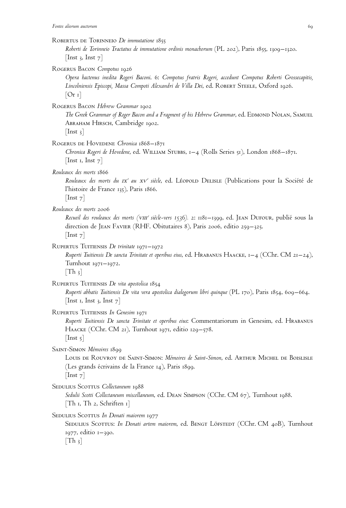Robertus de Torinneio *De immutatione* 1855

*Roberti de Torinneio Tractatus de immutatione ordinis monachorum* (PL 202), Paris 1855, 1309–1320. [Inst 3, Inst  $7$ ]

Rogerus Bacon *Compotus* 1926

*Opera hactenus inedita Rogeri Baconi*. 6: *Compotus fratris Rogeri, accedunt Compotus Roberti Grossecapitis, Lincolniensis Episcopi, Massa Compoti Alexandri de Villa Dei*, ed. Robert Steele, Oxford 1926.  $[Or 1]$ 

Rogerus Bacon *Hebrew Grammar* 1902

*The Greek Grammar of Roger Bacon and a Fragment of his Hebrew Grammar*, ed. Edmond Nolan, Samuel Abraham Hirsch, Cambridge 1902.

 $[$ Inst 3 $]$ 

ROGERUS DE HOVEDENE Chronica 1868-1871

*Chronica Rogeri de Hovedene*, ed. William Stubbs, 1–4 (Rolls Series 51), London 1868–1871. [Inst 1, Inst  $7$ ]

*Rouleaux des morts* 1866

*Rouleaux des morts du* ix*<sup>e</sup> au* xv*<sup>e</sup> sie`cle*, ed. Le´opold Delisle (Publications pour la Socie´te´ de l'histoire de France 135), Paris 1866.

 $|$ Inst 7 $|$ 

*Rouleaux des morts* 2006

*Recueil des rouleaux des morts (*viii*<sup>e</sup> sie`cle-vers 1536).* 2: 1181–1399, ed. Jean Dufour, publie´ sous la direction de JEAN FAVIER (RHF. Obitutaires 8), Paris 2006, editio 259–325.  $[$ Inst  $7]$ 

RUPERTUS TUITIENSIS *De trinitate* 1971–1972

*Ruperti Tuitiensis De sancta Trinitate et operibus eius*, ed. Hrabanus Haacke, 1–4 (CChr. CM 21–24), Turnhout 1971–1972.  $\lceil \text{Th } \rceil$ 

RUPERTUS TUITIENSIS De vita apostolica 1854

*Ruperti abbatis Tuitiensis De vita vera apostolica dialogorum libri quinque* (PL 170), Paris 1854, 609–664. [Inst 1, Inst 3, Inst  $7$ ]

Rupertus Tuitiensis *In Genesim* 1971

*Ruperti Tuitiensis De sancta Trinitate et operibus eius*: Commentariorum in Genesim, ed. Hrabanus HAACKE (CChr. CM 21), Turnhout 1971, editio 129–578.  $[$ Inst  $5]$ 

SAINT-SIMON Mémoires 1899

Louis de Rouvroy de Saint-Simon: *Mémoires de Saint-Simon*, ed. Arthur Michel de Boislisle (Les grands écrivains de la France 14), Paris 1899.  $[$ Inst  $7]$ 

SEDULIUS SCOTTUS Collectaneum 1988

*Sedulii Scotti Collectaneum miscellaneum*, ed. Dean Simpson (CChr. CM 67), Turnhout 1988. [Th 1, Th 2, Schriften 1]

SEDULIUS SCOTTUS In Donati maiorem 1977

SEDULIUS SCOTTUS: *In Donati artem maiorem*, ed. BENGT LÖFSTEDT (CChr. CM 40B), Turnhout 1977, editio 1–390.  $[Th_3]$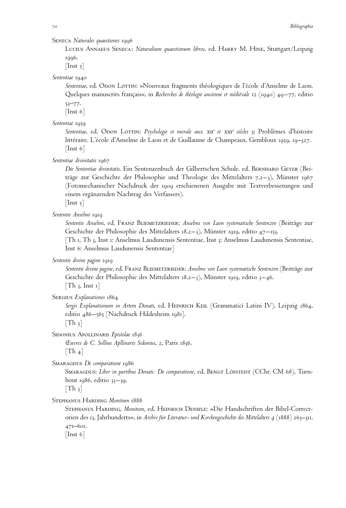Seneca *Naturales quaestiones* 1996

Lucius Annaeus Seneca: *Naturalium quaestionum libros*, ed. Harry M. Hine, Stuttgart/Leipzig 1996.

 $[$ Inst  $\frac{1}{2}$ ]

*Sententiae* 1940

Sententiae, ed. Opon Lottin: »Nouveaux fragments théologiques de l'école d'Anselme de Laon. Quelques manuscrits français«, in *Recherches de théologie ancienne et médiévale 12* (1940) 49–77, editio 53–77.

 $[$ Inst 6 $]$ 

*Sententiae* 1959

*Sententiae*, ed. Odon Lottin: *Psychologie et morale aux* xii*<sup>e</sup> et* xiii*<sup>e</sup> sie`cles* 5: Proble`mes d'histoire littéraire. L'école d'Anselme de Laon et de Guillaume de Champeaux, Gembloux 1959, 19–327.  $[$ Inst 6 $]$ 

*Sententiae divinitatis* 1967

*Die Sententiae divinitatis*. Ein Sentenzenbuch der Gilbertschen Schule. ed. Bernhard Geyer (Beiträge zur Geschichte der Philosophie und Theologie des Mittelalters 7.2–3), Münster 1967 (Fotomechanischer Nachdruck der 1909 erschienenen Ausgabe mit Textverbesserungen und einem ergänzenden Nachtrag des Verfassers).

 $[$ Inst 5 $]$ 

*Sententie Anselmi* 1919

*Sententie Anselmi*, ed. Franz Bliemetzrieder: *Anselms von Laon systematische Sentenzen* (Beiträge zur Geschichte der Philosophie des Mittelalters 18.2–3), Münster 1919, editio 47–153.

[Th 1, Th 3, Inst 1: Anselmus Laudunensis Sententiae, Inst 3: Anselmus Laudunensis Sententiae, Inst 6: Anselmus Laudunensis Sententiae]

*Sententie divine pagine* 1919

*Sententie divine pagine*, ed. Franz Bliemetzrieder: *Anselms von Laon systematische Sentenzen* (Beiträge zur Geschichte der Philosophie des Mittelalters 18.2–3), Münster 1919, editio 3–46.  $[Th_3, Inst_1]$ 

Sergius *Explanationes* 1864

Sergii Explanationum in Artem Donati, ed. HEINRICH KEIL (Grammatici Latini IV), Leipzig 1864, editio 486–565 [Nachdruck Hildesheim 1981].

 $[Th_3]$ 

SIDONIUS APOLLINARIS *Epistolae* 1836

*Œuvres de C. Sollius Apllinaris Sidonius*, 2, Paris 1836.  $[Th_4]$ 

Smaragdus *De comparatione* 1986

SMARAGDUS: Liber in partibus Donati: De comparatione, ed. BENGT LÖFSTEDT (CChr. CM 68), Turnhout 1986, editio 33–39.

 $[Th_3]$ 

Stephanus Harding *Monitum* 1888

Stephanus Harding, *Monitum*, ed. Heinrich Denifle: »Die Handschriften der Bibel-Correctorien des 13. Jahrhunderts«, in *Archiv für Literatur- und Kirchengeschichte des Mittelalters 4* (1888) 263–311. 471–601.

[Inst 6]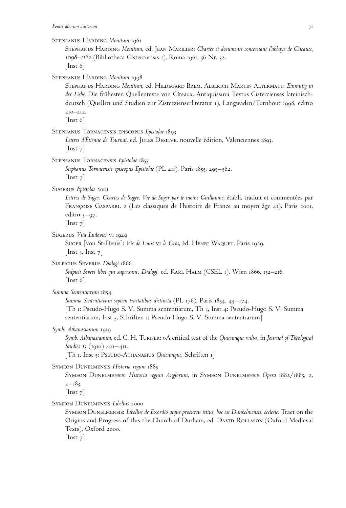#### Stephanus Harding *Monitum* 1961

Stephanus Harding *Monitum*, ed. Jean Marilier: *Chartes et documents concernant l'abbaye de Cıˆteaux, 1098–1182* (Bibliotheca Cisterciensis 1), Roma 1961, 56 Nr. 32.  $[$ Inst 6 $]$ 

# Stephanus Harding *Monitum* 1998

Stephanus Harding *Monitum*, ed. Hildegard Brem, Alberich Martin Altermatt: *Einmütig in* der Liebe. Die frühesten Quellentexte von Cîteaux. Antiquissimi Textus Cistercienses lateinischdeutsch (Quellen und Studien zur Zisterzienserliteratur 1), Langwaden/Turnhout 1998, editio 210–212.

 $[$ Inst 6 $]$ 

Stephanus Tornacensis episcopus *Epistolae* 1893

Lettres d'Étienne de Tournai, ed. JULES DESILVE, nouvelle édition, Valenciennes 1893.  $[$ Inst  $7]$ 

Stephanus Tornacensis *Epistolae* 1855

*Stephanus Tornacensis episcopus Epistolae* (PL 211), Paris 1855, 295–562.  $[$ Inst 7 $]$ 

Sugerus *Epistolae* 2001

*Lettres de Suger. Chartes de Suger. Vie de Suger par le moine Guillaume*, e´tabli, traduit et commente´es par FRANÇOISE GASPARRI, 2 (Les classiques de l'histoire de France au moyen âge 41), Paris 2001, editio  $3-97$ .

[Inst 7]

Sugerus *Vita Ludovici* VI 1929

SUGER [von St-Denis]: *Vie de Louis* vi le Gros, éd. HENRI WAQUET, Paris 1929. [Inst 3, Inst  $7$ ]

Sulpicius Severus *Dialogi* 1866

Sulpicii Severi libri qui supersunt: Dialogi, ed. KARL HALM (CSEL 1), Wien 1866, 152–216.  $\vert$  Inst 6 $\vert$ 

*Summa Sententiarum* 1854

*Summa Sententiarum septem tractatibus distincta* (PL 176), Paris 1854, 43–174. [Th 1: Pseudo-Hugo S. V. Summa sententiarum, Th 3, Inst 4: Pseudo-Hugo S. V. Summa sententiarum, Inst 5, Schriften 1: Pseudo-Hugo S. V. Summa sententiarum]

## *Symb. Athanasianum* 1919

*Symb. Athanasianum*, ed. C. H. Turner: »A critical text of the *Quicumque vult*«, in *Journal of Theological Studies 11* (1910) 401–411.

[Th 1, Inst 5: PSEUDO-ATHANASIUS *Quicumque*, Schriften 1]

Symeon Dunelmensis *Historia regum* 1885

Symeon Dunelmensis: *Historia regum Anglorum*, in Symeon Dunelmensis *Opera* 1882/1885, 2,  $2 - 183.$ 

[Inst 7]

Symeon Dunelmensis *Libellus* 2000

Symeon Dunelmensis: *Libellus de Exordio atque procursu istius, hoc est Dunhelmensis, ecclesie.* Tract on the Origins and Progress of this the Church of Durham, ed. David Rollason (Oxford Medieval Texts), Oxford 2000.

 $[$ Inst 7 $]$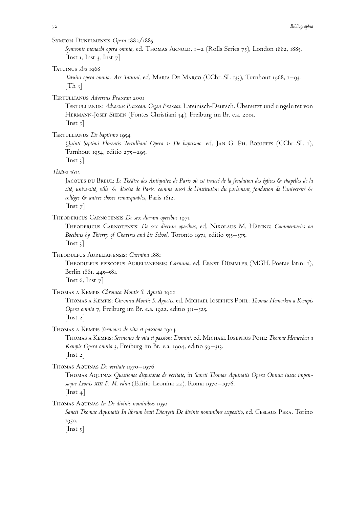# Symeon Dunelmensis *Opera* 1882/1885

*Symeonis monachi opera omnia*, ed. Thomas Arnold, 1–2 (Rolls Series 75), London 1882, 1885. [Inst 1, Inst 3, Inst  $7$ ]

## Tatuinus *Ars* 1968

*Tatuini opera omnia: Ars Tatuini*, ed. Maria De Marco (CChr. SL 133), Turnhout 1968, 1–93.  $[Th_3]$ 

Tertullianus *Adversus Praxean* 2001

Tertullianus: *Adversus Praxean*. *Gegen Praxeas*. Lateinisch-Deutsch. Übersetzt und eingeleitet von Hermann-Josef Sieben (Fontes Christiani 34), Freiburg im Br. e.a. 2001.  $[$ Inst 5 $]$ 

Tertullianus *De baptismo* 1954

*Quinti Septimi Florentis Tertulliani Opera 1: De baptismo*, ed. Jan G. Ph. Borleffs (CChr. SL 1), Turnhout 1954, editio 275–295.

 $[$ Inst 3 $]$ 

# *The´aˆtre* 1612

Jacques du Breul: *Le Théâtre des Antiquitez de Paris où est traicté de la fondation des églises & chapelles de la cite´, universite´, ville, & dioce`se de Paris: comme aussi de l'institution du parlement, fondation de l'universite´ & colle`ges & autres choses remarquables*, Paris 1612.

 $[$ Inst  $7]$ 

# Theodericus Carnotensis *De sex dierum operibus* 1971

Theodericus Carnotensis: *De sex dierum operibus*, ed. Nikolaus M. Häring: *Commentaries on Boethius by Thierry of Chartres and his School*, Toronto 1971, editio 555–575.  $[$ Inst 3 $]$ 

Theodulfus Aurelianensis: *Carmina* 1881

Theodulfus episcopus Aurelianensis: *Carmina*, ed. Ernst Dümmler (MGH. Poetae latini 1), Berlin 1881, 445–581.

[Inst 6, Inst  $7$ ]

# Thomas a Kempis *Chronica Montis S. Agnetis* 1922

Thomas a Kempis: *Chronica Montis S. Agnetis*, ed. Michael Iosephus Pohl: *Thomae Hemerken a Kempis Opera omnia* 7, Freiburg im Br. e.a. 1922, editio 331–525.  $[$ Inst 2 $]$ 

Thomas a Kempis *Sermones de vita et passione* 1904

Thomas a Kempis: *Sermones de vita et passione Domini*, ed. Michael Iosephus Pohl: *Thomae Hemerken a Kempis Opera omnia* 3, Freiburg im Br. e.a. 1904, editio 59–313. [Inst 2]

Thomas Aquinas *De veritate* 1970–1976

Thomas Aquinas *Questiones disputatae de veritate*, in *Sancti Thomae Aquinatis Opera Omnia iussu impensaque Leonis* xiii *P. M. edita* (Editio Leonina 22), Roma 1970–1976. [Inst<sub>4</sub>]

Thomas Aquinas *In De divinis nominibus* 1950

Sancti Thomae Aquinatis In librum beati Dionysii De divinis nominibus expositio, ed. CESLAUS PERA, Torino 1950.

 $[$ Inst 5 $]$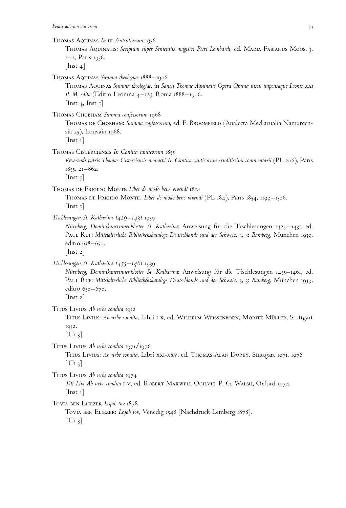Thomas Aquinatis: *Scriptum super Sententiis magistri Petri Lombardi*, ed. Maria Fabianus Moos, 3, 1–2, Paris 1956.

 $[$ Inst 4 $]$ 

Thomas Aquinas *Summa theologiae* 1888–1906

Thomas Aquinas *Summa theologiae*, in *Sancti Thomae Aquinatis Opera Omnia iussu impensaque Leonis* xiii *P. M. edita* (Editio Leonina 4–12), Roma 1888–1906. [Inst 4, Inst  $\mathfrak{z}$ ]

Thomas Chobham *Summa confessorum* 1968

Thomas de Chobham: *Summa confessorum*, ed. F. Broomfield (Analecta Mediaeualia Namurcensia 25), Louvain 1968.

 $[$ Inst 3 $]$ 

Thomas Cisterciensis *In Cantica canticorum* 1855

*Reverendi patris Thomae Cisterciensis monachi In Cantica canticorum eruditissimi commentarii* (PL 206), Paris 1855, 21–862.

 $[$ Inst 5 $]$ 

Thomas de Frigido Monte *Liber de modo bene vivendi* 1854

Thomas de Frigido Monte: *Liber de modo bene vivendi* (PL 184), Paris 1854, 1199–1306.  $[$ Inst  $\frac{1}{2}]$ 

*Tischlesungen St. Katharina 1429–1431* 1939

*Nürnberg, Dominikanerinnenkloster St. Katharina*: Anweisung für die Tischlesungen 1429–1431, ed. Paul Ruf: *Mittelalterliche Bibliothekskataloge Deutschlands und der Schweiz*. 3, 3: *Bamberg*, München 1939, editio 638-650.

 $[$ Inst 2 $]$ 

*Tischlesungen St. Katharina 1455–1461* 1939

*Nürnberg, Dominikanerinnenkloster St. Katharina*: Anweisung für die Tischlesungen 1455–1461, ed. Paul Ruf: *Mittelalterliche Bibliothekskataloge Deutschlands und der Schweiz*. 3, 3: *Bamberg*, München 1939, editio 650-670.

 $[$ Inst 2 $]$ 

Titus Livius *Ab urbe condita* 1932

Titus Livius: *Ab urbe condita*, Libri i-x, ed. Wilhelm Weissenborn, Moritz Müller, Stuttgart 1932.

 $[Th_3]$ 

Titus Livius *Ab urbe condita* 1971/1976

Titus Livius: *Ab urbe condita*, Libri xxi-xxv, ed. Thomas Alan Dorey, Stuttgart 1971, 1976.  $[Th_3]$ 

Titus Livius *Ab urbe condita* 1974

*Titi Livi Ab urbe condita* i-v, ed. Robert Maxwell Ogilvie, P. G. Walsh, Oxford 1974.  $[$ Inst  $_3]$ 

Tovia ben Eliezer *Leqah tov* 1878

Tovia ben Eliezer: *Leqah tov*, Venedig 1548 [Nachdruck Lemberg 1878].  $[Th_3]$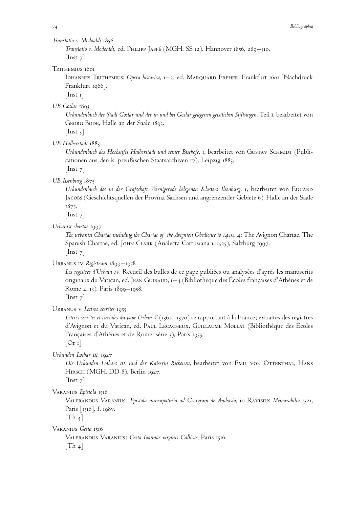## *Translatio s. Modoaldi* 1856

*Translatio s. Modoaldi*, ed. Philipp Jaffe´ (MGH. SS 12). Hannover 1856, 289–310.  $[$ Inst  $7]$ 

## TRITHEMIUS 1601

Iohannes Trithemius: *Opera historica*, 1–2, ed. Marquard Freher, Frankfurt 1601 [Nachdruck Frankfurt 1966].

 $[$ Inst 1 $]$ 

*UB Goslar* 1893

*Urkundenbuch der Stadt Goslar und der in und bei Goslar gelegenen geistlichen Stiftungen*, Teil i, bearbeitet von GEORG BODE, Halle an der Saale 1893.

 $[$ Inst 3 $]$ 

*UB Halberstadt* 1883

Urkundenbuch des Hochstifts Halberstadt und seiner Bischöfe, 1, bearbeitet von GUSTAV SCHMIDT (Publicationen aus den k. preußischen Staatsarchiven 17), Leipzig 1883.  $[$ Inst  $7]$ 

*UB Ilsenburg* 1875

Urkundenbuch des in der Grafschaft Wernigerode belegenen Klosters Ilsenburg, 1, bearbeitet von EDUARD Jacobs (Geschichtsquellen der Provinz Sachsen und angrenzender Gebiete 6), Halle an der Saale 1875.

 $[$ Inst  $7]$ 

*Urbanist chartae* 1997

*The urbanist Chartae including the Chartae of the Avignion Obedience to 1410*. 4: The Avignon Chartae. The Spanish Chartae, ed. JOHN CLARK (Analecta Cartusiana 100,25), Salzburg 1997.  $[$ Inst  $7]$ 

Urbanus iv *Registrum* 1899–1958

Les registres d'Urbain IV. Recueil des bulles de ce pape publiées ou analysées d'après les manuscrits originaux du Vatican, ed. JEAN GUIRAUD,  $1-4$  (Bibliothèque des Écoles françaises d'Athènes et de Rome 2, 13), Paris 1899–1958.

 $\vert$  Inst  $\vert$ 

URBANUS V Lettres secrètes 1955

Lettres secrètes et curiales du pape Urban V (1362–1370) se rapportant à la France; extraites des registres d'Avignon et du Vatican, ed. PAUL LECACHEUX, GUILLAUME MOLLAT (Bibliothèque des Écoles Françaises d'Athènes et de Rome, série 3), Paris 1955.

 $[Or 1]$ 

*Urkunden Lothar III.* 1927

*Die Urkunden Lothars* iii*. und der Kaiserin Richenza*, bearbeitet von Emil von Ottenthal, Hans Hirsch (MGH. DD 8), Berlin 1927.

 $[$ Inst  $7]$ 

Varanius *Epistola* 1516

Valerandus Varanius: *Epistola nuncupatoria ad Georgium de Ambasia*, in Ravisius *Memorabilia* 1521, Paris [1516], f. 198v.

 $[Th_4]$ 

Varanius *Gesta* 1516

Valerandus Varanius: *Gesta Ioannae virginis Gallicae*, Paris 1516.  $|Th_4|$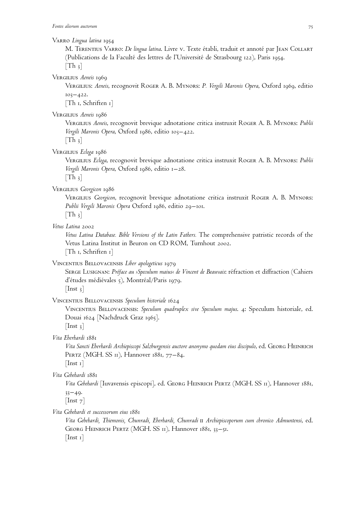## Varro *Lingua latina* 1954

M. Terentius Varro: *De lingua latina*. Livre v. Texte établi, traduit et annoté par Jean Collart (Publications de la Faculté des lettres de l'Université de Strasbourg 122), Paris 1954.  $[Th_3]$ 

Vergilius *Aeneis* 1969

Vergilius: *Aeneis*, recognovit Roger A. B. Mynors: *P. Vergili Maronis Opera*, Oxford 1969, editio  $103 - 422.$ 

[Th 1, Schriften 1]

Vergilius *Aeneis* 1986

Vergilius *Aeneis*, recognovit brevique adnotatione critica instruxit Roger A. B. Mynors: *Publii Vergili Maronis Opera*, Oxford 1986, editio 103–422.

 $[Th_3]$ 

Vergilius *Ecloga* 1986

Vergilius *Ecloga*, recognovit brevique adnotatione critica instruxit Roger A. B. Mynors: *Publii Vergili Maronis Opera*, Oxford 1986, editio 1–28.

 $[Th_3]$ 

Vergilius *Georgicon* 1986

Vergilius *Georgicon*, recognovit brevique adnotatione critica instruxit Roger A. B. Mynors: *Publii Vergili Maronis Opera* Oxford 1986, editio 29–101.  $[Th_3]$ 

*Vetus Latina* 2002

*Vetus Latina Database. Bible Versions of the Latin Fathers.* The comprehensive patristic records of the Vetus Latina Institut in Beuron on CD ROM, Turnhout 2002.

[Th 1, Schriften 1]

Vincentius Bellovacensis *Liber apologeticus* 1979

SERGE LUSIGNAN: Préface au *›Speculum maius« de Vincent de Beauvais*: réfraction et diffraction (Cahiers d'études médiévales 5), Montréal/Paris 1979.  $[$ Inst 3 $]$ 

Vincentius Bellovacensis *Speculum historiale* 1624

Vincentius Bellovacensis: *Speculum quadruplex sive Speculum majus*. 4: Speculum historiale, ed. Douai 1624 [Nachdruck Graz 1965].

 $[$ Inst 3 $]$ 

*Vita Eberhardi* 1881

*Vita Sancti Eberhardi Archiepiscopi Salzburgensis auctore anonymo quodam eius discipulo*, ed. Georg Heinrich PERTZ (MGH. SS 11), Hannover 1881, 77-84.

 $[$ Inst 1 $]$ 

*Vita Gebehardi* 1881

*Vita Gebehardi* [Iuvavensis episcopi], ed. Georg Heinrich Pertz (MGH. SS 11), Hannover 1881,  $33 - 49.$ 

 $[$ Inst  $7]$ 

*Vita Gebehardi et successorum eius* 1881

*Vita Gebehardi, Thiemonis, Chunradi, Eberhardi, Chunradi* ii *Archiepiscoporum cum chronico Admuntensi*, ed. Georg Heinrich Pertz (MGH. SS 11), Hannover 1881, 33–51.  $[$ Inst 1 $]$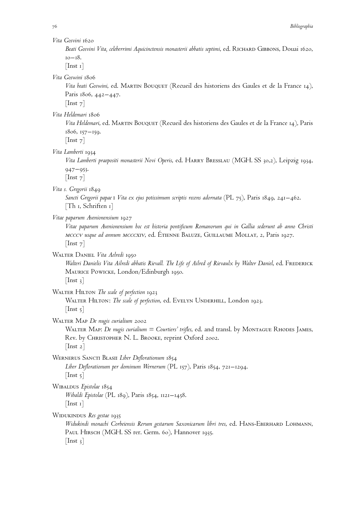*Beati Gosvini Vita, celeberrimi Aquicinctensis monasterii abbatis septimi*, ed. Richard Gibbons, Douai 1620, 10–18.

 $[$ Inst 1 $]$ 

*Vita Goswini* 1806

Vita beati Goswini, ed. MARTIN BOUQUET (Recueil des historiens des Gaules et de la France 14), Paris 1806, 442–447.  $[$ Inst  $7]$ 

*Vita Heldemari* 1806

*Vita Heldemari*, ed. Martin Bouquet (Recueil des historiens des Gaules et de la France 14), Paris 1806, 157–159.

 $[$ Inst  $7]$ 

*Vita Lamberti* 1934

*Vita Lamberti praepositi monasterii Novi Operis*, ed. Harry Bresslau (MGH. SS 30,2), Leipzig 1934, 947–953.

 $[$ Inst  $7]$ 

*Vita s. Gregorii* 1849

*Sancti Gregorii papae* i *Vita ex ejus potissimum scriptis recens adornata* (PL 75), Paris 1849, 241–462. [Th 1, Schriften 1]

*Vitae paparum Avenionensium* 1927

*Vitae paparum Avenionensium hoc est historia pontificum Romanorum qui in Gallia sederunt ab anno Christi* mcccv *usque ad annum* mcccxiv, ed. E´ tienne Baluze, Guillaume Mollat, 2, Paris 1927.  $[$ Inst  $7]$ 

Walter Daniel *Vita Aelredi* 1950

Walteri Danielis Vita Ailredi abbatis Rievall. The Life of Ailred of Rievaulx by Walter Daniel, ed. FREDERICK Maurice Powicke, London/Edinburgh 1950.  $[$ Inst 3 $]$ 

WALTER HILTON *The scale of perfection* 1923

WALTER HILTON: *The scale of perfection*, ed. EVELYN UNDERHILL, London 1923.  $[$ Inst 5 $]$ 

Walter Map *De nugis curialium* 2002

WALTER MAP: *De nugis curialium = Courtiers' trifles*, ed. and transl. by MONTAGUE RHODES JAMES, Rev. by CHRISTOPHER N. L. BROOKE, reprint Oxford 2002.  $[$ Inst 2 $]$ 

Wernerus Sancti Blasii *Liber Deflorationum* 1854

*Liber Deflorationum per dominum Wernerum* (PL 157), Paris 1854, 721–1294. [Inst 5]

Wibaldus *Epistolae* 1854

*Wibaldi Epistolae* (PL 189), Paris 1854, 1121–1458.  $\vert$  Inst 1 $\vert$ 

Widukindus *Res gestae* 1935

Widukindi monachi Corbeiensis Rerum gestarum Saxonicarum libri tres, ed. HANS-EBERHARD LOHMANN, PAUL HIRSCH (MGH. SS rer. Germ. 60), Hannover 1935.  $[$ Inst 3 $]$